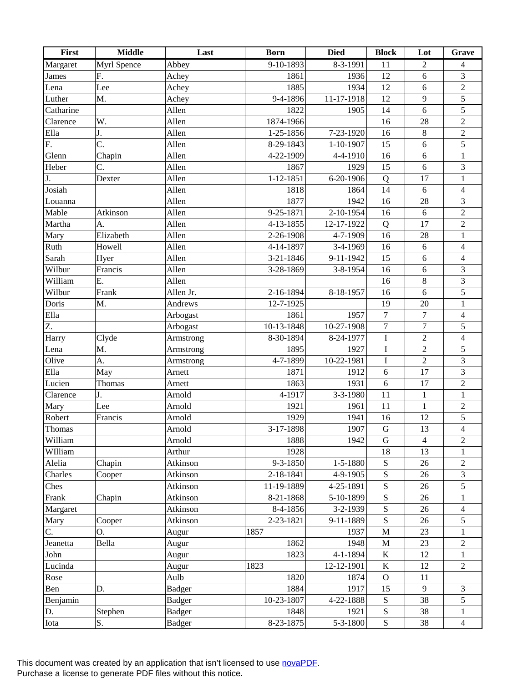| <b>Myrl Spence</b><br>$9-10-1893$<br>$8-3-1991$<br>$\overline{11}$<br>Margaret<br>$\overline{2}$<br>Abbey<br>$\overline{4}$<br>6<br>$\mathfrak{Z}$<br>12<br>F.<br>1936<br>Achey<br>1861<br>James<br>$\overline{2}$<br>1885<br>12<br>Lee<br>Achey<br>1934<br>6<br>Lena<br>$\sqrt{5}$<br>9-4-1896<br>11-17-1918<br>9<br>Luther<br>M.<br>Achey<br>12<br>$\overline{5}$<br>Allen<br>1822<br>14<br>6<br>Catharine<br>1905<br>$\overline{2}$<br>W.<br>1874-1966<br>28<br>Allen<br>16<br>Clarence<br>$\,8\,$<br>$\sqrt{2}$<br>J.<br>Allen<br>1-25-1856<br>7-23-1920<br>16<br>Ella<br>C.<br>5<br>8-29-1843<br>6<br>F.<br>Allen<br>$1 - 10 - 1907$<br>15<br>Glenn<br>Chapin<br>Allen<br>4-22-1909<br>16<br>$\sqrt{6}$<br>$\,1\,$<br>4-4-1910<br>$\mathfrak{Z}$<br>Heber<br>C.<br>Allen<br>1867<br>1929<br>15<br>6<br>J.<br>$1 - 12 - 1851$<br>Allen<br>6-20-1906<br>17<br>$\mathbf{1}$<br>Dexter<br>Q<br>Josiah<br>6<br>$\overline{4}$<br>Allen<br>1818<br>1864<br>14<br>3<br>28<br>Allen<br>1877<br>1942<br>16<br>Louanna<br>$\sqrt{2}$<br>Mable<br>Allen<br>6<br>Atkinson<br>9-25-1871<br>2-10-1954<br>16<br>$\sqrt{2}$<br>Allen<br>17<br>Martha<br>A.<br>4-13-1855<br>12-17-1922<br>Q<br>2-26-1908<br>28<br>Elizabeth<br>Allen<br>4-7-1909<br>16<br>$\mathbf{1}$<br>Mary<br>Allen<br>3-4-1969<br>16<br>6<br>$\overline{4}$<br>Ruth<br>Howell<br>4-14-1897<br>Sarah<br>15<br>$\overline{4}$<br>Allen<br>3-21-1846<br>9-11-1942<br>6<br>Hyer<br>Wilbur<br>Francis<br>Allen<br>$\mathfrak{Z}$<br>3-28-1869<br>3-8-1954<br>16<br>6<br>$\mathfrak{Z}$<br>William<br>$\,8\,$<br>Ε.<br>Allen<br>16<br>5<br>Wilbur<br>Frank<br>2-16-1894<br>8-18-1957<br>6<br>Allen Jr.<br>16<br>Doris<br>12-7-1925<br>$\mathbf{1}$<br>M.<br>19<br>20<br>Andrews<br>$\tau$<br>Ella<br>1861<br>1957<br>$\boldsymbol{7}$<br>$\overline{4}$<br>Arbogast<br>Z.<br>10-13-1848<br>$\boldsymbol{7}$<br>$\boldsymbol{7}$<br>$\sqrt{5}$<br>10-27-1908<br>Arbogast<br>$\sqrt{2}$<br>8-30-1894<br>$\rm I$<br>$\overline{4}$<br>8-24-1977<br>Harry<br>Clyde<br>Armstrong<br>$\overline{2}$<br>$\rm I$<br>5<br>M.<br>1895<br>1927<br>Lena<br>Armstrong<br>$\overline{2}$<br>$\overline{3}$<br>Olive<br>4-7-1899<br>10-22-1981<br>$\rm I$<br>A.<br>Armstrong<br>$\overline{3}$<br>17<br>Ella<br>May<br>1871<br>1912<br>$\sqrt{6}$<br>Arnett<br>$\sqrt{2}$<br>Lucien<br>1863<br>1931<br>17<br>Arnett<br>$\sqrt{6}$<br>Thomas<br>J.<br>4-1917<br>3-3-1980<br>11<br>$\mathbf{1}$<br>Clarence<br>Arnold<br>$\mathbf{1}$<br>$\sqrt{2}$<br>Arnold<br>1921<br>$\mathbf{1}$<br>Lee<br>1961<br>11<br>Mary<br>$\overline{5}$<br>12<br>Robert<br>Francis<br>Arnold<br>1929<br>1941<br>16<br>$\overline{4}$<br>${\bf G}$<br>1907<br>13<br>3-17-1898<br>Thomas<br>Arnold<br>William<br>1888<br>$\overline{2}$<br>Arnold<br>1942<br>$\mathbf G$<br>$\overline{4}$<br>WIlliam<br>1928<br>13<br>Arthur<br>18<br>1<br>9-3-1850<br>1-5-1880<br>26<br>Alelia<br>Chapin<br>Atkinson<br>${\bf S}$<br>$\sqrt{2}$<br>2-18-1841<br>${\bf S}$<br>3<br>Charles<br>Atkinson<br>4-9-1905<br>26<br>Cooper<br>${\bf S}$<br>5<br>Atkinson<br>11-19-1889<br>4-25-1891<br>26<br>Ches<br>Atkinson<br>8-21-1868<br>${\bf S}$<br>26<br>Frank<br>5-10-1899<br>Chapin<br>1<br>Atkinson<br>${\bf S}$<br>26<br>8-4-1856<br>3-2-1939<br>$\overline{4}$<br>Margaret<br>S<br>26<br>5<br>Atkinson<br>2-23-1821<br>9-11-1889<br>Mary<br>Cooper<br>23<br>1857<br>$\mathbf M$<br>Ο.<br>1937<br>Augur<br>1<br>C.<br>Bella<br>1862<br>1948<br>23<br>Jeanetta<br>$\mathbf M$<br>$\boldsymbol{2}$<br>Augur<br>12<br>John<br>1823<br>4-1-1894<br>$\bf K$<br>Augur<br>1<br>1823<br>$\bf K$<br>12<br>$\overline{2}$<br>Lucinda<br>Augur<br>12-12-1901<br>Aulb<br>1820<br>11<br>Rose<br>1874<br>$\mathbf{O}$<br>9<br>D.<br>1884<br>1917<br>15<br>Ben<br>Badger<br>3<br>38<br>10-23-1807<br>4-22-1888<br>${\bf S}$<br>5<br>Benjamin<br>Badger<br>${\bf S}$<br><b>Badger</b><br>38<br>D.<br>Stephen<br>1848<br>1921<br>1<br>S.<br>${\bf S}$<br>38<br>8-23-1875<br>5-3-1800<br>Iota<br><b>Badger</b><br>$\overline{4}$ | First | <b>Middle</b> | Last | <b>Born</b> | <b>Died</b> | <b>Block</b> | Lot | Grave |
|------------------------------------------------------------------------------------------------------------------------------------------------------------------------------------------------------------------------------------------------------------------------------------------------------------------------------------------------------------------------------------------------------------------------------------------------------------------------------------------------------------------------------------------------------------------------------------------------------------------------------------------------------------------------------------------------------------------------------------------------------------------------------------------------------------------------------------------------------------------------------------------------------------------------------------------------------------------------------------------------------------------------------------------------------------------------------------------------------------------------------------------------------------------------------------------------------------------------------------------------------------------------------------------------------------------------------------------------------------------------------------------------------------------------------------------------------------------------------------------------------------------------------------------------------------------------------------------------------------------------------------------------------------------------------------------------------------------------------------------------------------------------------------------------------------------------------------------------------------------------------------------------------------------------------------------------------------------------------------------------------------------------------------------------------------------------------------------------------------------------------------------------------------------------------------------------------------------------------------------------------------------------------------------------------------------------------------------------------------------------------------------------------------------------------------------------------------------------------------------------------------------------------------------------------------------------------------------------------------------------------------------------------------------------------------------------------------------------------------------------------------------------------------------------------------------------------------------------------------------------------------------------------------------------------------------------------------------------------------------------------------------------------------------------------------------------------------------------------------------------------------------------------------------------------------------------------------------------------------------------------------------------------------------------------------------------------------------------------------------------------------------------------------------------------------------------------------------------------------------------------------------------------------------------------------------------------------------------------------------------------------------------------------------------------------------------------------------------------------------------------------------------------------------------------------------------------------------------------------------------------------------------------------------------------------------------------------------------------------------------------------------|-------|---------------|------|-------------|-------------|--------------|-----|-------|
|                                                                                                                                                                                                                                                                                                                                                                                                                                                                                                                                                                                                                                                                                                                                                                                                                                                                                                                                                                                                                                                                                                                                                                                                                                                                                                                                                                                                                                                                                                                                                                                                                                                                                                                                                                                                                                                                                                                                                                                                                                                                                                                                                                                                                                                                                                                                                                                                                                                                                                                                                                                                                                                                                                                                                                                                                                                                                                                                                                                                                                                                                                                                                                                                                                                                                                                                                                                                                                                                                                                                                                                                                                                                                                                                                                                                                                                                                                                                                                                                                  |       |               |      |             |             |              |     |       |
|                                                                                                                                                                                                                                                                                                                                                                                                                                                                                                                                                                                                                                                                                                                                                                                                                                                                                                                                                                                                                                                                                                                                                                                                                                                                                                                                                                                                                                                                                                                                                                                                                                                                                                                                                                                                                                                                                                                                                                                                                                                                                                                                                                                                                                                                                                                                                                                                                                                                                                                                                                                                                                                                                                                                                                                                                                                                                                                                                                                                                                                                                                                                                                                                                                                                                                                                                                                                                                                                                                                                                                                                                                                                                                                                                                                                                                                                                                                                                                                                                  |       |               |      |             |             |              |     |       |
|                                                                                                                                                                                                                                                                                                                                                                                                                                                                                                                                                                                                                                                                                                                                                                                                                                                                                                                                                                                                                                                                                                                                                                                                                                                                                                                                                                                                                                                                                                                                                                                                                                                                                                                                                                                                                                                                                                                                                                                                                                                                                                                                                                                                                                                                                                                                                                                                                                                                                                                                                                                                                                                                                                                                                                                                                                                                                                                                                                                                                                                                                                                                                                                                                                                                                                                                                                                                                                                                                                                                                                                                                                                                                                                                                                                                                                                                                                                                                                                                                  |       |               |      |             |             |              |     |       |
|                                                                                                                                                                                                                                                                                                                                                                                                                                                                                                                                                                                                                                                                                                                                                                                                                                                                                                                                                                                                                                                                                                                                                                                                                                                                                                                                                                                                                                                                                                                                                                                                                                                                                                                                                                                                                                                                                                                                                                                                                                                                                                                                                                                                                                                                                                                                                                                                                                                                                                                                                                                                                                                                                                                                                                                                                                                                                                                                                                                                                                                                                                                                                                                                                                                                                                                                                                                                                                                                                                                                                                                                                                                                                                                                                                                                                                                                                                                                                                                                                  |       |               |      |             |             |              |     |       |
|                                                                                                                                                                                                                                                                                                                                                                                                                                                                                                                                                                                                                                                                                                                                                                                                                                                                                                                                                                                                                                                                                                                                                                                                                                                                                                                                                                                                                                                                                                                                                                                                                                                                                                                                                                                                                                                                                                                                                                                                                                                                                                                                                                                                                                                                                                                                                                                                                                                                                                                                                                                                                                                                                                                                                                                                                                                                                                                                                                                                                                                                                                                                                                                                                                                                                                                                                                                                                                                                                                                                                                                                                                                                                                                                                                                                                                                                                                                                                                                                                  |       |               |      |             |             |              |     |       |
|                                                                                                                                                                                                                                                                                                                                                                                                                                                                                                                                                                                                                                                                                                                                                                                                                                                                                                                                                                                                                                                                                                                                                                                                                                                                                                                                                                                                                                                                                                                                                                                                                                                                                                                                                                                                                                                                                                                                                                                                                                                                                                                                                                                                                                                                                                                                                                                                                                                                                                                                                                                                                                                                                                                                                                                                                                                                                                                                                                                                                                                                                                                                                                                                                                                                                                                                                                                                                                                                                                                                                                                                                                                                                                                                                                                                                                                                                                                                                                                                                  |       |               |      |             |             |              |     |       |
|                                                                                                                                                                                                                                                                                                                                                                                                                                                                                                                                                                                                                                                                                                                                                                                                                                                                                                                                                                                                                                                                                                                                                                                                                                                                                                                                                                                                                                                                                                                                                                                                                                                                                                                                                                                                                                                                                                                                                                                                                                                                                                                                                                                                                                                                                                                                                                                                                                                                                                                                                                                                                                                                                                                                                                                                                                                                                                                                                                                                                                                                                                                                                                                                                                                                                                                                                                                                                                                                                                                                                                                                                                                                                                                                                                                                                                                                                                                                                                                                                  |       |               |      |             |             |              |     |       |
|                                                                                                                                                                                                                                                                                                                                                                                                                                                                                                                                                                                                                                                                                                                                                                                                                                                                                                                                                                                                                                                                                                                                                                                                                                                                                                                                                                                                                                                                                                                                                                                                                                                                                                                                                                                                                                                                                                                                                                                                                                                                                                                                                                                                                                                                                                                                                                                                                                                                                                                                                                                                                                                                                                                                                                                                                                                                                                                                                                                                                                                                                                                                                                                                                                                                                                                                                                                                                                                                                                                                                                                                                                                                                                                                                                                                                                                                                                                                                                                                                  |       |               |      |             |             |              |     |       |
|                                                                                                                                                                                                                                                                                                                                                                                                                                                                                                                                                                                                                                                                                                                                                                                                                                                                                                                                                                                                                                                                                                                                                                                                                                                                                                                                                                                                                                                                                                                                                                                                                                                                                                                                                                                                                                                                                                                                                                                                                                                                                                                                                                                                                                                                                                                                                                                                                                                                                                                                                                                                                                                                                                                                                                                                                                                                                                                                                                                                                                                                                                                                                                                                                                                                                                                                                                                                                                                                                                                                                                                                                                                                                                                                                                                                                                                                                                                                                                                                                  |       |               |      |             |             |              |     |       |
|                                                                                                                                                                                                                                                                                                                                                                                                                                                                                                                                                                                                                                                                                                                                                                                                                                                                                                                                                                                                                                                                                                                                                                                                                                                                                                                                                                                                                                                                                                                                                                                                                                                                                                                                                                                                                                                                                                                                                                                                                                                                                                                                                                                                                                                                                                                                                                                                                                                                                                                                                                                                                                                                                                                                                                                                                                                                                                                                                                                                                                                                                                                                                                                                                                                                                                                                                                                                                                                                                                                                                                                                                                                                                                                                                                                                                                                                                                                                                                                                                  |       |               |      |             |             |              |     |       |
|                                                                                                                                                                                                                                                                                                                                                                                                                                                                                                                                                                                                                                                                                                                                                                                                                                                                                                                                                                                                                                                                                                                                                                                                                                                                                                                                                                                                                                                                                                                                                                                                                                                                                                                                                                                                                                                                                                                                                                                                                                                                                                                                                                                                                                                                                                                                                                                                                                                                                                                                                                                                                                                                                                                                                                                                                                                                                                                                                                                                                                                                                                                                                                                                                                                                                                                                                                                                                                                                                                                                                                                                                                                                                                                                                                                                                                                                                                                                                                                                                  |       |               |      |             |             |              |     |       |
|                                                                                                                                                                                                                                                                                                                                                                                                                                                                                                                                                                                                                                                                                                                                                                                                                                                                                                                                                                                                                                                                                                                                                                                                                                                                                                                                                                                                                                                                                                                                                                                                                                                                                                                                                                                                                                                                                                                                                                                                                                                                                                                                                                                                                                                                                                                                                                                                                                                                                                                                                                                                                                                                                                                                                                                                                                                                                                                                                                                                                                                                                                                                                                                                                                                                                                                                                                                                                                                                                                                                                                                                                                                                                                                                                                                                                                                                                                                                                                                                                  |       |               |      |             |             |              |     |       |
|                                                                                                                                                                                                                                                                                                                                                                                                                                                                                                                                                                                                                                                                                                                                                                                                                                                                                                                                                                                                                                                                                                                                                                                                                                                                                                                                                                                                                                                                                                                                                                                                                                                                                                                                                                                                                                                                                                                                                                                                                                                                                                                                                                                                                                                                                                                                                                                                                                                                                                                                                                                                                                                                                                                                                                                                                                                                                                                                                                                                                                                                                                                                                                                                                                                                                                                                                                                                                                                                                                                                                                                                                                                                                                                                                                                                                                                                                                                                                                                                                  |       |               |      |             |             |              |     |       |
|                                                                                                                                                                                                                                                                                                                                                                                                                                                                                                                                                                                                                                                                                                                                                                                                                                                                                                                                                                                                                                                                                                                                                                                                                                                                                                                                                                                                                                                                                                                                                                                                                                                                                                                                                                                                                                                                                                                                                                                                                                                                                                                                                                                                                                                                                                                                                                                                                                                                                                                                                                                                                                                                                                                                                                                                                                                                                                                                                                                                                                                                                                                                                                                                                                                                                                                                                                                                                                                                                                                                                                                                                                                                                                                                                                                                                                                                                                                                                                                                                  |       |               |      |             |             |              |     |       |
|                                                                                                                                                                                                                                                                                                                                                                                                                                                                                                                                                                                                                                                                                                                                                                                                                                                                                                                                                                                                                                                                                                                                                                                                                                                                                                                                                                                                                                                                                                                                                                                                                                                                                                                                                                                                                                                                                                                                                                                                                                                                                                                                                                                                                                                                                                                                                                                                                                                                                                                                                                                                                                                                                                                                                                                                                                                                                                                                                                                                                                                                                                                                                                                                                                                                                                                                                                                                                                                                                                                                                                                                                                                                                                                                                                                                                                                                                                                                                                                                                  |       |               |      |             |             |              |     |       |
|                                                                                                                                                                                                                                                                                                                                                                                                                                                                                                                                                                                                                                                                                                                                                                                                                                                                                                                                                                                                                                                                                                                                                                                                                                                                                                                                                                                                                                                                                                                                                                                                                                                                                                                                                                                                                                                                                                                                                                                                                                                                                                                                                                                                                                                                                                                                                                                                                                                                                                                                                                                                                                                                                                                                                                                                                                                                                                                                                                                                                                                                                                                                                                                                                                                                                                                                                                                                                                                                                                                                                                                                                                                                                                                                                                                                                                                                                                                                                                                                                  |       |               |      |             |             |              |     |       |
|                                                                                                                                                                                                                                                                                                                                                                                                                                                                                                                                                                                                                                                                                                                                                                                                                                                                                                                                                                                                                                                                                                                                                                                                                                                                                                                                                                                                                                                                                                                                                                                                                                                                                                                                                                                                                                                                                                                                                                                                                                                                                                                                                                                                                                                                                                                                                                                                                                                                                                                                                                                                                                                                                                                                                                                                                                                                                                                                                                                                                                                                                                                                                                                                                                                                                                                                                                                                                                                                                                                                                                                                                                                                                                                                                                                                                                                                                                                                                                                                                  |       |               |      |             |             |              |     |       |
|                                                                                                                                                                                                                                                                                                                                                                                                                                                                                                                                                                                                                                                                                                                                                                                                                                                                                                                                                                                                                                                                                                                                                                                                                                                                                                                                                                                                                                                                                                                                                                                                                                                                                                                                                                                                                                                                                                                                                                                                                                                                                                                                                                                                                                                                                                                                                                                                                                                                                                                                                                                                                                                                                                                                                                                                                                                                                                                                                                                                                                                                                                                                                                                                                                                                                                                                                                                                                                                                                                                                                                                                                                                                                                                                                                                                                                                                                                                                                                                                                  |       |               |      |             |             |              |     |       |
|                                                                                                                                                                                                                                                                                                                                                                                                                                                                                                                                                                                                                                                                                                                                                                                                                                                                                                                                                                                                                                                                                                                                                                                                                                                                                                                                                                                                                                                                                                                                                                                                                                                                                                                                                                                                                                                                                                                                                                                                                                                                                                                                                                                                                                                                                                                                                                                                                                                                                                                                                                                                                                                                                                                                                                                                                                                                                                                                                                                                                                                                                                                                                                                                                                                                                                                                                                                                                                                                                                                                                                                                                                                                                                                                                                                                                                                                                                                                                                                                                  |       |               |      |             |             |              |     |       |
|                                                                                                                                                                                                                                                                                                                                                                                                                                                                                                                                                                                                                                                                                                                                                                                                                                                                                                                                                                                                                                                                                                                                                                                                                                                                                                                                                                                                                                                                                                                                                                                                                                                                                                                                                                                                                                                                                                                                                                                                                                                                                                                                                                                                                                                                                                                                                                                                                                                                                                                                                                                                                                                                                                                                                                                                                                                                                                                                                                                                                                                                                                                                                                                                                                                                                                                                                                                                                                                                                                                                                                                                                                                                                                                                                                                                                                                                                                                                                                                                                  |       |               |      |             |             |              |     |       |
|                                                                                                                                                                                                                                                                                                                                                                                                                                                                                                                                                                                                                                                                                                                                                                                                                                                                                                                                                                                                                                                                                                                                                                                                                                                                                                                                                                                                                                                                                                                                                                                                                                                                                                                                                                                                                                                                                                                                                                                                                                                                                                                                                                                                                                                                                                                                                                                                                                                                                                                                                                                                                                                                                                                                                                                                                                                                                                                                                                                                                                                                                                                                                                                                                                                                                                                                                                                                                                                                                                                                                                                                                                                                                                                                                                                                                                                                                                                                                                                                                  |       |               |      |             |             |              |     |       |
|                                                                                                                                                                                                                                                                                                                                                                                                                                                                                                                                                                                                                                                                                                                                                                                                                                                                                                                                                                                                                                                                                                                                                                                                                                                                                                                                                                                                                                                                                                                                                                                                                                                                                                                                                                                                                                                                                                                                                                                                                                                                                                                                                                                                                                                                                                                                                                                                                                                                                                                                                                                                                                                                                                                                                                                                                                                                                                                                                                                                                                                                                                                                                                                                                                                                                                                                                                                                                                                                                                                                                                                                                                                                                                                                                                                                                                                                                                                                                                                                                  |       |               |      |             |             |              |     |       |
|                                                                                                                                                                                                                                                                                                                                                                                                                                                                                                                                                                                                                                                                                                                                                                                                                                                                                                                                                                                                                                                                                                                                                                                                                                                                                                                                                                                                                                                                                                                                                                                                                                                                                                                                                                                                                                                                                                                                                                                                                                                                                                                                                                                                                                                                                                                                                                                                                                                                                                                                                                                                                                                                                                                                                                                                                                                                                                                                                                                                                                                                                                                                                                                                                                                                                                                                                                                                                                                                                                                                                                                                                                                                                                                                                                                                                                                                                                                                                                                                                  |       |               |      |             |             |              |     |       |
|                                                                                                                                                                                                                                                                                                                                                                                                                                                                                                                                                                                                                                                                                                                                                                                                                                                                                                                                                                                                                                                                                                                                                                                                                                                                                                                                                                                                                                                                                                                                                                                                                                                                                                                                                                                                                                                                                                                                                                                                                                                                                                                                                                                                                                                                                                                                                                                                                                                                                                                                                                                                                                                                                                                                                                                                                                                                                                                                                                                                                                                                                                                                                                                                                                                                                                                                                                                                                                                                                                                                                                                                                                                                                                                                                                                                                                                                                                                                                                                                                  |       |               |      |             |             |              |     |       |
|                                                                                                                                                                                                                                                                                                                                                                                                                                                                                                                                                                                                                                                                                                                                                                                                                                                                                                                                                                                                                                                                                                                                                                                                                                                                                                                                                                                                                                                                                                                                                                                                                                                                                                                                                                                                                                                                                                                                                                                                                                                                                                                                                                                                                                                                                                                                                                                                                                                                                                                                                                                                                                                                                                                                                                                                                                                                                                                                                                                                                                                                                                                                                                                                                                                                                                                                                                                                                                                                                                                                                                                                                                                                                                                                                                                                                                                                                                                                                                                                                  |       |               |      |             |             |              |     |       |
|                                                                                                                                                                                                                                                                                                                                                                                                                                                                                                                                                                                                                                                                                                                                                                                                                                                                                                                                                                                                                                                                                                                                                                                                                                                                                                                                                                                                                                                                                                                                                                                                                                                                                                                                                                                                                                                                                                                                                                                                                                                                                                                                                                                                                                                                                                                                                                                                                                                                                                                                                                                                                                                                                                                                                                                                                                                                                                                                                                                                                                                                                                                                                                                                                                                                                                                                                                                                                                                                                                                                                                                                                                                                                                                                                                                                                                                                                                                                                                                                                  |       |               |      |             |             |              |     |       |
|                                                                                                                                                                                                                                                                                                                                                                                                                                                                                                                                                                                                                                                                                                                                                                                                                                                                                                                                                                                                                                                                                                                                                                                                                                                                                                                                                                                                                                                                                                                                                                                                                                                                                                                                                                                                                                                                                                                                                                                                                                                                                                                                                                                                                                                                                                                                                                                                                                                                                                                                                                                                                                                                                                                                                                                                                                                                                                                                                                                                                                                                                                                                                                                                                                                                                                                                                                                                                                                                                                                                                                                                                                                                                                                                                                                                                                                                                                                                                                                                                  |       |               |      |             |             |              |     |       |
|                                                                                                                                                                                                                                                                                                                                                                                                                                                                                                                                                                                                                                                                                                                                                                                                                                                                                                                                                                                                                                                                                                                                                                                                                                                                                                                                                                                                                                                                                                                                                                                                                                                                                                                                                                                                                                                                                                                                                                                                                                                                                                                                                                                                                                                                                                                                                                                                                                                                                                                                                                                                                                                                                                                                                                                                                                                                                                                                                                                                                                                                                                                                                                                                                                                                                                                                                                                                                                                                                                                                                                                                                                                                                                                                                                                                                                                                                                                                                                                                                  |       |               |      |             |             |              |     |       |
|                                                                                                                                                                                                                                                                                                                                                                                                                                                                                                                                                                                                                                                                                                                                                                                                                                                                                                                                                                                                                                                                                                                                                                                                                                                                                                                                                                                                                                                                                                                                                                                                                                                                                                                                                                                                                                                                                                                                                                                                                                                                                                                                                                                                                                                                                                                                                                                                                                                                                                                                                                                                                                                                                                                                                                                                                                                                                                                                                                                                                                                                                                                                                                                                                                                                                                                                                                                                                                                                                                                                                                                                                                                                                                                                                                                                                                                                                                                                                                                                                  |       |               |      |             |             |              |     |       |
|                                                                                                                                                                                                                                                                                                                                                                                                                                                                                                                                                                                                                                                                                                                                                                                                                                                                                                                                                                                                                                                                                                                                                                                                                                                                                                                                                                                                                                                                                                                                                                                                                                                                                                                                                                                                                                                                                                                                                                                                                                                                                                                                                                                                                                                                                                                                                                                                                                                                                                                                                                                                                                                                                                                                                                                                                                                                                                                                                                                                                                                                                                                                                                                                                                                                                                                                                                                                                                                                                                                                                                                                                                                                                                                                                                                                                                                                                                                                                                                                                  |       |               |      |             |             |              |     |       |
|                                                                                                                                                                                                                                                                                                                                                                                                                                                                                                                                                                                                                                                                                                                                                                                                                                                                                                                                                                                                                                                                                                                                                                                                                                                                                                                                                                                                                                                                                                                                                                                                                                                                                                                                                                                                                                                                                                                                                                                                                                                                                                                                                                                                                                                                                                                                                                                                                                                                                                                                                                                                                                                                                                                                                                                                                                                                                                                                                                                                                                                                                                                                                                                                                                                                                                                                                                                                                                                                                                                                                                                                                                                                                                                                                                                                                                                                                                                                                                                                                  |       |               |      |             |             |              |     |       |
|                                                                                                                                                                                                                                                                                                                                                                                                                                                                                                                                                                                                                                                                                                                                                                                                                                                                                                                                                                                                                                                                                                                                                                                                                                                                                                                                                                                                                                                                                                                                                                                                                                                                                                                                                                                                                                                                                                                                                                                                                                                                                                                                                                                                                                                                                                                                                                                                                                                                                                                                                                                                                                                                                                                                                                                                                                                                                                                                                                                                                                                                                                                                                                                                                                                                                                                                                                                                                                                                                                                                                                                                                                                                                                                                                                                                                                                                                                                                                                                                                  |       |               |      |             |             |              |     |       |
|                                                                                                                                                                                                                                                                                                                                                                                                                                                                                                                                                                                                                                                                                                                                                                                                                                                                                                                                                                                                                                                                                                                                                                                                                                                                                                                                                                                                                                                                                                                                                                                                                                                                                                                                                                                                                                                                                                                                                                                                                                                                                                                                                                                                                                                                                                                                                                                                                                                                                                                                                                                                                                                                                                                                                                                                                                                                                                                                                                                                                                                                                                                                                                                                                                                                                                                                                                                                                                                                                                                                                                                                                                                                                                                                                                                                                                                                                                                                                                                                                  |       |               |      |             |             |              |     |       |
|                                                                                                                                                                                                                                                                                                                                                                                                                                                                                                                                                                                                                                                                                                                                                                                                                                                                                                                                                                                                                                                                                                                                                                                                                                                                                                                                                                                                                                                                                                                                                                                                                                                                                                                                                                                                                                                                                                                                                                                                                                                                                                                                                                                                                                                                                                                                                                                                                                                                                                                                                                                                                                                                                                                                                                                                                                                                                                                                                                                                                                                                                                                                                                                                                                                                                                                                                                                                                                                                                                                                                                                                                                                                                                                                                                                                                                                                                                                                                                                                                  |       |               |      |             |             |              |     |       |
|                                                                                                                                                                                                                                                                                                                                                                                                                                                                                                                                                                                                                                                                                                                                                                                                                                                                                                                                                                                                                                                                                                                                                                                                                                                                                                                                                                                                                                                                                                                                                                                                                                                                                                                                                                                                                                                                                                                                                                                                                                                                                                                                                                                                                                                                                                                                                                                                                                                                                                                                                                                                                                                                                                                                                                                                                                                                                                                                                                                                                                                                                                                                                                                                                                                                                                                                                                                                                                                                                                                                                                                                                                                                                                                                                                                                                                                                                                                                                                                                                  |       |               |      |             |             |              |     |       |
|                                                                                                                                                                                                                                                                                                                                                                                                                                                                                                                                                                                                                                                                                                                                                                                                                                                                                                                                                                                                                                                                                                                                                                                                                                                                                                                                                                                                                                                                                                                                                                                                                                                                                                                                                                                                                                                                                                                                                                                                                                                                                                                                                                                                                                                                                                                                                                                                                                                                                                                                                                                                                                                                                                                                                                                                                                                                                                                                                                                                                                                                                                                                                                                                                                                                                                                                                                                                                                                                                                                                                                                                                                                                                                                                                                                                                                                                                                                                                                                                                  |       |               |      |             |             |              |     |       |
|                                                                                                                                                                                                                                                                                                                                                                                                                                                                                                                                                                                                                                                                                                                                                                                                                                                                                                                                                                                                                                                                                                                                                                                                                                                                                                                                                                                                                                                                                                                                                                                                                                                                                                                                                                                                                                                                                                                                                                                                                                                                                                                                                                                                                                                                                                                                                                                                                                                                                                                                                                                                                                                                                                                                                                                                                                                                                                                                                                                                                                                                                                                                                                                                                                                                                                                                                                                                                                                                                                                                                                                                                                                                                                                                                                                                                                                                                                                                                                                                                  |       |               |      |             |             |              |     |       |
|                                                                                                                                                                                                                                                                                                                                                                                                                                                                                                                                                                                                                                                                                                                                                                                                                                                                                                                                                                                                                                                                                                                                                                                                                                                                                                                                                                                                                                                                                                                                                                                                                                                                                                                                                                                                                                                                                                                                                                                                                                                                                                                                                                                                                                                                                                                                                                                                                                                                                                                                                                                                                                                                                                                                                                                                                                                                                                                                                                                                                                                                                                                                                                                                                                                                                                                                                                                                                                                                                                                                                                                                                                                                                                                                                                                                                                                                                                                                                                                                                  |       |               |      |             |             |              |     |       |
|                                                                                                                                                                                                                                                                                                                                                                                                                                                                                                                                                                                                                                                                                                                                                                                                                                                                                                                                                                                                                                                                                                                                                                                                                                                                                                                                                                                                                                                                                                                                                                                                                                                                                                                                                                                                                                                                                                                                                                                                                                                                                                                                                                                                                                                                                                                                                                                                                                                                                                                                                                                                                                                                                                                                                                                                                                                                                                                                                                                                                                                                                                                                                                                                                                                                                                                                                                                                                                                                                                                                                                                                                                                                                                                                                                                                                                                                                                                                                                                                                  |       |               |      |             |             |              |     |       |
|                                                                                                                                                                                                                                                                                                                                                                                                                                                                                                                                                                                                                                                                                                                                                                                                                                                                                                                                                                                                                                                                                                                                                                                                                                                                                                                                                                                                                                                                                                                                                                                                                                                                                                                                                                                                                                                                                                                                                                                                                                                                                                                                                                                                                                                                                                                                                                                                                                                                                                                                                                                                                                                                                                                                                                                                                                                                                                                                                                                                                                                                                                                                                                                                                                                                                                                                                                                                                                                                                                                                                                                                                                                                                                                                                                                                                                                                                                                                                                                                                  |       |               |      |             |             |              |     |       |
|                                                                                                                                                                                                                                                                                                                                                                                                                                                                                                                                                                                                                                                                                                                                                                                                                                                                                                                                                                                                                                                                                                                                                                                                                                                                                                                                                                                                                                                                                                                                                                                                                                                                                                                                                                                                                                                                                                                                                                                                                                                                                                                                                                                                                                                                                                                                                                                                                                                                                                                                                                                                                                                                                                                                                                                                                                                                                                                                                                                                                                                                                                                                                                                                                                                                                                                                                                                                                                                                                                                                                                                                                                                                                                                                                                                                                                                                                                                                                                                                                  |       |               |      |             |             |              |     |       |
|                                                                                                                                                                                                                                                                                                                                                                                                                                                                                                                                                                                                                                                                                                                                                                                                                                                                                                                                                                                                                                                                                                                                                                                                                                                                                                                                                                                                                                                                                                                                                                                                                                                                                                                                                                                                                                                                                                                                                                                                                                                                                                                                                                                                                                                                                                                                                                                                                                                                                                                                                                                                                                                                                                                                                                                                                                                                                                                                                                                                                                                                                                                                                                                                                                                                                                                                                                                                                                                                                                                                                                                                                                                                                                                                                                                                                                                                                                                                                                                                                  |       |               |      |             |             |              |     |       |
|                                                                                                                                                                                                                                                                                                                                                                                                                                                                                                                                                                                                                                                                                                                                                                                                                                                                                                                                                                                                                                                                                                                                                                                                                                                                                                                                                                                                                                                                                                                                                                                                                                                                                                                                                                                                                                                                                                                                                                                                                                                                                                                                                                                                                                                                                                                                                                                                                                                                                                                                                                                                                                                                                                                                                                                                                                                                                                                                                                                                                                                                                                                                                                                                                                                                                                                                                                                                                                                                                                                                                                                                                                                                                                                                                                                                                                                                                                                                                                                                                  |       |               |      |             |             |              |     |       |
|                                                                                                                                                                                                                                                                                                                                                                                                                                                                                                                                                                                                                                                                                                                                                                                                                                                                                                                                                                                                                                                                                                                                                                                                                                                                                                                                                                                                                                                                                                                                                                                                                                                                                                                                                                                                                                                                                                                                                                                                                                                                                                                                                                                                                                                                                                                                                                                                                                                                                                                                                                                                                                                                                                                                                                                                                                                                                                                                                                                                                                                                                                                                                                                                                                                                                                                                                                                                                                                                                                                                                                                                                                                                                                                                                                                                                                                                                                                                                                                                                  |       |               |      |             |             |              |     |       |
|                                                                                                                                                                                                                                                                                                                                                                                                                                                                                                                                                                                                                                                                                                                                                                                                                                                                                                                                                                                                                                                                                                                                                                                                                                                                                                                                                                                                                                                                                                                                                                                                                                                                                                                                                                                                                                                                                                                                                                                                                                                                                                                                                                                                                                                                                                                                                                                                                                                                                                                                                                                                                                                                                                                                                                                                                                                                                                                                                                                                                                                                                                                                                                                                                                                                                                                                                                                                                                                                                                                                                                                                                                                                                                                                                                                                                                                                                                                                                                                                                  |       |               |      |             |             |              |     |       |
|                                                                                                                                                                                                                                                                                                                                                                                                                                                                                                                                                                                                                                                                                                                                                                                                                                                                                                                                                                                                                                                                                                                                                                                                                                                                                                                                                                                                                                                                                                                                                                                                                                                                                                                                                                                                                                                                                                                                                                                                                                                                                                                                                                                                                                                                                                                                                                                                                                                                                                                                                                                                                                                                                                                                                                                                                                                                                                                                                                                                                                                                                                                                                                                                                                                                                                                                                                                                                                                                                                                                                                                                                                                                                                                                                                                                                                                                                                                                                                                                                  |       |               |      |             |             |              |     |       |
|                                                                                                                                                                                                                                                                                                                                                                                                                                                                                                                                                                                                                                                                                                                                                                                                                                                                                                                                                                                                                                                                                                                                                                                                                                                                                                                                                                                                                                                                                                                                                                                                                                                                                                                                                                                                                                                                                                                                                                                                                                                                                                                                                                                                                                                                                                                                                                                                                                                                                                                                                                                                                                                                                                                                                                                                                                                                                                                                                                                                                                                                                                                                                                                                                                                                                                                                                                                                                                                                                                                                                                                                                                                                                                                                                                                                                                                                                                                                                                                                                  |       |               |      |             |             |              |     |       |
|                                                                                                                                                                                                                                                                                                                                                                                                                                                                                                                                                                                                                                                                                                                                                                                                                                                                                                                                                                                                                                                                                                                                                                                                                                                                                                                                                                                                                                                                                                                                                                                                                                                                                                                                                                                                                                                                                                                                                                                                                                                                                                                                                                                                                                                                                                                                                                                                                                                                                                                                                                                                                                                                                                                                                                                                                                                                                                                                                                                                                                                                                                                                                                                                                                                                                                                                                                                                                                                                                                                                                                                                                                                                                                                                                                                                                                                                                                                                                                                                                  |       |               |      |             |             |              |     |       |
|                                                                                                                                                                                                                                                                                                                                                                                                                                                                                                                                                                                                                                                                                                                                                                                                                                                                                                                                                                                                                                                                                                                                                                                                                                                                                                                                                                                                                                                                                                                                                                                                                                                                                                                                                                                                                                                                                                                                                                                                                                                                                                                                                                                                                                                                                                                                                                                                                                                                                                                                                                                                                                                                                                                                                                                                                                                                                                                                                                                                                                                                                                                                                                                                                                                                                                                                                                                                                                                                                                                                                                                                                                                                                                                                                                                                                                                                                                                                                                                                                  |       |               |      |             |             |              |     |       |
|                                                                                                                                                                                                                                                                                                                                                                                                                                                                                                                                                                                                                                                                                                                                                                                                                                                                                                                                                                                                                                                                                                                                                                                                                                                                                                                                                                                                                                                                                                                                                                                                                                                                                                                                                                                                                                                                                                                                                                                                                                                                                                                                                                                                                                                                                                                                                                                                                                                                                                                                                                                                                                                                                                                                                                                                                                                                                                                                                                                                                                                                                                                                                                                                                                                                                                                                                                                                                                                                                                                                                                                                                                                                                                                                                                                                                                                                                                                                                                                                                  |       |               |      |             |             |              |     |       |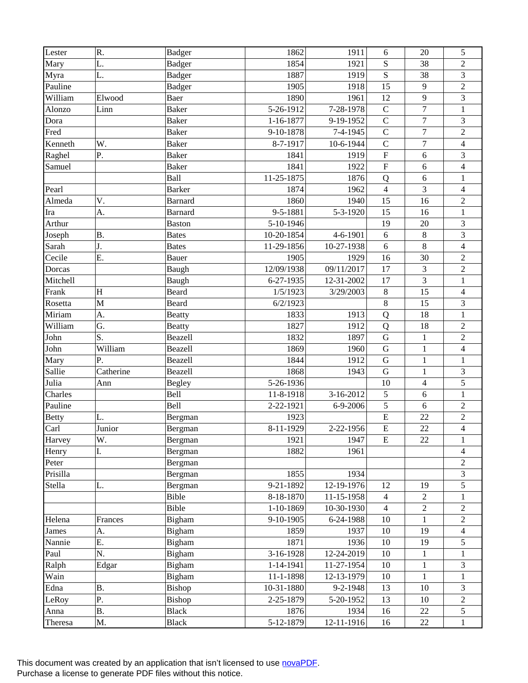| Lester                      | R.           | <b>Badger</b>  | 1862            | 1911             | 6                         | 20               | 5                       |
|-----------------------------|--------------|----------------|-----------------|------------------|---------------------------|------------------|-------------------------|
| Mary                        | L.           | <b>Badger</b>  | 1854            | 1921             | $\mathbf S$               | 38               | $\overline{c}$          |
| Myra                        | L.           | <b>Badger</b>  | 1887            | 1919             | $\mathbf S$               | 38               | 3                       |
| Pauline                     |              | <b>Badger</b>  | 1905            | 1918             | 15                        | 9                | $\overline{c}$          |
| $\overline{\text{William}}$ | Elwood       | Baer           | 1890            | 1961             | 12                        | $\overline{9}$   | $\overline{3}$          |
| Alonzo                      | Linn         | <b>Baker</b>   | 5-26-1912       | 7-28-1978        | $\mathcal{C}$             | $\boldsymbol{7}$ | $\mathbf{1}$            |
| Dora                        |              | <b>Baker</b>   | 1-16-1877       | 9-19-1952        | $\mathbf C$               | $\overline{7}$   | 3                       |
| Fred                        |              | <b>Baker</b>   | 9-10-1878       | 7-4-1945         | $\mathbf C$               | $\overline{7}$   | $\overline{2}$          |
| Kenneth                     | W.           | <b>Baker</b>   | 8-7-1917        | 10-6-1944        | $\mathbf C$               | $\overline{7}$   | $\overline{\mathbf{4}}$ |
| Raghel                      | Ρ.           | <b>Baker</b>   | 1841            | 1919             | $\boldsymbol{\mathrm{F}}$ | 6                | 3                       |
| Samuel                      |              | <b>Baker</b>   | 1841            | 1922             | $\boldsymbol{\mathrm{F}}$ | $\sqrt{6}$       | $\overline{4}$          |
|                             |              | Ball           | 11-25-1875      | 1876             | Q                         | 6                | $\mathbf{1}$            |
| Pearl                       |              | <b>Barker</b>  | 1874            | 1962             | $\overline{4}$            | 3                | $\overline{4}$          |
| Almeda                      | V.           | <b>Barnard</b> | 1860            | 1940             | 15                        | 16               | $\sqrt{2}$              |
| Ira                         | A.           | <b>Barnard</b> | 9-5-1881        | 5-3-1920         | 15                        | 16               | $\mathbf{1}$            |
| Arthur                      |              | <b>Baston</b>  | 5-10-1946       |                  | 19                        | 20               | $\mathfrak{Z}$          |
| Joseph                      | <b>B.</b>    | <b>Bates</b>   | 10-20-1854      | 4-6-1901         | 6                         | $8\,$            | 3                       |
| Sarah                       | J.           | <b>Bates</b>   | 11-29-1856      | 10-27-1938       | 6                         | 8                | $\overline{4}$          |
| Cecile                      | E.           | Bauer          | 1905            | 1929             | 16                        | 30               | $\overline{2}$          |
| Dorcas                      |              | Baugh          | 12/09/1938      | 09/11/2017       | 17                        | 3                | $\sqrt{2}$              |
| Mitchell                    |              | Baugh          | 6-27-1935       | 12-31-2002       | 17                        | 3                | $\mathbf{1}$            |
| Frank                       | H            | Beard          | 1/5/1923        | 3/29/2003        | $\,8\,$                   | 15               | $\overline{\mathbf{4}}$ |
| Rosetta                     | $\mathbf{M}$ | Beard          | 6/2/1923        |                  | $\,8\,$                   | 15               | 3                       |
| Miriam                      | A.           | <b>Beatty</b>  | 1833            | 1913             | Q                         | 18               | $\mathbf{1}$            |
| William                     | G.           | <b>Beatty</b>  | 1827            | 1912             | Q                         | 18               | $\sqrt{2}$              |
| John                        | S.           | Beazell        | 1832            | 1897             | ${\bf G}$                 | $\mathbf{1}$     | $\overline{c}$          |
| John                        | William      | Beazell        | 1869            | 1960             | ${\bf G}$                 | $\mathbf{1}$     | $\overline{4}$          |
| Mary                        | P.           | Beazell        | 1844            | 1912             | ${\bf G}$                 | $\mathbf{1}$     | $\mathbf{1}$            |
| Sallie                      | Catherine    | Beazell        | 1868            | 1943             | ${\bf G}$                 | $\mathbf{1}$     | 3                       |
| Julia                       | Ann          | <b>Begley</b>  | 5-26-1936       |                  | 10                        | $\overline{4}$   | $\overline{5}$          |
| Charles                     |              | Bell           | 11-8-1918       | 3-16-2012        | $\sqrt{5}$                | 6                | $\mathbf{1}$            |
| Pauline                     |              | Bell           | 2-22-1921       | 6-9-2006         | 5                         | 6                | $\sqrt{2}$              |
| <b>Betty</b>                | L.           | Bergman        | 1923            |                  | ${\bf E}$                 | 22               | $\overline{c}$          |
| Carl                        | Junior       | Bergman        | 8-11-1929       | 2-22-1956        | $\overline{E}$            | 22               | $\overline{4}$          |
| Harvey                      | W.           | Bergman        | 1921            | 1947             | $\mathbf E$               | 22               | 1                       |
| Henry                       | I.           | Bergman        | 1882            | 1961             |                           |                  | 4                       |
| Peter                       |              | Bergman        |                 |                  |                           |                  | $\overline{c}$          |
| Prisilla                    |              | Bergman        | 1855            | 1934             |                           |                  | 3                       |
| Stella                      | L.           | Bergman        | $9 - 21 - 1892$ | 12-19-1976       | 12                        | 19               | 5                       |
|                             |              | Bible          | 8-18-1870       | 11-15-1958       | $\overline{4}$            | $\overline{2}$   | 1                       |
|                             |              | Bible          | 1-10-1869       | 10-30-1930       | $\overline{4}$            | $\overline{2}$   | $\overline{2}$          |
| Helena                      | Frances      | Bigham         | 9-10-1905       | 6-24-1988        | 10                        | $\mathbf{1}$     | $\overline{2}$          |
| James                       | A.           | Bigham         | 1859            | 1937             | 10                        | 19               | 4                       |
| Nannie                      | Ε.           | Bigham         | 1871            | 1936             | $10\,$                    | 19               | 5                       |
| Paul                        | N.           | Bigham         | 3-16-1928       | 12-24-2019       | 10                        | 1                | 1                       |
| Ralph                       | Edgar        | Bigham         | 1-14-1941       | 11-27-1954       | 10                        | $\mathbf{1}$     | 3                       |
| Wain                        |              | Bigham         | 11-1-1898       | 12-13-1979       | 10                        | $\mathbf{1}$     | $\mathbf{1}$            |
| Edna                        | <b>B.</b>    | Bishop         | 10-31-1880      | $9 - 2 - 1948$   | 13                        | 10               | 3                       |
| LeRoy                       | P.           | Bishop         | 2-25-1879       | 5-20-1952        | 13                        | $10\,$           | $\overline{c}$          |
|                             | <b>B.</b>    | <b>Black</b>   | 1876            | 1934             | 16                        | 22               | 5                       |
| Anna                        |              |                |                 |                  |                           | 22               |                         |
| Theresa                     | M.           | <b>Black</b>   | 5-12-1879       | $12 - 11 - 1916$ | 16                        |                  | $\,1$                   |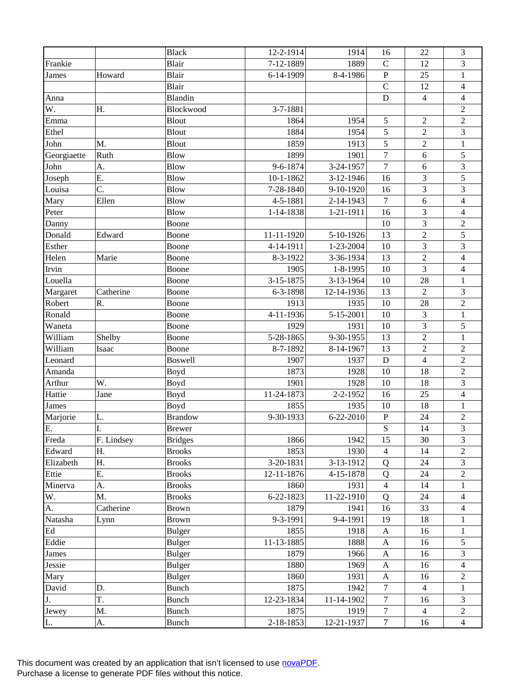|              |            | <b>Black</b>   | 12-2-1914  | 1914       | 16                        | 22             | 3                        |
|--------------|------------|----------------|------------|------------|---------------------------|----------------|--------------------------|
| Frankie      |            | Blair          | 7-12-1889  | 1889       | $\mathcal{C}$             | 12             | 3                        |
| <b>James</b> | Howard     | Blair          | 6-14-1909  | 8-4-1986   | ${\bf P}$                 | 25             | $\mathbf{1}$             |
|              |            | Blair          |            |            | $\mathsf{C}$              | 12             | $\overline{\mathcal{L}}$ |
| Anna         |            | Blandin        |            |            | $\mathbf D$               | $\overline{4}$ | $\overline{4}$           |
| W.           | Η.         | Blockwood      | 3-7-1881   |            |                           |                | $\overline{2}$           |
| Emma         |            | Blout          | 1864       | 1954       | $\sqrt{5}$                | $\sqrt{2}$     | $\sqrt{2}$               |
| Ethel        |            | Blout          | 1884       | 1954       | 5                         | $\overline{2}$ | 3                        |
| John         | M.         | Blout          | 1859       | 1913       | 5                         | $\sqrt{2}$     | $\,1$                    |
| Georgiaette  | Ruth       | <b>Blow</b>    | 1899       | 1901       | $\boldsymbol{7}$          | 6              | 5                        |
| John         | A.         | <b>Blow</b>    | 9-6-1874   | 3-24-1957  | $\boldsymbol{7}$          | 6              | 3                        |
| Joseph       | Ε.         | <b>Blow</b>    | 10-1-1862  | 3-12-1946  | 16                        | 3              | 5                        |
| Louisa       | C.         | <b>Blow</b>    | 7-28-1840  | 9-10-1920  | 16                        | 3              | 3                        |
| Mary         | Ellen      | <b>Blow</b>    | 4-5-1881   | 2-14-1943  | $\boldsymbol{7}$          | 6              | $\overline{\mathbf{4}}$  |
| Peter        |            | <b>Blow</b>    | 1-14-1838  | 1-21-1911  | 16                        | 3              | $\overline{4}$           |
| Danny        |            | Boone          |            |            | 10                        | 3              | $\overline{2}$           |
| Donald       | Edward     | Boone          | 11-11-1920 | 5-10-1926  | 13                        | $\overline{2}$ | 5                        |
| Esther       |            | Boone          | 4-14-1911  | 1-23-2004  | 10                        | 3              | 3                        |
| Helen        | Marie      | Boone          | 8-3-1922   | 3-36-1934  | 13                        | $\overline{2}$ | $\overline{\mathbf{4}}$  |
| Irvin        |            | Boone          | 1905       | 1-8-1995   | 10                        | 3              | $\overline{4}$           |
| Louella      |            | Boone          | 3-15-1875  | 3-13-1964  | 10                        | 28             | 1                        |
| Margaret     | Catherine  | Boone          | 6-3-1898   | 12-14-1936 | 13                        | $\overline{2}$ | $\mathfrak{Z}$           |
| Robert       | R.         | Boone          | 1913       | 1935       | 10                        | 28             | $\overline{2}$           |
| Ronald       |            | Boone          | 4-11-1936  | 5-15-2001  | 10                        | 3              | $\mathbf{1}$             |
| Waneta       |            | Boone          | 1929       | 1931       | 10                        | 3              | $\sqrt{5}$               |
| William      | Shelby     | Boone          | 5-28-1865  | 9-30-1955  | 13                        | $\overline{2}$ | $\mathbf{1}$             |
| William      | Isaac      | Boone          | 8-7-1892   | 8-14-1967  | 13                        | $\overline{2}$ | $\sqrt{2}$               |
| Leonard      |            | <b>Boswell</b> | 1907       | 1937       | D                         | $\overline{4}$ | $\overline{2}$           |
| Amanda       |            | Boyd           | 1873       | 1928       | 10                        | 18             | $\overline{2}$           |
| Arthur       | W.         | Boyd           | 1901       | 1928       | 10                        | 18             | 3                        |
| Hattie       | Jane       | Boyd           | 11-24-1873 | 2-2-1952   | 16                        | 25             | $\overline{4}$           |
| <b>James</b> |            | Boyd           | 1855       | 1935       | 10                        | 18             | 1                        |
| Marjorie     | L.         | <b>Brandow</b> | 9-30-1933  | 6-22-2010  | ${\bf P}$                 | 24             | $\overline{c}$           |
| E.           | I.         | <b>Brewer</b>  |            |            | S                         | 14             | 3                        |
| Freda        | F. Lindsey | <b>Bridges</b> | 1866       | 1942       | 15                        | 30             | $\mathfrak{Z}$           |
| Edward       | Η.         | <b>Brooks</b>  | 1853       | 1930       | $\overline{4}$            | 14             | $\overline{2}$           |
| Elizabeth    | Η.         | <b>Brooks</b>  | 3-20-1831  | 3-13-1912  | Q                         | 24             | 3                        |
| Ettie        | Ε.         | <b>Brooks</b>  | 12-11-1876 | 4-15-1878  | Q                         | 24             | $\overline{2}$           |
| Minerva      | A.         | <b>Brooks</b>  | 1860       | 1931       | $\overline{4}$            | 14             | $\mathbf{1}$             |
| W.           | M.         | <b>Brooks</b>  | 6-22-1823  | 11-22-1910 | Q                         | 24             | $\overline{4}$           |
| A.           | Catherine  | <b>Brown</b>   | 1879       | 1941       | 16                        | 33             | $\overline{4}$           |
| Natasha      | Lynn       | <b>Brown</b>   | 9-3-1991   | 9-4-1991   | 19                        | 18             | 1                        |
| Ed           |            | <b>Bulger</b>  | 1855       | 1918       | A                         | 16             | $\mathbf{1}$             |
| Eddie        |            | <b>Bulger</b>  | 11-13-1885 | 1888       | $\boldsymbol{\mathsf{A}}$ | 16             | 5                        |
| James        |            | <b>Bulger</b>  | 1879       | 1966       | A                         | 16             | 3                        |
| Jessie       |            | <b>Bulger</b>  | 1880       | 1969       | $\mathbf{A}$              | 16             | 4                        |
| Mary         |            | <b>Bulger</b>  | 1860       | 1931       | $\mathbf{A}$              | 16             | 2                        |
| David        | D.         | Bunch          | 1875       | 1942       | $\boldsymbol{7}$          | $\overline{4}$ | 1                        |
| J.           | T.         | <b>Bunch</b>   | 12-23-1834 | 11-14-1902 | $\tau$                    | 16             | 3                        |
| Jewey        | M.         | Bunch          | 1875       | 1919       | $\boldsymbol{7}$          | $\overline{4}$ | $\overline{c}$           |
| L.           | A.         | Bunch          | 2-18-1853  | 12-21-1937 | $\tau$                    | 16             | $\overline{4}$           |
|              |            |                |            |            |                           |                |                          |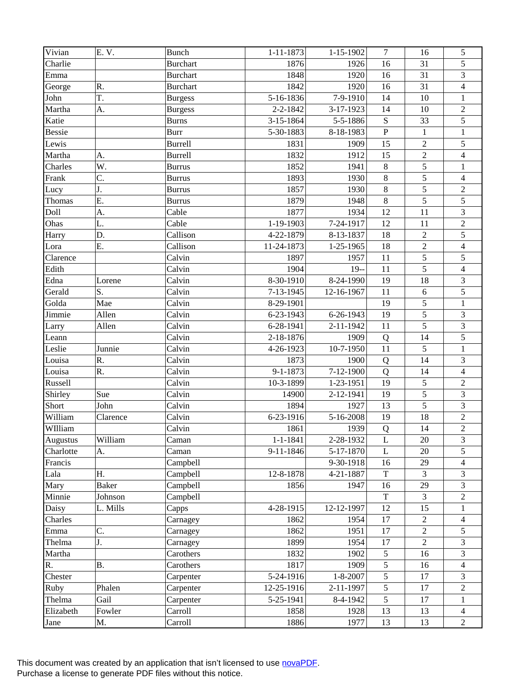| Vivian          | E. V.        | <b>Bunch</b>    | $1 - 11 - 1873$ | $1 - 15 - 1902$ | $\overline{7}$ | 16             | $\sqrt{5}$              |
|-----------------|--------------|-----------------|-----------------|-----------------|----------------|----------------|-------------------------|
| Charlie         |              | <b>Burchart</b> | 1876            | 1926            | 16             | 31             | 5                       |
| Emma            |              | <b>Burchart</b> | 1848            | 1920            | 16             | 31             | 3                       |
| George          | R.           | <b>Burchart</b> | 1842            | 1920            | 16             | 31             | $\overline{\mathbf{4}}$ |
| John            | T.           | <b>Burgess</b>  | 5-16-1836       | 7-9-1910        | 14             | 10             | $\,1$                   |
| Martha          | A.           | <b>Burgess</b>  | 2-2-1842        | 3-17-1923       | 14             | 10             | $\sqrt{2}$              |
| Katie           |              | <b>Burns</b>    | 3-15-1864       | 5-5-1886        | ${\bf S}$      | 33             | 5                       |
| <b>Bessie</b>   |              | Burr            | 5-30-1883       | 8-18-1983       | ${\bf P}$      | $\mathbf{1}$   | $\,1$                   |
| Lewis           |              | <b>Burrell</b>  | 1831            | 1909            | 15             | $\overline{2}$ | 5                       |
| Martha          | A.           | <b>Burrell</b>  | 1832            | 1912            | 15             | $\overline{2}$ | $\overline{4}$          |
| Charles         | W.           | <b>Burrus</b>   | 1852            | 1941            | $\,8\,$        | 5              | $\mathbf{1}$            |
| Frank           | C.           | <b>Burrus</b>   | 1893            | 1930            | $\,8\,$        | $\overline{5}$ | $\overline{4}$          |
| Lucy            | J.           | <b>Burrus</b>   | 1857            | 1930            | $\,8\,$        | 5              | $\sqrt{2}$              |
| Thomas          | E.           | <b>Burrus</b>   | 1879            | 1948            | $\,8\,$        | 5              | $\overline{5}$          |
| Doll            | A.           | Cable           | 1877            | 1934            | 12             | 11             | $\mathfrak{Z}$          |
| Ohas            | L.           | Cable           | 1-19-1903       | 7-24-1917       | 12             | 11             | $\sqrt{2}$              |
| Harry           | D.           | Callison        | 4-22-1879       | 8-13-1837       | 18             | $\overline{2}$ | 5                       |
| Lora            | E.           | Callison        | 11-24-1873      | 1-25-1965       | 18             | $\overline{2}$ | $\overline{\mathbf{4}}$ |
| Clarence        |              | Calvin          | 1897            | 1957            | 11             | $\overline{5}$ | 5                       |
| Edith           |              | Calvin          | 1904            | $19 -$          | 11             | $\overline{5}$ | $\overline{4}$          |
| Edna            | Lorene       | Calvin          | 8-30-1910       | 8-24-1990       | 19             | 18             | $\sqrt{3}$              |
| Gerald          | S.           | Calvin          | 7-13-1945       | 12-16-1967      | 11             | 6              | 5                       |
| Golda           | Mae          | Calvin          | 8-29-1901       |                 | 19             | 5              | $\mathbf{1}$            |
| Jimmie          | Allen        | Calvin          | 6-23-1943       | 6-26-1943       | 19             | 5              | 3                       |
| Larry           | Allen        | Calvin          | 6-28-1941       | 2-11-1942       | 11             | $\overline{5}$ | $\overline{\mathbf{3}}$ |
| Leann           |              | Calvin          | 2-18-1876       | 1909            | Q              | 14             | $\overline{5}$          |
| Leslie          | Junnie       | Calvin          | 4-26-1923       | 10-7-1950       | 11             | 5              | $\mathbf{1}$            |
| Louisa          | R.           | Calvin          | 1873            | 1900            | Q              | 14             | 3                       |
| Louisa          | R.           | Calvin          | 9-1-1873        | 7-12-1900       | Q              | 14             | $\overline{4}$          |
| Russell         |              | Calvin          | 10-3-1899       | 1-23-1951       | 19             | 5              | $\sqrt{2}$              |
| Shirley         | Sue          | Calvin          | 14900           | 2-12-1941       | 19             | $\overline{5}$ | $\mathfrak 3$           |
| Short           | John         | Calvin          | 1894            | 1927            | 13             | $\overline{5}$ | 3                       |
| William         | Clarence     | Calvin          | 6-23-1916       | 5-16-2008       | 19             | 18             | $\overline{2}$          |
| WIlliam         |              | Calvin          | 1861            | 1939            | ${\bf Q}$      | 14             | $\overline{2}$          |
| <b>Augustus</b> | William      | Caman           | $1 - 1 - 1841$  | 2-28-1932       | L              | 20             | $\mathfrak{Z}$          |
| Charlotte       | A.           | Caman           | 9-11-1846       | 5-17-1870       | L              | $20\,$         | 5                       |
| Francis         |              | Campbell        |                 | 9-30-1918       | 16             | 29             | 4                       |
| Lala            | Η.           | Campbell        | 12-8-1878       | 4-21-1887       | $\mathbf T$    | $\overline{3}$ | 3                       |
| Mary            | <b>Baker</b> | Campbell        | 1856            | 1947            | 16             | 29             | 3                       |
| Minnie          | Johnson      | Campbell        |                 |                 | $\mathbf T$    | $\overline{3}$ | $\sqrt{2}$              |
| Daisy           | L. Mills     | Capps           | 4-28-1915       | 12-12-1997      | 12             | 15             | 1                       |
| Charles         |              | Carnagey        | 1862            | 1954            | 17             | $\overline{c}$ | $\overline{4}$          |
|                 | C.           |                 | 1862            | 1951            | 17             | $\overline{2}$ | 5                       |
| Emma            |              | Carnagey        | 1899            | 1954            |                | $\overline{2}$ |                         |
| Thelma          | J.           | Carnagey        |                 |                 | 17             |                | 3                       |
| Martha          |              | Carothers       | 1832            | 1902            | 5              | 16             | 3                       |
| R.              | B.           | Carothers       | 1817            | 1909            | 5              | 16             | $\overline{4}$          |
| Chester         |              | Carpenter       | 5-24-1916       | $1 - 8 - 2007$  | 5              | 17             | 3                       |
| Ruby            | Phalen       | Carpenter       | 12-25-1916      | 2-11-1997       | 5              | 17             | $\overline{c}$          |
| Thelma          | Gail         | Carpenter       | 5-25-1941       | 8-4-1942        | 5              | 17             | $\mathbf{1}$            |
| Elizabeth       | Fowler       | Carroll         | 1858            | 1928            | 13             | 13             | 4                       |
| Jane            | Μ.           | Carroll         | 1886            | 1977            | 13             | 13             | $\sqrt{2}$              |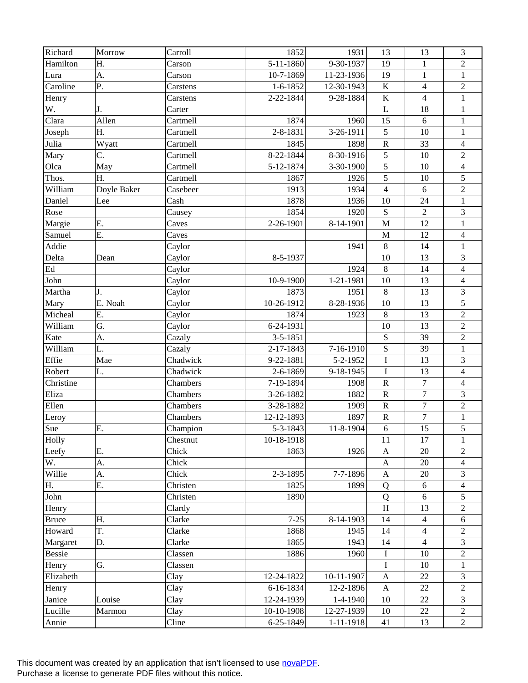| Richard             | Morrow      | Carroll  | 1852           | 1931            | 13             | 13               | 3                       |
|---------------------|-------------|----------|----------------|-----------------|----------------|------------------|-------------------------|
| Hamilton            | Η.          | Carson   | 5-11-1860      | 9-30-1937       | 19             | $\mathbf{1}$     | $\overline{2}$          |
| Lura                | A.          | Carson   | 10-7-1869      | 11-23-1936      | 19             | $\mathbf{1}$     | $\mathbf{1}$            |
| Caroline            | P.          | Carstens | $1 - 6 - 1852$ | 12-30-1943      | $\bf K$        | $\overline{4}$   | $\sqrt{2}$              |
| Henry               |             | Carstens | 2-22-1844      | 9-28-1884       | $\bf K$        | $\overline{4}$   | $\mathbf{1}$            |
| W.                  | J.          | Carter   |                |                 | L              | 18               | $\mathbf{1}$            |
| Clara               | Allen       | Cartmell | 1874           | 1960            | 15             | 6                | $\mathbf{1}$            |
| Joseph              | Η.          | Cartmell | 2-8-1831       | 3-26-1911       | 5              | 10               | $\mathbf{1}$            |
| Julia               | Wyatt       | Cartmell | 1845           | 1898            | ${\bf R}$      | 33               | $\overline{\mathbf{4}}$ |
| Mary                | C.          | Cartmell | 8-22-1844      | 8-30-1916       | 5              | 10               | $\sqrt{2}$              |
| Olca                | May         | Cartmell | 5-12-1874      | 3-30-1900       | $\sqrt{5}$     | 10               | $\overline{4}$          |
| Thos.               | Η.          | Cartmell | 1867           | 1926            | 5              | 10               | 5                       |
| William             | Doyle Baker | Casebeer | 1913           | 1934            | $\overline{4}$ | 6                | $\overline{2}$          |
| Daniel              | Lee         | Cash     | 1878           | 1936            | 10             | 24               | $\mathbf{1}$            |
| Rose                |             | Causey   | 1854           | 1920            | ${\bf S}$      | $\overline{2}$   | $\mathfrak{Z}$          |
| Margie              | Ε.          | Caves    | 2-26-1901      | 8-14-1901       | $\mathbf M$    | 12               | $\,1$                   |
| Samuel              | Ε.          | Caves    |                |                 | $\mathbf M$    | 12               | $\overline{\mathbf{4}}$ |
| Addie               |             | Caylor   |                | 1941            | $\,8\,$        | 14               | $\mathbf{1}$            |
| Delta               | Dean        | Caylor   | 8-5-1937       |                 | 10             | 13               | 3                       |
| $\operatorname{Ed}$ |             | Caylor   |                | 1924            | $\,8\,$        | 14               | $\overline{4}$          |
| John                |             | Caylor   | 10-9-1900      | 1-21-1981       | 10             | 13               | $\overline{4}$          |
| Martha              | J.          | Caylor   | 1873           | 1951            | $\,8\,$        | 13               | 3                       |
| Mary                | E. Noah     | Caylor   | 10-26-1912     | 8-28-1936       | 10             | 13               | 5                       |
| Micheal             | Ε.          | Caylor   | 1874           | 1923            | $\,8\,$        | 13               | $\sqrt{2}$              |
| William             | G.          | Caylor   | 6-24-1931      |                 | 10             | 13               | $\boldsymbol{2}$        |
| Kate                | A.          | Cazaly   | $3 - 5 - 1851$ |                 | ${\bf S}$      | 39               | $\overline{2}$          |
| William             | L.          | Cazaly   | 2-17-1843      | 7-16-1910       | $\mathbf S$    | 39               | $\mathbf{1}$            |
| Effie               | Mae         | Chadwick | 9-22-1881      | 5-2-1952        | $\mathbf I$    | 13               | 3                       |
| Robert              | L.          | Chadwick | 2-6-1869       | 9-18-1945       | $\bf I$        | 13               | $\overline{\mathbf{4}}$ |
| Christine           |             | Chambers | 7-19-1894      | 1908            | ${\bf R}$      | $\overline{7}$   | $\overline{4}$          |
| Eliza               |             | Chambers | 3-26-1882      | 1882            | ${\bf R}$      | $\boldsymbol{7}$ | 3                       |
| Ellen               |             | Chambers | 3-28-1882      | 1909            | ${\bf R}$      | $\overline{7}$   | $\overline{2}$          |
| Leroy               |             | Chambers | 12-12-1893     | 1897            | ${\bf R}$      | $\tau$           | $\,1$                   |
| Sue                 | Ε.          | Champion | 5-3-1843       | 11-8-1904       | 6              | 15               | 5                       |
| Holly               |             | Chestnut | 10-18-1918     |                 | 11             | 17               | 1                       |
| Leefy               | Ε.          | Chick    | 1863           | 1926            | A              | 20               | $\overline{2}$          |
| W.                  | A.          | Chick    |                |                 | A              | 20               | $\overline{4}$          |
| Willie              | A.          | Chick    | 2-3-1895       | 7-7-1896        | $\mathbf{A}$   | $20\,$           | 3                       |
| H.                  | Ε.          | Christen | 1825           | 1899            | Q              | 6                | $\overline{4}$          |
| John                |             | Christen | 1890           |                 | Q              | 6                | 5                       |
| Henry               |             | Clardy   |                |                 | H              | 13               | $\overline{2}$          |
| <b>Bruce</b>        | Η.          | Clarke   | $7 - 25$       | 8-14-1903       | 14             | $\overline{4}$   | 6                       |
| Howard              | T.          | Clarke   | 1868           | 1945            | 14             | $\overline{4}$   | $\overline{c}$          |
| Margaret            | D.          | Clarke   | 1865           | 1943            | 14             | $\overline{4}$   | 3                       |
| <b>Bessie</b>       |             | Classen  | 1886           | 1960            | Ι              | 10               | 2                       |
| Henry               | G.          | Classen  |                |                 | I              | 10               | 1                       |
| Elizabeth           |             | Clay     | 12-24-1822     | 10-11-1907      | A              | 22               | 3                       |
| Henry               |             | Clay     | 6-16-1834      | 12-2-1896       | $\mathbf{A}$   | 22               | $\overline{c}$          |
| Janice              | Louise      | Clay     | 12-24-1939     | $1-4-1940$      | 10             | 22               | 3                       |
| Lucille             | Marmon      | Clay     | 10-10-1908     | 12-27-1939      | 10             | 22               | $\overline{2}$          |
| Annie               |             | Cline    | 6-25-1849      | $1 - 11 - 1918$ | 41             | 13               | $\overline{2}$          |
|                     |             |          |                |                 |                |                  |                         |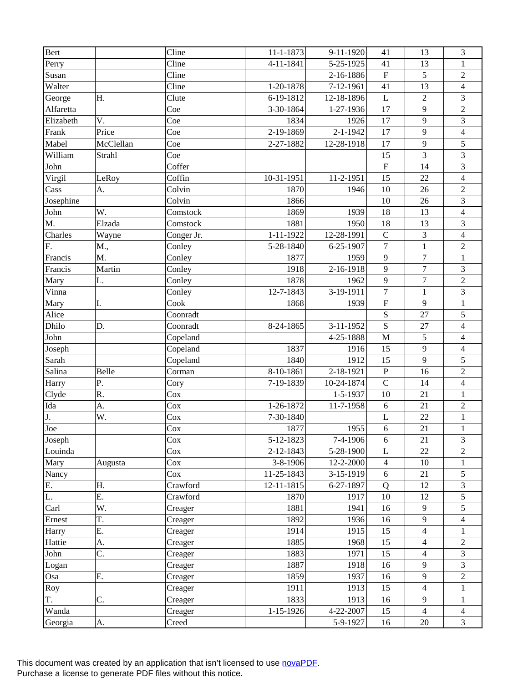| Bert      |           | Cline      | 11-1-1873       | 9-11-1920      | 41                        | 13               | 3                       |
|-----------|-----------|------------|-----------------|----------------|---------------------------|------------------|-------------------------|
| Perry     |           | Cline      | 4-11-1841       | 5-25-1925      | 41                        | 13               | 1                       |
| Susan     |           | Cline      |                 | 2-16-1886      | $\boldsymbol{\mathrm{F}}$ | 5                | $\sqrt{2}$              |
| Walter    |           | Cline      | 1-20-1878       | 7-12-1961      | 41                        | 13               | $\overline{\mathbf{4}}$ |
| George    | Η.        | Clute      | 6-19-1812       | 12-18-1896     | L                         | $\overline{2}$   | 3                       |
| Alfaretta |           | Coe        | 3-30-1864       | 1-27-1936      | 17                        | 9                | $\overline{2}$          |
| Elizabeth | V.        | Coe        | 1834            | 1926           | 17                        | 9                | 3                       |
| Frank     | Price     | Coe        | 2-19-1869       | 2-1-1942       | 17                        | 9                | $\overline{\mathbf{4}}$ |
| Mabel     | McClellan | Coe        | 2-27-1882       | 12-28-1918     | 17                        | 9                | 5                       |
| William   | Strahl    | Coe        |                 |                | 15                        | 3                | 3                       |
| John      |           | Coffer     |                 |                | $\boldsymbol{\mathrm{F}}$ | 14               | 3                       |
| Virgil    | LeRoy     | Coffin     | 10-31-1951      | 11-2-1951      | 15                        | 22               | $\overline{4}$          |
| Cass      | A.        | Colvin     | 1870            | 1946           | 10                        | 26               | $\sqrt{2}$              |
| Josephine |           | Colvin     | 1866            |                | 10                        | 26               | 3                       |
| John      | W.        | Comstock   | 1869            | 1939           | 18                        | 13               | $\overline{4}$          |
| M.        | Elzada    | Comstock   | 1881            | 1950           | 18                        | 13               | $\mathfrak{Z}$          |
| Charles   | Wayne     | Conger Jr. | $1 - 11 - 1922$ | 12-28-1991     | $\mathbf C$               | 3                | $\overline{\mathbf{4}}$ |
| F.        | M.,       | Conley     | 5-28-1840       | 6-25-1907      | $\tau$                    | $\mathbf{1}$     | $\overline{2}$          |
| Francis   | M.        | Conley     | 1877            | 1959           | $\mathbf{9}$              | $\overline{7}$   | $\mathbf{1}$            |
| Francis   | Martin    | Conley     | 1918            | 2-16-1918      | 9                         | $\overline{7}$   | 3                       |
| Mary      | L.        | Conley     | 1878            | 1962           | 9                         | $\boldsymbol{7}$ | $\sqrt{2}$              |
| Vinna     |           | Conley     | 12-7-1843       | 3-19-1911      | $\boldsymbol{7}$          | $\mathbf{1}$     | 3                       |
| Mary      | I.        | Cook       | 1868            | 1939           | $\overline{\mathrm{F}}$   | 9                | $\mathbf{1}$            |
| Alice     |           | Coonradt   |                 |                | ${\bf S}$                 | 27               | 5                       |
| Dhilo     | D.        | Coonradt   | 8-24-1865       | 3-11-1952      | S                         | 27               | $\overline{4}$          |
| John      |           | Copeland   |                 | 4-25-1888      | $\mathbf M$               | 5                | $\overline{4}$          |
| Joseph    |           | Copeland   | 1837            | 1916           | 15                        | 9                | $\overline{\mathbf{4}}$ |
| Sarah     |           | Copeland   | 1840            | 1912           | 15                        | 9                | 5                       |
| Salina    | Belle     | Corman     | 8-10-1861       | 2-18-1921      | ${\bf P}$                 | 16               | $\overline{c}$          |
| Harry     | Ρ.        | Cory       | 7-19-1839       | 10-24-1874     | $\mathcal{C}$             | 14               | $\overline{4}$          |
| Clyde     | R.        | Cox        |                 | $1 - 5 - 1937$ | 10                        | 21               | $\mathbf{1}$            |
| Ida       | A.        | Cox        | 1-26-1872       | 11-7-1958      | 6                         | 21               | $\overline{2}$          |
| J.        | W.        | Cox        | 7-30-1840       |                | L                         | 22               | $\,1$                   |
| Joe       |           | Cox        | 1877            | 1955           | 6                         | 21               | $\mathbf{1}$            |
| Joseph    |           | Cox        | 5-12-1823       | 7-4-1906       | 6                         | 21               | 3                       |
| Louinda   |           | Cox        | 2-12-1843       | 5-28-1900      | L                         | 22               | $\overline{c}$          |
| Mary      | Augusta   | Cox        | 3-8-1906        | 12-2-2000      | $\overline{4}$            | $10\,$           | 1                       |
| Nancy     |           | Cox        | 11-25-1843      | $3-15-1919$    | 6                         | 21               | 5                       |
| E.        | Η.        | Crawford   | 12-11-1815      | 6-27-1897      | Q                         | 12               | 3                       |
| L.        | Ε.        | Crawford   | 1870            | 1917           | 10                        | 12               | 5                       |
| Carl      | W.        | Creager    | 1881            | 1941           | 16                        | 9                | 5                       |
| Ernest    | T.        | Creager    | 1892            | 1936           | 16                        | 9                | $\overline{4}$          |
| Harry     | Ε.        | Creager    | 1914            | 1915           | 15                        | $\overline{4}$   | $\mathbf{1}$            |
| Hattie    | A.        | Creager    | 1885            | 1968           | 15                        | $\overline{4}$   | $\overline{c}$          |
| John      | C.        | Creager    | 1883            | 1971           | 15                        | 4                | 3                       |
| Logan     |           | Creager    | 1887            | 1918           | 16                        | $\overline{9}$   | 3                       |
| Osa       | Ε.        | Creager    | 1859            | 1937           | 16                        | 9                | $\overline{2}$          |
| Roy       |           | Creager    | 1911            | 1913           | 15                        | $\overline{4}$   | 1                       |
| T.        | C.        | Creager    | 1833            | 1913           | 16                        | 9                | $\mathbf{1}$            |
| Wanda     |           | Creager    | 1-15-1926       | 4-22-2007      | 15                        | 4                | $\overline{4}$          |
| Georgia   | A.        | Creed      |                 | 5-9-1927       | 16                        | $20\,$           | 3                       |
|           |           |            |                 |                |                           |                  |                         |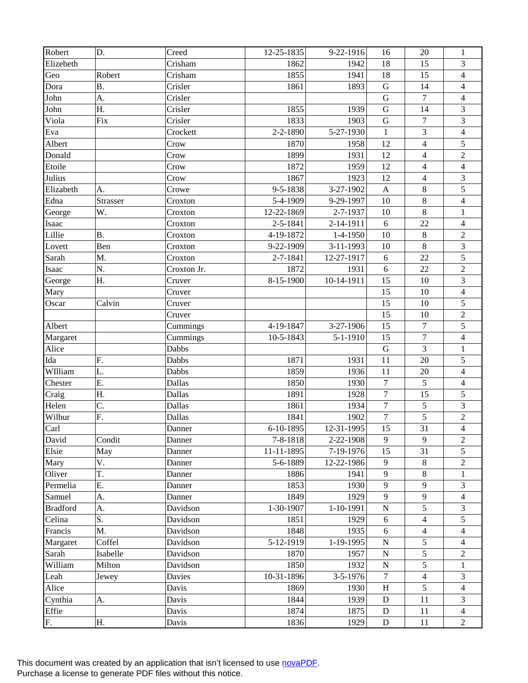| Robert          | D.        | Creed       | 12-25-1835 | 9-22-1916      | 16                        | 20               | $\mathbf{1}$            |
|-----------------|-----------|-------------|------------|----------------|---------------------------|------------------|-------------------------|
| Elizebeth       |           | Crisham     | 1862       | 1942           | 18                        | 15               | 3                       |
| Geo             | Robert    | Crisham     | 1855       | 1941           | 18                        | 15               | $\overline{\mathbf{4}}$ |
| Dora            | <b>B.</b> | Crisler     | 1861       | 1893           | ${\bf G}$                 | 14               | 4                       |
| John            | A.        | Crisler     |            |                | ${\bf G}$                 | $\overline{7}$   | $\overline{4}$          |
| John            | Η.        | Crisler     | 1855       | 1939           | ${\bf G}$                 | 14               | $\mathfrak{Z}$          |
| Viola           | Fix       | Crisler     | 1833       | 1903           | $\mathbf G$               | $\boldsymbol{7}$ | 3                       |
| Eva             |           | Crockett    | 2-2-1890   | 5-27-1930      | $\mathbf{1}$              | $\overline{3}$   | $\overline{4}$          |
| Albert          |           | Crow        | 1870       | 1958           | 12                        | $\overline{4}$   | 5                       |
| Donald          |           | Crow        | 1899       | 1931           | 12                        | $\overline{4}$   | $\overline{c}$          |
| Etoile          |           | Crow        | 1872       | 1959           | 12                        | $\overline{4}$   | $\overline{4}$          |
| Julius          |           | Crow        | 1867       | 1923           | 12                        | $\overline{4}$   | 3                       |
| Elizabeth       | A.        | Crowe       | 9-5-1838   | 3-27-1902      | $\boldsymbol{\mathsf{A}}$ | $\,8\,$          | 5                       |
| Edna            | Strasser  | Croxton     | 5-4-1909   | 9-29-1997      | 10                        | $\,8\,$          | $\overline{\mathbf{4}}$ |
| George          | W.        | Croxton     | 12-22-1869 | 2-7-1937       | 10                        | $\,8\,$          | $\mathbf{1}$            |
| Isaac           |           | Croxton     | 2-5-1841   | 2-14-1911      | 6                         | 22               | $\overline{4}$          |
| Lillie          | <b>B.</b> | Croxton     | 4-19-1872  | 1-4-1950       | 10                        | $\,8\,$          | $\sqrt{2}$              |
| Lovett          | Ben       | Croxton     | 9-22-1909  | $3-11-1993$    | 10                        | 8                | 3                       |
| Sarah           | M.        | Croxton     | 2-7-1841   | 12-27-1917     | $\sqrt{6}$                | 22               | 5                       |
| Isaac           | N.        | Croxton Jr. | 1872       | 1931           | 6                         | 22               | $\overline{2}$          |
| George          | Η.        | Cruver      | 8-15-1900  | 10-14-1911     | 15                        | 10               | $\mathfrak{Z}$          |
| Mary            |           | Cruver      |            |                | 15                        | 10               | $\overline{4}$          |
| Oscar           | Calvin    | Cruver      |            |                | 15                        | 10               | 5                       |
|                 |           | Cruver      |            |                | 15                        | 10               | $\sqrt{2}$              |
| Albert          |           | Cummings    | 4-19-1847  | 3-27-1906      | 15                        | $\overline{7}$   | 5                       |
| Margaret        |           | Cummings    | 10-5-1843  | $5 - 1 - 1910$ | 15                        | $\overline{7}$   | $\overline{4}$          |
| Alice           |           | Dabbs       |            |                | $\mathbf G$               | 3                | $\mathbf{1}$            |
| Ida             | F.        | Dabbs       | 1871       | 1931           | 11                        | 20               | 5                       |
| WIlliam         | L.        | Dabbs       | 1859       | 1936           | 11                        | 20               | $\overline{\mathbf{4}}$ |
| Chester         | Ε.        | Dallas      | 1850       | 1930           | $\boldsymbol{7}$          | 5                | $\overline{4}$          |
| Craig           | Η.        | Dallas      | 1891       | 1928           | $\tau$                    | 15               | $\sqrt{5}$              |
| Helen           | C.        | Dallas      | 1861       | 1934           | $\boldsymbol{7}$          | 5                | 3                       |
| Wilbur          | F.        | Dallas      | 1841       | 1902           | $\boldsymbol{7}$          | 5                | $\overline{2}$          |
| Carl            |           | Danner      | 6-10-1895  | 12-31-1995     | 15                        | 31               | $\overline{\mathbf{4}}$ |
| David           | Condit    | Danner      | 7-8-1818   | 2-22-1908      | 9                         | 9                | $\sqrt{2}$              |
| Elsie           | May       | Danner      | 11-11-1895 | 7-19-1976      | 15                        | 31               | 5                       |
| Mary            | V.        | Danner      | 5-6-1889   | 12-22-1986     | 9                         | $\,8\,$          | $\overline{2}$          |
| Oliver          | T.        | Danner      | 1886       | 1941           | 9                         | 8                | 1                       |
| Permelia        | Ε.        | Danner      | 1853       | 1930           | 9                         | 9                | 3                       |
| Samuel          | A.        | Danner      | 1849       | 1929           | 9                         | 9                | $\overline{4}$          |
| <b>Bradford</b> | A.        | Davidson    | 1-30-1907  | 1-10-1991      | $\mathbf N$               | 5                | 3                       |
| Celina          | S.        | Davidson    | 1851       | 1929           | 6                         | $\overline{4}$   | 5                       |
| Francis         | M.        | Davidson    | 1848       | 1935           | 6                         | $\overline{4}$   | 4                       |
| Margaret        | Coffel    | Davidson    | 5-12-1919  | 1-19-1995      | ${\bf N}$                 | 5                | $\overline{4}$          |
| Sarah           | Isabelle  | Davidson    | 1870       | 1957           | $\mathbf N$               | 5                | $\overline{c}$          |
| William         | Milton    | Davidson    | 1850       | 1932           | $\mathbf N$               | 5                | 1                       |
| Leah            | Jewey     | Davies      | 10-31-1896 | $3 - 5 - 1976$ | 7                         | $\overline{4}$   | 3                       |
| Alice           |           | Davis       | 1869       | 1930           | H                         | 5                | 4                       |
| Cynthia         | A.        | Davis       | 1844       | 1939           | ${\bf D}$                 | 11               | 3                       |
| Effie           |           | Davis       | 1874       | 1875           | ${\bf D}$                 | 11               | $\overline{4}$          |
| F.              | Н.        | Davis       | 1836       | 1929           | $\mathbf D$               | 11               | $\overline{2}$          |
|                 |           |             |            |                |                           |                  |                         |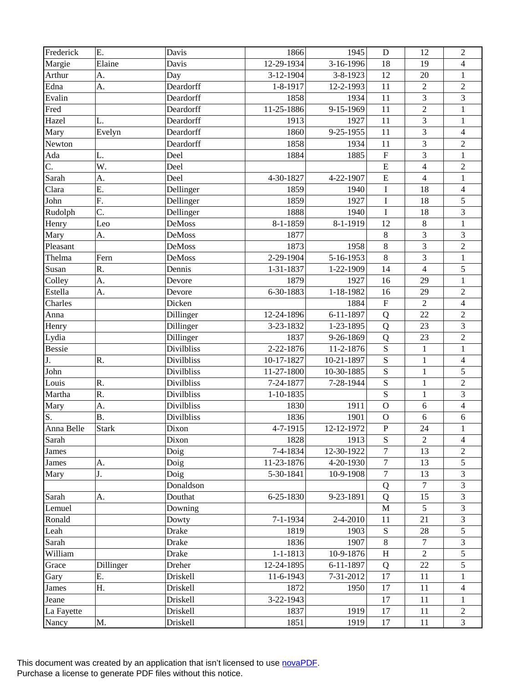| Frederick     | E.           | Davis             | 1866           | 1945       | D                         | 12                      | $\overline{2}$          |
|---------------|--------------|-------------------|----------------|------------|---------------------------|-------------------------|-------------------------|
| Margie        | Elaine       | Davis             | 12-29-1934     | 3-16-1996  | 18                        | 19                      | $\overline{4}$          |
| Arthur        | A.           | Day               | 3-12-1904      | 3-8-1923   | 12                        | 20                      | $\mathbf{1}$            |
| Edna          | A.           | Deardorff         | 1-8-1917       | 12-2-1993  | 11                        | $\overline{2}$          | $\overline{2}$          |
| Evalin        |              | Deardorff         | 1858           | 1934       | 11                        | $\overline{3}$          | $\overline{3}$          |
| Fred          |              | Deardorff         | 11-25-1886     | 9-15-1969  | 11                        | $\overline{2}$          | $\mathbf{1}$            |
| Hazel         | L.           | Deardorff         | 1913           | 1927       | 11                        | $\overline{3}$          | $\mathbf{1}$            |
| Mary          | Evelyn       | Deardorff         | 1860           | 9-25-1955  | 11                        | 3                       | $\overline{4}$          |
| Newton        |              | Deardorff         | 1858           | 1934       | 11                        | $\overline{3}$          | $\overline{c}$          |
| Ada           | L.           | Deel              | 1884           | 1885       | ${\bf F}$                 | 3                       | $\mathbf 1$             |
| C.            | W.           | Deel              |                |            | ${\bf E}$                 | $\overline{\mathbf{4}}$ | $\sqrt{2}$              |
| Sarah         | A.           | Deel              | 4-30-1827      | 4-22-1907  | $\overline{E}$            | $\overline{4}$          | $\mathbf{1}$            |
| Clara         | E.           | Dellinger         | 1859           | 1940       | $\bf I$                   | 18                      | $\overline{4}$          |
| John          | F.           | Dellinger         | 1859           | 1927       | $\bf I$                   | 18                      | 5                       |
| Rudolph       | C.           | Dellinger         | 1888           | 1940       | $\rm I$                   | 18                      | $\overline{\mathbf{3}}$ |
| Henry         | Leo          | <b>DeMoss</b>     | 8-1-1859       | 8-1-1919   | 12                        | $\,8\,$                 | $\mathbf{1}$            |
| Mary          | A.           | <b>DeMoss</b>     | 1877           |            | $\,8\,$                   | $\overline{3}$          | 3                       |
| Pleasant      |              | <b>DeMoss</b>     | 1873           | 1958       | $\,8\,$                   | $\overline{3}$          | $\overline{2}$          |
| Thelma        | Fern         | DeMoss            | 2-29-1904      | 5-16-1953  | $8\,$                     | $\overline{3}$          | $\mathbf{1}$            |
| Susan         | R.           | Dennis            | 1-31-1837      | 1-22-1909  | 14                        | $\overline{4}$          | 5                       |
| Colley        | A.           | Devore            | 1879           | 1927       | 16                        | 29                      | $\mathbf{1}$            |
| Estella       | A.           | Devore            | 6-30-1883      | 1-18-1982  | 16                        | 29                      | $\overline{c}$          |
| Charles       |              | Dicken            |                | 1884       | ${\bf F}$                 | $\overline{2}$          | $\overline{4}$          |
| Anna          |              | Dillinger         | 12-24-1896     | 6-11-1897  | Q                         | 22                      | $\boldsymbol{2}$        |
| Henry         |              | Dillinger         | 3-23-1832      | 1-23-1895  | Q                         | 23                      | $\overline{3}$          |
| Lydia         |              | Dillinger         | 1837           | 9-26-1869  | Q                         | 23                      | $\overline{2}$          |
| <b>Bessie</b> |              | Divilbliss        | 2-22-1876      | 11-2-1876  | S                         | $\mathbf{1}$            | $\mathbf{1}$            |
| J.            | R.           | <b>Divilbliss</b> | 10-17-1827     | 10-21-1897 | S                         | $\mathbf{1}$            | $\overline{4}$          |
| John          |              | <b>Divilbliss</b> | 11-27-1800     | 10-30-1885 | S                         | $\mathbf{1}$            | 5                       |
| Louis         | R.           | <b>Divilbliss</b> | 7-24-1877      | 7-28-1944  | S                         | $\mathbf{1}$            | $\overline{2}$          |
| Martha        | R.           | <b>Divilbliss</b> | $1-10-1835$    |            | ${\bf S}$                 | $\mathbf{1}$            | $\overline{\mathbf{3}}$ |
| Mary          | A.           | <b>Divilbliss</b> | 1830           | 1911       | $\overline{O}$            | 6                       | $\overline{4}$          |
| S.            | <b>B.</b>    | <b>Divilbliss</b> | 1836           | 1901       | $\overline{O}$            | 6                       | $\sqrt{6}$              |
| Anna Belle    | <b>Stark</b> | Dixon             | 4-7-1915       | 12-12-1972 | ${\bf P}$                 | 24                      | $\mathbf{1}$            |
| Sarah         |              | Dixon             | 1828           | 1913       | ${\bf S}$                 | $\overline{2}$          | $\overline{4}$          |
| James         |              | Doig              | 7-4-1834       | 12-30-1922 | 7                         | 13                      | $\overline{2}$          |
| <b>James</b>  | A.           | Doig              | 11-23-1876     | 4-20-1930  | $\tau$                    | 13                      | 5                       |
| Mary          | J.           | Doig              | 5-30-1841      | 10-9-1908  | $\boldsymbol{7}$          | 13                      | 3                       |
|               |              | Donaldson         |                |            | Q                         | $\overline{7}$          | $\mathfrak{Z}$          |
| Sarah         | A.           | Douthat           | 6-25-1830      | 9-23-1891  | Q                         | 15                      | $\mathfrak{Z}$          |
| Lemuel        |              | Downing           |                |            | $\mathbf{M}$              | 5                       | 3                       |
| Ronald        |              | Dowty             | $7 - 1 - 1934$ | 2-4-2010   | 11                        | 21                      | 3                       |
| Leah          |              | Drake             | 1819           | 1903       | ${\bf S}$                 | 28                      | $\mathfrak s$           |
| Sarah         |              | Drake             | 1836           | 1907       | $\,8\,$                   | 7                       | $\mathfrak{Z}$          |
| William       |              | Drake             | $1 - 1 - 1813$ | 10-9-1876  | $\boldsymbol{\mathrm{H}}$ | $\overline{2}$          | 5                       |
| Grace         | Dillinger    | Dreher            | 12-24-1895     | 6-11-1897  | Q                         | 22                      | 5                       |
| Gary          | Ε.           | Driskell          | 11-6-1943      | 7-31-2012  | 17                        | 11                      | $\mathbf{1}$            |
| James         | H.           | Driskell          | 1872           | 1950       | 17                        | 11                      | $\overline{4}$          |
| Jeane         |              | Driskell          | 3-22-1943      |            | 17                        | 11                      | $\mathbf{1}$            |
| La Fayette    |              | Driskell          | 1837           | 1919       | 17                        | 11                      | $\boldsymbol{2}$        |
| Nancy         | M.           | Driskell          | 1851           | 1919       | 17                        | 11                      | $\overline{3}$          |
|               |              |                   |                |            |                           |                         |                         |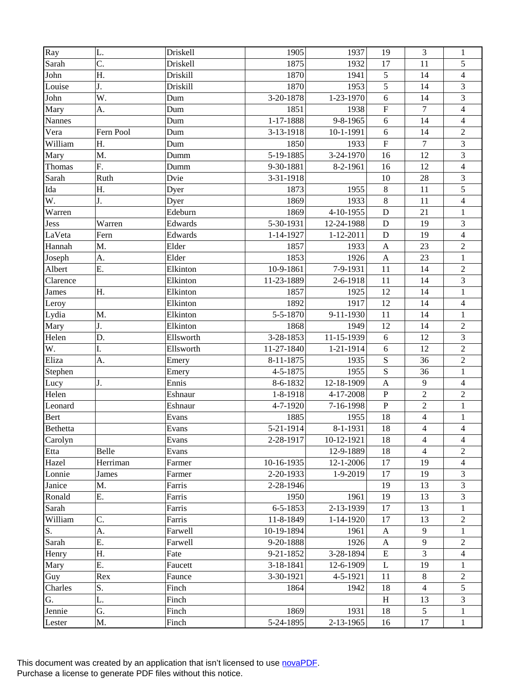| $\overline{Ray}$ | L.        | Driskell  | 1905           | 1937            | 19                      | 3              | $\mathbf{1}$             |
|------------------|-----------|-----------|----------------|-----------------|-------------------------|----------------|--------------------------|
| Sarah            | C.        | Driskell  | 1875           | 1932            | 17                      | 11             | 5                        |
| John             | Η.        | Driskill  | 1870           | 1941            | 5                       | 14             | $\overline{\mathcal{L}}$ |
| Louise           | J.        | Driskill  | 1870           | 1953            | 5                       | 14             | 3                        |
| John             | W.        | Dum       | 3-20-1878      | 1-23-1970       | 6                       | 14             | $\overline{3}$           |
| Mary             | A.        | Dum       | 1851           | 1938            | ${\bf F}$               | $\tau$         | $\overline{4}$           |
| <b>Nannes</b>    |           | Dum       | 1-17-1888      | 9-8-1965        | 6                       | 14             | $\overline{4}$           |
| Vera             | Fern Pool | Dum       | 3-13-1918      | 10-1-1991       | 6                       | 14             | $\sqrt{2}$               |
| William          | Η.        | Dum       | 1850           | 1933            | $\overline{\mathrm{F}}$ | $\overline{7}$ | 3                        |
| Mary             | M.        | Dumm      | 5-19-1885      | 3-24-1970       | 16                      | 12             | 3                        |
| Thomas           | F.        | Dumm      | 9-30-1881      | 8-2-1961        | 16                      | 12             | $\overline{4}$           |
| Sarah            | Ruth      | Dvie      | 3-31-1918      |                 | 10                      | 28             | 3                        |
| Ida              | Η.        | Dyer      | 1873           | 1955            | $\,8\,$                 | 11             | 5                        |
| W.               | J.        | Dyer      | 1869           | 1933            | $\,8\,$                 | 11             | $\overline{4}$           |
| Warren           |           | Edeburn   | 1869           | 4-10-1955       | D                       | 21             | $\mathbf{1}$             |
| Jess             | Warren    | Edwards   | 5-30-1931      | 12-24-1988      | D                       | 19             | $\mathfrak{Z}$           |
| LaVeta           | Fern      | Edwards   | 1-14-1927      | $1 - 12 - 2011$ | ${\bf D}$               | 19             | $\overline{4}$           |
| Hannah           | M.        | Elder     | 1857           | 1933            | $\mathbf{A}$            | 23             | $\sqrt{2}$               |
| Joseph           | A.        | Elder     | 1853           | 1926            | $\mathbf{A}$            | 23             | $\mathbf{1}$             |
| Albert           | Ε.        | Elkinton  | 10-9-1861      | 7-9-1931        | 11                      | 14             | $\sqrt{2}$               |
| Clarence         |           | Elkinton  | 11-23-1889     | 2-6-1918        | 11                      | 14             | $\mathfrak 3$            |
| James            | Η.        | Elkinton  | 1857           | 1925            | 12                      | 14             | $\mathbf{1}$             |
| Leroy            |           | Elkinton  | 1892           | 1917            | 12                      | 14             | $\overline{4}$           |
| Lydia            | M.        | Elkinton  | 5-5-1870       | 9-11-1930       | 11                      | 14             | $\,1$                    |
| Mary             | J.        | Elkinton  | 1868           | 1949            | 12                      | 14             | $\sqrt{2}$               |
| Helen            | D.        | Ellsworth | 3-28-1853      | 11-15-1939      | 6                       | 12             | 3                        |
| W.               | I.        | Ellsworth | 11-27-1840     | 1-21-1914       | 6                       | 12             | $\overline{2}$           |
| Eliza            | A.        | Emery     | 8-11-1875      | 1935            | ${\bf S}$               | 36             | $\sqrt{2}$               |
| Stephen          |           | Emery     | 4-5-1875       | 1955            | $\mathbf S$             | 36             | $\mathbf{1}$             |
| Lucy             | J.        | Ennis     | 8-6-1832       | 12-18-1909      | $\mathbf{A}$            | $\overline{9}$ | $\overline{4}$           |
| Helen            |           | Eshnaur   | 1-8-1918       | 4-17-2008       | ${\bf P}$               | $\overline{2}$ | $\sqrt{2}$               |
| Leonard          |           | Eshnaur   | 4-7-1920       | 7-16-1998       | ${\bf P}$               | $\overline{2}$ | $\mathbf{1}$             |
| Bert             |           | Evans     | 1885           | 1955            | 18                      | $\overline{4}$ | $\,1$                    |
| Bethetta         |           | Evans     | 5-21-1914      | 8-1-1931        | 18                      | $\overline{4}$ | $\overline{4}$           |
| Carolyn          |           | Evans     | 2-28-1917      | 10-12-1921      | 18                      | 4              | $\overline{4}$           |
| Etta             | Belle     | Evans     |                | 12-9-1889       | 18                      | $\overline{4}$ | 2                        |
| Hazel            | Herriman  | Farmer    | 10-16-1935     | 12-1-2006       | 17                      | 19             | $\overline{4}$           |
| Lonnie           | James     | Farmer    | 2-20-1933      | 1-9-2019        | 17                      | 19             | 3                        |
| Janice           | M.        | Farris    | 2-28-1946      |                 | 19                      | 13             | 3                        |
| Ronald           | Е.        | Farris    | 1950           | 1961            | 19                      | 13             | 3                        |
| Sarah            |           | Farris    | $6 - 5 - 1853$ | 2-13-1939       | 17                      | 13             | 1                        |
| William          | C.        | Farris    | 11-8-1849      | 1-14-1920       | 17                      | 13             | 2                        |
| S.               | A.        | Farwell   | 10-19-1894     | 1961            | A                       | 9              | 1                        |
| Sarah            | Ε.        | Farwell   | 9-20-1888      | 1926            | A                       | 9              | $\overline{c}$           |
| Henry            | Η.        | Fate      | 9-21-1852      | 3-28-1894       | E                       | 3              | 4                        |
| Mary             | Е.        | Faucett   | 3-18-1841      | 12-6-1909       | L                       | 19             | 1                        |
| Guy              | Rex       | Faunce    | 3-30-1921      | 4-5-1921        | 11                      | $8\,$          | $\overline{c}$           |
| Charles          | S.        | Finch     | 1864           | 1942            | 18                      | $\overline{4}$ | 5                        |
| G.               | L.        | Finch     |                |                 | H                       | 13             | 3                        |
| Jennie           | G.        | Finch     | 1869           | 1931            | 18                      | 5              | 1                        |
| Lester           | Μ.        | Finch     | 5-24-1895      | $2 - 13 - 1965$ | 16                      | 17             | $\mathbf{1}$             |
|                  |           |           |                |                 |                         |                |                          |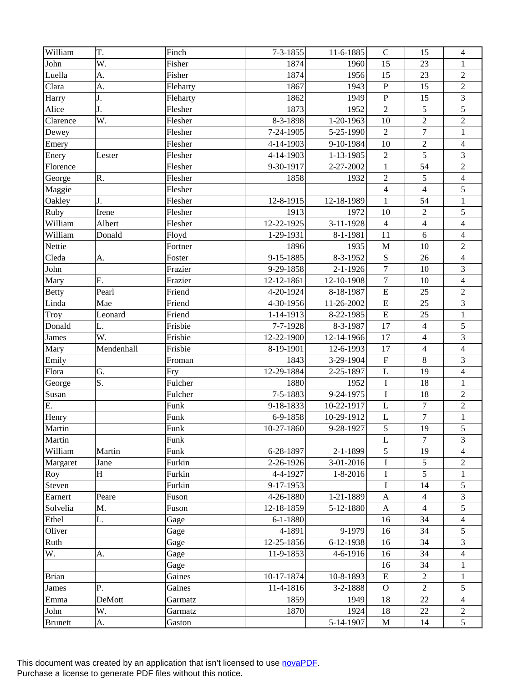| William        | T.         | Finch    | $7 - 3 - 1855$ | 11-6-1885      | $\mathbf C$               | 15               | $\overline{4}$          |
|----------------|------------|----------|----------------|----------------|---------------------------|------------------|-------------------------|
| John           | W.         | Fisher   | 1874           | 1960           | 15                        | 23               | 1                       |
| Luella         | A.         | Fisher   | 1874           | 1956           | 15                        | 23               | $\sqrt{2}$              |
| Clara          | A.         | Fleharty | 1867           | 1943           | ${\bf P}$                 | 15               | $\sqrt{2}$              |
| Harry          | J.         | Fleharty | 1862           | 1949           | ${\bf P}$                 | 15               | $\overline{\mathbf{3}}$ |
| Alice          | J.         | Flesher  | 1873           | 1952           | $\overline{2}$            | $\sqrt{5}$       | $\sqrt{5}$              |
| Clarence       | W.         | Flesher  | 8-3-1898       | 1-20-1963      | 10                        | $\overline{2}$   | $\sqrt{2}$              |
| Dewey          |            | Flesher  | 7-24-1905      | 5-25-1990      | $\overline{2}$            | $\boldsymbol{7}$ | $\mathbf{1}$            |
| Emery          |            | Flesher  | 4-14-1903      | 9-10-1984      | 10                        | $\overline{2}$   | $\overline{\mathbf{4}}$ |
| Enery          | Lester     | Flesher  | 4-14-1903      | 1-13-1985      | $\sqrt{2}$                | $\overline{5}$   | $\mathfrak{Z}$          |
| Florence       |            | Flesher  | 9-30-1917      | 2-27-2002      | $\mathbf{1}$              | 54               | $\sqrt{2}$              |
| George         | R.         | Flesher  | 1858           | 1932           | $\overline{2}$            | 5                | $\overline{4}$          |
| Maggie         |            | Flesher  |                |                | $\overline{4}$            | $\overline{4}$   | 5                       |
| Oakley         | J.         | Flesher  | 12-8-1915      | 12-18-1989     | $\mathbf{1}$              | 54               | $\,1$                   |
| Ruby           | Irene      | Flesher  | 1913           | 1972           | 10                        | $\overline{2}$   | $\sqrt{5}$              |
| William        | Albert     | Flesher  | 12-22-1925     | 3-11-1928      | $\overline{4}$            | $\overline{4}$   | $\overline{4}$          |
| William        | Donald     | Floyd    | 1-29-1931      | 8-1-1981       | 11                        | 6                | $\overline{\mathbf{4}}$ |
| Nettie         |            | Fortner  | 1896           | 1935           | $\mathbf{M}$              | 10               | $\sqrt{2}$              |
| Cleda          | A.         | Foster   | 9-15-1885      | 8-3-1952       | $\mathbf S$               | 26               | $\overline{4}$          |
| John           |            | Frazier  | 9-29-1858      | $2 - 1 - 1926$ | $\tau$                    | 10               | $\mathfrak{Z}$          |
| Mary           | F.         | Frazier  | 12-12-1861     | 12-10-1908     | $\tau$                    | 10               | $\overline{4}$          |
| <b>Betty</b>   | Pearl      | Friend   | 4-20-1924      | 8-18-1987      | ${\bf E}$                 | 25               | $\sqrt{2}$              |
| Linda          | Mae        | Friend   | 4-30-1956      | 11-26-2002     | ${\bf E}$                 | 25               | 3                       |
| Troy           | Leonard    | Friend   | 1-14-1913      | 8-22-1985      | ${\bf E}$                 | 25               | $\,1$                   |
| Donald         | L.         | Frisbie  | 7-7-1928       | 8-3-1987       | 17                        | $\overline{4}$   | $\sqrt{5}$              |
| James          | W.         | Frisbie  | 12-22-1900     | 12-14-1966     | 17                        | $\overline{4}$   | 3                       |
| Mary           | Mendenhall | Frisbie  | 8-19-1901      | 12-6-1993      | 17                        | $\overline{4}$   | $\overline{4}$          |
| Emily          |            | Froman   | 1843           | 3-29-1904      | $\boldsymbol{\mathrm{F}}$ | $\,8\,$          | 3                       |
| Flora          | G.         | Fry      | 12-29-1884     | 2-25-1897      | $\mathbf L$               | 19               | $\overline{4}$          |
| George         | S.         | Fulcher  | 1880           | 1952           | $\bf I$                   | 18               | $\mathbf{1}$            |
| Susan          |            | Fulcher  | 7-5-1883       | 9-24-1975      | $\bf I$                   | 18               | $\sqrt{2}$              |
| E.             |            | Funk     | 9-18-1833      | 10-22-1917     | $\mathbf L$               | $\overline{7}$   | $\sqrt{2}$              |
| Henry          |            | Funk     | 6-9-1858       | 10-29-1912     | $\mathbf L$               | $\overline{7}$   | $\,1$                   |
| Martin         |            | Funk     | 10-27-1860     | 9-28-1927      | 5                         | 19               | 5                       |
| Martin         |            | Funk     |                |                | L                         | $\overline{7}$   | 3                       |
| William        | Martin     | Funk     | 6-28-1897      | $2 - 1 - 1899$ | 5                         | 19               | 4                       |
| Margaret       | Jane       | Furkin   | 2-26-1926      | $3-01-2016$    | $\mathbf I$               | 5                | $\overline{2}$          |
| Roy            | $H_{\rm}$  | Furkin   | 4-4-1927       | $1 - 8 - 2016$ | $\mathbf I$               | 5                | 1                       |
| Steven         |            | Furkin   | 9-17-1953      |                | $\mathbf I$               | 14               | 5                       |
| Earnert        | Peare      | Fuson    | 4-26-1880      | 1-21-1889      | A                         | $\overline{4}$   | 3                       |
| Solvelia       | M.         | Fuson    | 12-18-1859     | 5-12-1880      | $\mathbf{A}$              | $\overline{4}$   | 5                       |
| Ethel          | L.         | Gage     | $6 - 1 - 1880$ |                | 16                        | 34               | $\overline{4}$          |
| Oliver         |            | Gage     | 4-1891         | 9-1979         | 16                        | 34               | 5                       |
| Ruth           |            | Gage     | 12-25-1856     | 6-12-1938      | 16                        | 34               | 3                       |
| W.             | А.         | Gage     | 11-9-1853      | 4-6-1916       | 16                        | 34               | 4                       |
|                |            | Gage     |                |                | 16                        | 34               | 1                       |
| <b>Brian</b>   |            | Gaines   | 10-17-1874     | 10-8-1893      | E                         | $\overline{2}$   | $\mathbf{1}$            |
| James          | P.         | Gaines   | 11-4-1816      | 3-2-1888       | $\mathbf{O}$              | $\overline{2}$   | 5                       |
| Emma           | DeMott     | Garmatz  | 1859           | 1949           | 18                        | 22               | $\overline{4}$          |
| John           | W.         | Garmatz  | 1870           | 1924           | 18                        | 22               | 2                       |
| <b>Brunett</b> | A.         | Gaston   |                | 5-14-1907      | M                         | 14               | 5                       |
|                |            |          |                |                |                           |                  |                         |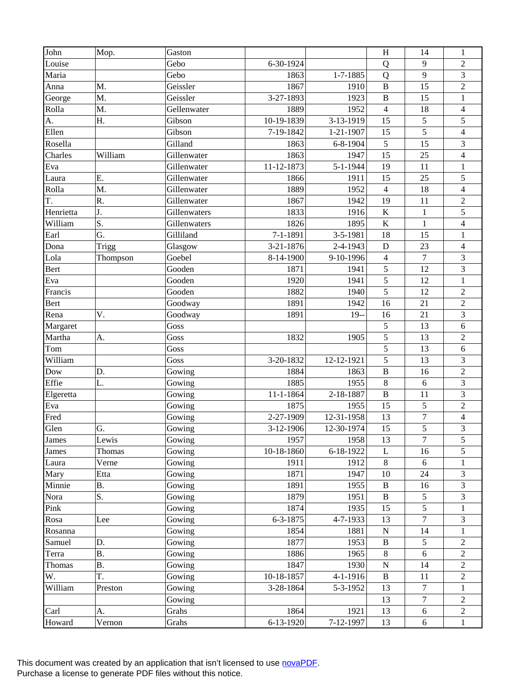| John      | Mop.      | Gaston       |                 |                 | H              | 14               | $\mathbf{1}$             |
|-----------|-----------|--------------|-----------------|-----------------|----------------|------------------|--------------------------|
| Louise    |           | Gebo         | 6-30-1924       |                 | Q              | 9                | $\overline{2}$           |
| Maria     |           | Gebo         | 1863            | 1-7-1885        | Q              | 9                | 3                        |
| Anna      | M.        | Geissler     | 1867            | 1910            | $\, {\bf B}$   | 15               | $\overline{c}$           |
| George    | M.        | Geissler     | 3-27-1893       | 1923            | $\, {\bf B}$   | 15               | $\mathbf 1$              |
| Rolla     | M.        | Gellenwater  | 1889            | 1952            | $\overline{4}$ | 18               | $\overline{4}$           |
| A.        | Η.        | Gibson       | 10-19-1839      | 3-13-1919       | 15             | 5                | 5                        |
| Ellen     |           | Gibson       | 7-19-1842       | $1 - 21 - 1907$ | 15             | 5                | $\overline{\mathcal{L}}$ |
| Rosella   |           | Gilland      | 1863            | 6-8-1904        | 5              | 15               | 3                        |
| Charles   | William   | Gillenwater  | 1863            | 1947            | 15             | 25               | $\overline{\mathbf{4}}$  |
| Eva       |           | Gillenwater  | 11-12-1873      | 5-1-1944        | 19             | 11               | $\mathbf{1}$             |
| Laura     | Ε.        | Gillenwater  | 1866            | 1911            | 15             | 25               | 5                        |
| Rolla     | M.        | Gillenwater  | 1889            | 1952            | $\overline{4}$ | 18               | $\overline{\mathbf{4}}$  |
| T.        | R.        | Gillenwater  | 1867            | 1942            | 19             | 11               | $\boldsymbol{2}$         |
| Henrietta | J.        | Gillenwaters | 1833            | 1916            | $\bf K$        | $\mathbf{1}$     | $\overline{5}$           |
| William   | S.        | Gillenwaters | 1826            | 1895            | $\bf K$        | $\mathbf{1}$     | $\overline{4}$           |
| Earl      | G.        | Gilliland    | 7-1-1891        | 3-5-1981        | 18             | 15               | $\mathbf{1}$             |
| Dona      | Trigg     | Glasgow      | 3-21-1876       | 2-4-1943        | $\mathbf D$    | 23               | $\overline{\mathbf{4}}$  |
| Lola      | Thompson  | Goebel       | 8-14-1900       | 9-10-1996       | $\overline{4}$ | $\overline{7}$   | 3                        |
| Bert      |           | Gooden       | 1871            | 1941            | 5              | 12               | $\overline{3}$           |
| Eva       |           | Gooden       | 1920            | 1941            | $\sqrt{5}$     | 12               | $\mathbf{1}$             |
| Francis   |           | Gooden       | 1882            | 1940            | 5              | 12               | $\overline{2}$           |
| Bert      |           | Goodway      | 1891            | 1942            | 16             | 21               | $\boldsymbol{2}$         |
| Rena      | V.        | Goodway      | 1891            | $19-$           | 16             | 21               | 3                        |
| Margaret  |           | Goss         |                 |                 | $\sqrt{5}$     | 13               | 6                        |
| Martha    | A.        | Goss         | 1832            | 1905            | 5              | 13               | $\overline{2}$           |
| Tom       |           | Goss         |                 |                 | $\sqrt{5}$     | 13               | 6                        |
| William   |           | Goss         | 3-20-1832       | 12-12-1921      | 5              | 13               | 3                        |
| Dow       | D.        | Gowing       | 1884            | 1863            | $\, {\bf B}$   | 16               | $\overline{2}$           |
| Effie     | L.        | Gowing       | 1885            | 1955            | $\,8\,$        | 6                | $\overline{3}$           |
| Elgeretta |           | Gowing       | $11 - 1 - 1864$ | 2-18-1887       | $\, {\bf B}$   | 11               | 3                        |
| Eva       |           | Gowing       | 1875            | 1955            | 15             | 5                | $\overline{2}$           |
| Fred      |           | Gowing       | 2-27-1909       | 12-31-1958      | 13             | $\boldsymbol{7}$ | $\overline{\mathcal{L}}$ |
| Glen      | G.        | Gowing       | 3-12-1906       | 12-30-1974      | 15             | 5                | $\overline{3}$           |
| James     | Lewis     | Gowing       | 1957            | 1958            | 13             | $\tau$           | 5                        |
| James     | Thomas    | Gowing       | 10-18-1860      | 6-18-1922       | L              | 16               | 5                        |
| Laura     | Verne     | Gowing       | 1911            | 1912            | $\,8\,$        | 6                | 1                        |
| Mary      | Etta      | Gowing       | 1871            | 1947            | 10             | 24               | 3                        |
| Minnie    | Β.        | Gowing       | 1891            | 1955            | $\, {\bf B}$   | 16               | 3                        |
| Nora      | S.        | Gowing       | 1879            | 1951            | $\bf{B}$       | 5                | 3                        |
| Pink      |           | Gowing       | 1874            | 1935            | 15             | 5                | 1                        |
| Rosa      | Lee       | Gowing       | 6-3-1875        | 4-7-1933        | 13             | $\overline{7}$   | 3                        |
| Rosanna   |           | Gowing       | 1854            | 1881            | $\mathbf N$    | 14               | 1                        |
| Samuel    | D.        | Gowing       | 1877            | 1953            | $\, {\bf B}$   | 5                | $\overline{c}$           |
| Terra     | <b>B.</b> | Gowing       | 1886            | 1965            | $8\,$          | $6\,$            | $\overline{2}$           |
| Thomas    | <b>B.</b> | Gowing       | 1847            | 1930            | $\mathbf N$    | 14               | $\overline{2}$           |
| W.        | T.        | Gowing       | 10-18-1857      | 4-1-1916        | $\, {\bf B}$   | 11               | $\overline{2}$           |
| William   | Preston   | Gowing       | 3-28-1864       | 5-3-1952        | 13             | $\tau$           | 1                        |
|           |           | Gowing       |                 |                 | 13             | $\overline{7}$   | $\overline{c}$           |
| Carl      | A.        | Grahs        | 1864            | 1921            | 13             | $\sqrt{6}$       | $\overline{c}$           |
| Howard    | Vernon    | Grahs        | 6-13-1920       | 7-12-1997       | 13             | $\sqrt{6}$       | $\mathbf{1}$             |
|           |           |              |                 |                 |                |                  |                          |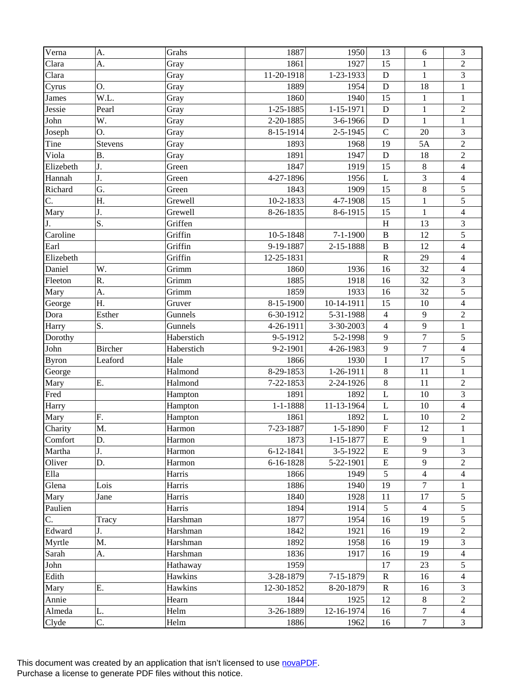| Verna        | A.             | Grahs      | 1887           | 1950            | 13             | 6              | 3                       |
|--------------|----------------|------------|----------------|-----------------|----------------|----------------|-------------------------|
| Clara        | A.             | Gray       | 1861           | 1927            | 15             | $\mathbf{1}$   | $\overline{2}$          |
| Clara        |                | Gray       | 11-20-1918     | 1-23-1933       | D              | $\mathbf{1}$   | 3                       |
| Cyrus        | O.             | Gray       | 1889           | 1954            | ${\bf D}$      | 18             | $\,1$                   |
| James        | W.L.           | Gray       | 1860           | 1940            | 15             | $\mathbf{1}$   | $\,1$                   |
| Jessie       | Pearl          | Gray       | 1-25-1885      | 1-15-1971       | D              | $\mathbf{1}$   | $\sqrt{2}$              |
| John         | W.             | Gray       | 2-20-1885      | 3-6-1966        | ${\bf D}$      | $\mathbf{1}$   | $\mathbf{1}$            |
| Joseph       | O.             | Gray       | 8-15-1914      | 2-5-1945        | $\mathcal{C}$  | 20             | 3                       |
| Tine         | <b>Stevens</b> | Gray       | 1893           | 1968            | 19             | 5A             | $\overline{2}$          |
| Viola        | <b>B.</b>      | Gray       | 1891           | 1947            | ${\bf D}$      | 18             | $\sqrt{2}$              |
| Elizebeth    | J.             | Green      | 1847           | 1919            | 15             | $\,8\,$        | $\overline{4}$          |
| Hannah       | J.             | Green      | 4-27-1896      | 1956            | L              | 3              | $\overline{\mathbf{4}}$ |
| Richard      | G.             | Green      | 1843           | 1909            | 15             | 8              | 5                       |
| C.           | Η.             | Grewell    | 10-2-1833      | 4-7-1908        | 15             | $\mathbf{1}$   | 5                       |
| Mary         | J.             | Grewell    | 8-26-1835      | 8-6-1915        | 15             | $\mathbf{1}$   | $\overline{4}$          |
| J.           | S.             | Griffen    |                |                 | $\, {\rm H}$   | 13             | $\mathfrak 3$           |
| Caroline     |                | Griffin    | 10-5-1848      | $7 - 1 - 1900$  | $\, {\bf B}$   | 12             | 5                       |
| Earl         |                | Griffin    | 9-19-1887      | 2-15-1888       | $\overline{B}$ | 12             | $\overline{4}$          |
| Elizebeth    |                | Griffin    | 12-25-1831     |                 | ${\bf R}$      | 29             | $\overline{\mathbf{4}}$ |
| Daniel       | W.             | Grimm      | 1860           | 1936            | 16             | 32             | $\overline{4}$          |
| Fleeton      | R.             | Grimm      | 1885           | 1918            | 16             | 32             | $\mathfrak 3$           |
| Mary         | A.             | Grimm      | 1859           | 1933            | 16             | 32             | 5                       |
| George       | Η.             | Gruver     | 8-15-1900      | 10-14-1911      | 15             | 10             | $\overline{4}$          |
| Dora         | Esther         | Gunnels    | 6-30-1912      | 5-31-1988       | $\overline{4}$ | 9              | $\sqrt{2}$              |
| Harry        | S.             | Gunnels    | 4-26-1911      | 3-30-2003       | $\overline{4}$ | 9              | $\,1\,$                 |
| Dorothy      |                | Haberstich | 9-5-1912       | 5-2-1998        | 9              | $\overline{7}$ | 5                       |
| John         | <b>Bircher</b> | Haberstich | 9-2-1901       | 4-26-1983       | 9              | $\overline{7}$ | $\overline{\mathbf{4}}$ |
| <b>Byron</b> | Leaford        | Hale       | 1866           | 1930            | $\overline{I}$ | 17             | 5                       |
| George       |                | Halmond    | 8-29-1853      | 1-26-1911       | $\,8\,$        | 11             | $\mathbf{1}$            |
| Mary         | Ε.             | Halmond    | 7-22-1853      | 2-24-1926       | $\,8\,$        | 11             | $\sqrt{2}$              |
| Fred         |                | Hampton    | 1891           | 1892            | L              | 10             | 3                       |
| Harry        |                | Hampton    | $1 - 1 - 1888$ | 11-13-1964      | $\mathbf{L}$   | 10             | $\overline{\mathbf{4}}$ |
| Mary         | F.             | Hampton    | 1861           | 1892            | L              | 10             | $\sqrt{2}$              |
| Charity      | M.             | Harmon     | 7-23-1887      | $1 - 5 - 1890$  | $\overline{F}$ | 12             | $\mathbf{1}$            |
| Comfort      | D.             | Harmon     | 1873           | $1 - 15 - 1877$ | ${\bf E}$      | 9              | 1                       |
| Martha       | J.             | Harmon     | 6-12-1841      | 3-5-1922        | ${\bf E}$      | 9              | 3                       |
| Oliver       | D.             | Harmon     | 6-16-1828      | 5-22-1901       | ${\bf E}$      | 9              | 2                       |
| Ella         |                | Harris     | 1866           | 1949            | 5              | $\overline{4}$ | 4                       |
| Glena        | Lois           | Harris     | 1886           | 1940            | 19             | $\overline{7}$ | $\mathbf{1}$            |
| Mary         | Jane           | Harris     | 1840           | 1928            | 11             | 17             | 5                       |
| Paulien      |                | Harris     | 1894           | 1914            | 5              | $\overline{4}$ | 5                       |
| C.           | Tracy          | Harshman   | 1877           | 1954            | 16             | 19             | 5                       |
| Edward       | J.             | Harshman   | 1842           | 1921            | 16             | 19             | $\overline{c}$          |
| Myrtle       | M.             | Harshman   | 1892           | 1958            | 16             | 19             | 3                       |
| Sarah        | A.             | Harshman   | 1836           | 1917            | 16             | 19             | 4                       |
| John         |                | Hathaway   | 1959           |                 | 17             | 23             | 5                       |
| Edith        |                | Hawkins    | 3-28-1879      | 7-15-1879       | $\mathbf R$    | 16             | 4                       |
| Mary         | Ε.             | Hawkins    | 12-30-1852     | 8-20-1879       | $\mathbf R$    | 16             | 3                       |
| Annie        |                | Hearn      | 1844           | 1925            | 12             | $8\,$          | $\overline{c}$          |
| Almeda       | L.             | Helm       | 3-26-1889      | 12-16-1974      | 16             | $\tau$         | 4                       |
| Clyde        | C.             | Helm       | 1886           | 1962            | 16             | $\tau$         | 3                       |
|              |                |            |                |                 |                |                |                         |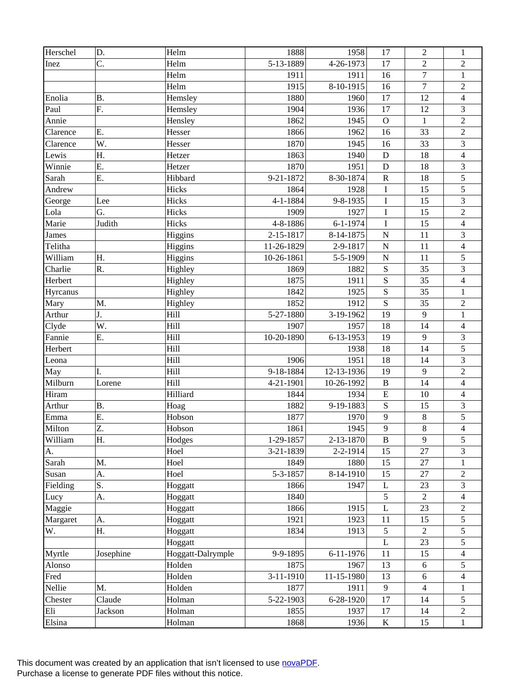| Herschel | D.        | Helm              | 1888       | 1958           | 17           | $\overline{2}$           | $\mathbf{1}$             |
|----------|-----------|-------------------|------------|----------------|--------------|--------------------------|--------------------------|
| Inez     | C.        | Helm              | 5-13-1889  | 4-26-1973      | 17           | $\overline{2}$           | $\overline{2}$           |
|          |           | Helm              | 1911       | 1911           | 16           | $\overline{7}$           | $\mathbf{1}$             |
|          |           | Helm              | 1915       | 8-10-1915      | 16           | $\overline{7}$           | $\sqrt{2}$               |
| Enolia   | <b>B.</b> | Hemsley           | 1880       | 1960           | 17           | 12                       | $\overline{4}$           |
| Paul     | F.        | Hemsley           | 1904       | 1936           | 17           | 12                       | 3                        |
| Annie    |           | Hensley           | 1862       | 1945           | $\mathbf{O}$ | $\mathbf{1}$             | $\sqrt{2}$               |
| Clarence | E.        | Hesser            | 1866       | 1962           | 16           | 33                       | $\overline{c}$           |
| Clarence | W.        | Hesser            | 1870       | 1945           | 16           | 33                       | 3                        |
| Lewis    | Η.        | Hetzer            | 1863       | 1940           | ${\bf D}$    | 18                       | $\overline{4}$           |
| Winnie   | Ε.        | Hetzer            | 1870       | 1951           | D            | 18                       | 3                        |
| Sarah    | Ε.        | Hibbard           | 9-21-1872  | 8-30-1874      | ${\bf R}$    | 18                       | 5                        |
| Andrew   |           | Hicks             | 1864       | 1928           | $\bf I$      | 15                       | 5                        |
| George   | Lee       | Hicks             | 4-1-1884   | 9-8-1935       | $\mathbf I$  | 15                       | 3                        |
| Lola     | G.        | Hicks             | 1909       | 1927           | $\bf I$      | 15                       | $\overline{c}$           |
| Marie    | Judith    | Hicks             | 4-8-1886   | $6 - 1 - 1974$ | $\mathbf I$  | 15                       | $\overline{4}$           |
| James    |           | Higgins           | 2-15-1817  | 8-14-1875      | ${\bf N}$    | 11                       | 3                        |
| Telitha  |           | Higgins           | 11-26-1829 | 2-9-1817       | $\mathbf N$  | 11                       | $\overline{\mathbf{4}}$  |
| William  | H.        | Higgins           | 10-26-1861 | 5-5-1909       | $\mathbf N$  | 11                       | 5                        |
| Charlie  | R.        | Highley           | 1869       | 1882           | ${\bf S}$    | 35                       | $\overline{3}$           |
| Herbert  |           | Highley           | 1875       | 1911           | ${\bf S}$    | 35                       | $\overline{\mathcal{L}}$ |
| Hyrcanus |           | Highley           | 1842       | 1925           | ${\bf S}$    | 35                       | $\mathbf{1}$             |
| Mary     | M.        | Highley           | 1852       | 1912           | S            | 35                       | $\overline{c}$           |
| Arthur   | J.        | Hill              | 5-27-1880  | 3-19-1962      | 19           | 9                        | $\mathbf{1}$             |
| Clyde    | W.        | Hill              | 1907       | 1957           | 18           | 14                       | $\overline{4}$           |
| Fannie   | Ε.        | Hill              | 10-20-1890 | 6-13-1953      | 19           | 9                        | $\mathfrak{Z}$           |
| Herbert  |           | Hill              |            | 1938           | 18           | 14                       | 5                        |
| Leona    |           | Hill              | 1906       | 1951           | 18           | 14                       | $\overline{3}$           |
| May      | I.        | Hill              | 9-18-1884  | 12-13-1936     | 19           | 9                        | $\overline{2}$           |
| Milburn  | Lorene    | Hill              | 4-21-1901  | 10-26-1992     | $\, {\bf B}$ | 14                       | $\overline{\mathbf{4}}$  |
| Hiram    |           | Hilliard          | 1844       | 1934           | ${\bf E}$    | 10                       | $\overline{4}$           |
| Arthur   | <b>B.</b> | Hoag              | 1882       | 9-19-1883      | ${\bf S}$    | 15                       | 3                        |
| Emma     | E.        | Hobson            | 1877       | 1970           | 9            | $8\,$                    | 5                        |
| Milton   | Z.        | Hobson            | 1861       | 1945           | 9            | $\,8\,$                  | $\overline{\mathbf{4}}$  |
| William  | Η.        | Hodges            | 1-29-1857  | 2-13-1870      | $\bf{B}$     | 9                        | $\sqrt{5}$               |
| A.       |           | Hoel              | 3-21-1839  | 2-2-1914       | 15           | 27                       | 3                        |
| Sarah    | M.        | Hoel              | 1849       | 1880           | 15           | 27                       | 1                        |
| Susan    | A.        | Hoel              | 5-3-1857   | 8-14-1910      | 15           | 27                       | $\overline{c}$           |
| Fielding | S.        | Hoggatt           | 1866       | 1947           | L            | 23                       | 3                        |
| Lucy     | A.        | Hoggatt           | 1840       |                | 5            | $\sqrt{2}$               | $\overline{4}$           |
| Maggie   |           | Hoggatt           | 1866       | 1915           | L            | 23                       | $\overline{c}$           |
| Margaret | A.        | Hoggatt           | 1921       | 1923           | 11           | 15                       | 5                        |
| W.       | Η.        | Hoggatt           | 1834       | 1913           | 5            | $\overline{2}$           | 5                        |
|          |           | Hoggatt           |            |                | L            | 23                       | 5                        |
| Myrtle   | Josephine | Hoggatt-Dalrymple | 9-9-1895   | 6-11-1976      | 11           | 15                       | $\overline{4}$           |
| Alonso   |           | Holden            | 1875       | 1967           | 13           | 6                        | 5                        |
| Fred     |           | Holden            | 3-11-1910  | 11-15-1980     | 13           | 6                        | 4                        |
| Nellie   | M.        | Holden            | 1877       | 1911           | 9            | $\overline{\mathcal{L}}$ | 1                        |
| Chester  | Claude    | Holman            | 5-22-1903  | 6-28-1920      | 17           | 14                       | 5                        |
| Eli      | Jackson   | Holman            | 1855       | 1937           | 17           | 14                       | $\overline{c}$           |
| Elsina   |           | Holman            | 1868       | 1936           | $\bf K$      | 15                       | $\mathbf{1}$             |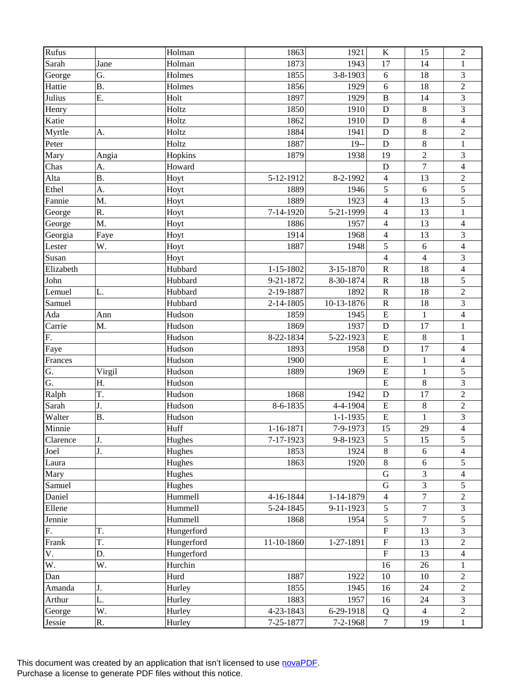| Rufus     |           | Holman     | 1863            | 1921           | $\rm K$                 | 15               | $\overline{2}$           |
|-----------|-----------|------------|-----------------|----------------|-------------------------|------------------|--------------------------|
| Sarah     | Jane      | Holman     | 1873            | 1943           | 17                      | 14               | $\mathbf{1}$             |
| George    | G.        | Holmes     | 1855            | 3-8-1903       | 6                       | 18               | 3                        |
| Hattie    | <b>B.</b> | Holmes     | 1856            | 1929           | 6                       | 18               | $\sqrt{2}$               |
| Julius    | E.        | Holt       | 1897            | 1929           | $\, {\bf B}$            | 14               | $\overline{\mathbf{3}}$  |
| Henry     |           | Holtz      | 1850            | 1910           | D                       | $\,8\,$          | 3                        |
| Katie     |           | Holtz      | 1862            | 1910           | $\mathbf D$             | 8                | $\overline{\mathbf{4}}$  |
| Myrtle    | A.        | Holtz      | 1884            | 1941           | D                       | $8\,$            | $\sqrt{2}$               |
| Peter     |           | Holtz      | 1887            | $19 -$         | $\mathbf D$             | 8                | $\,1$                    |
| Mary      | Angia     | Hopkins    | 1879            | 1938           | 19                      | $\overline{2}$   | 3                        |
| Chas      | А.        | Howard     |                 |                | $\mathbf D$             | $\boldsymbol{7}$ | $\overline{4}$           |
| Alta      | <b>B.</b> | Hoyt       | 5-12-1912       | 8-2-1992       | $\overline{4}$          | 13               | $\overline{c}$           |
| Ethel     | A.        | Hoyt       | 1889            | 1946           | 5                       | 6                | 5                        |
| Fannie    | M.        | Hoyt       | 1889            | 1923           | $\overline{4}$          | 13               | 5                        |
| George    | R.        | Hoyt       | 7-14-1920       | 5-21-1999      | $\overline{4}$          | 13               | $\mathbf{1}$             |
| George    | M.        | Hoyt       | 1886            | 1957           | $\overline{4}$          | 13               | $\overline{4}$           |
| Georgia   | Faye      | Hoyt       | 1914            | 1968           | $\overline{4}$          | 13               | 3                        |
| Lester    | W.        | Hoyt       | 1887            | 1948           | 5                       | 6                | $\overline{\mathbf{4}}$  |
| Susan     |           | Hoyt       |                 |                | $\overline{\mathbf{4}}$ | $\overline{4}$   | 3                        |
| Elizabeth |           | Hubbard    | $1 - 15 - 1802$ | 3-15-1870      | ${\bf R}$               | 18               | $\overline{4}$           |
| John      |           | Hubbard    | 9-21-1872       | 8-30-1874      | ${\bf R}$               | 18               | 5                        |
| Lemuel    | L.        | Hubbard    | 2-19-1887       | 1892           | ${\bf R}$               | 18               | $\overline{2}$           |
| Samuel    |           | Hubbard    | 2-14-1805       | 10-13-1876     | ${\bf R}$               | 18               | 3                        |
| Ada       | Ann       | Hudson     | 1859            | 1945           | ${\bf E}$               | $\mathbf{1}$     | $\overline{\mathbf{4}}$  |
| Carrie    | M.        | Hudson     | 1869            | 1937           | ${\bf D}$               | 17               | $\,1$                    |
| F.        |           | Hudson     | 8-22-1834       | 5-22-1923      | ${\bf E}$               | $\,8\,$          | $\mathbf{1}$             |
| Faye      |           | Hudson     | 1893            | 1958           | D                       | 17               | $\overline{\mathbf{4}}$  |
| Frances   |           | Hudson     | 1900            |                | ${\bf E}$               | $\mathbf{1}$     | $\overline{\mathcal{L}}$ |
| G.        | Virgil    | Hudson     | 1889            | 1969           | ${\bf E}$               | $\mathbf{1}$     | 5                        |
| G.        | Η.        | Hudson     |                 |                | $\overline{E}$          | $\,8\,$          | 3                        |
| Ralph     | T.        | Hudson     | 1868            | 1942           | $\mathbf D$             | 17               | $\sqrt{2}$               |
| Sarah     | J.        | Hudson     | 8-6-1835        | 4-4-1904       | ${\bf E}$               | $\,8\,$          | $\overline{c}$           |
| Walter    | <b>B.</b> | Hudson     |                 | $1 - 1 - 1935$ | ${\bf E}$               | $\mathbf{1}$     | 3                        |
| Minnie    |           | Huff       | 1-16-1871       | 7-9-1973       | 15                      | 29               | $\overline{4}$           |
| Clarence  | J.        | Hughes     | 7-17-1923       | 9-8-1923       | 5                       | 15               | $\sqrt{5}$               |
| Joel      | J.        | Hughes     | 1853            | 1924           | $\,8\,$                 | $\sqrt{6}$       | 4                        |
| Laura     |           | Hughes     | 1863            | 1920           | $8\,$                   | 6                | 5                        |
| Mary      |           | Hughes     |                 |                | $\mathbf G$             | 3                | 4                        |
| Samuel    |           | Hughes     |                 |                | ${\bf G}$               | $\overline{3}$   | 5                        |
| Daniel    |           | Hummell    | 4-16-1844       | 1-14-1879      | $\overline{4}$          | $\overline{7}$   | $\overline{2}$           |
| Ellene    |           | Hummell    | 5-24-1845       | 9-11-1923      | $\sqrt{5}$              | $\boldsymbol{7}$ | 3                        |
| Jennie    |           | Hummell    | 1868            | 1954           | 5                       | $\overline{7}$   | 5                        |
| F.        | T.        | Hungerford |                 |                | $\mathbf F$             | 13               | 3                        |
| Frank     | T.        | Hungerford | 11-10-1860      | 1-27-1891      | $\overline{\mathrm{F}}$ | 13               | $\overline{c}$           |
| V.        | D.        | Hungerford |                 |                | $\mathbf F$             | 13               | 4                        |
| W.        | W.        | Hurchin    |                 |                | 16                      | 26               | 1                        |
| Dan       |           | Hurd       | 1887            | 1922           | 10                      | $10\,$           | $\overline{c}$           |
| Amanda    | J.        | Hurley     | 1855            | 1945           | 16                      | 24               | $\overline{c}$           |
| Arthur    | L.        | Hurley     | 1883            | 1957           | 16                      | 24               | 3                        |
| George    | W.        | Hurley     | 4-23-1843       | 6-29-1918      | Q                       | $\overline{4}$   | $\sqrt{2}$               |
| Jessie    | R.        | Hurley     | 7-25-1877       | $7 - 2 - 1968$ | $\tau$                  | 19               | $\mathbf{1}$             |
|           |           |            |                 |                |                         |                  |                          |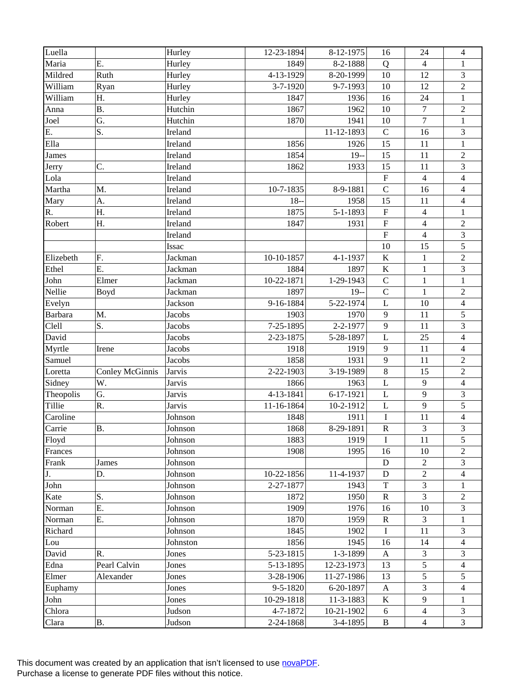| Maria<br>Ε.<br>Hurley<br>1849<br>8-2-1888<br>Q<br>$\overline{4}$<br>1<br>Ruth<br>4-13-1929<br>8-20-1999<br>3<br>Mildred<br>10<br>12<br>Hurley<br>$\sqrt{2}$<br>9-7-1993<br>12<br>William<br>Hurley<br>3-7-1920<br>10<br>Ryan<br>$\mathbf{1}$<br>William<br>24<br>Η.<br>Hurley<br>1847<br>1936<br>16<br><b>B.</b><br>1962<br>$\tau$<br>$\sqrt{2}$<br>Hutchin<br>1867<br>10<br>Anna<br>$\overline{7}$<br>Joel<br>G.<br>Hutchin<br>1870<br>1941<br>10<br>$\mathbf{1}$<br>S.<br>E.<br>11-12-1893<br>$\mathbf C$<br>3<br>16<br>Ireland<br>Ella<br>1856<br>15<br>Ireland<br>1926<br>11<br>$\,1$<br>$\sqrt{2}$<br><b>James</b><br>1854<br>$19-$<br>15<br>11<br>Ireland<br>$\ensuremath{\mathfrak{Z}}$<br>C.<br>1933<br>15<br>Ireland<br>1862<br>11<br>Jerry<br>${\bf F}$<br>$\overline{4}$<br>$\overline{\mathbf{4}}$<br>Lola<br>Ireland<br>$\mathbf C$<br>M.<br>10-7-1835<br>8-9-1881<br>Martha<br>16<br>$\overline{\mathcal{L}}$<br>Ireland<br>15<br>$\overline{4}$<br>$18-$<br>1958<br>11<br>Mary<br>A.<br>Ireland<br>$\overline{4}$<br>R.<br>Η.<br>1875<br>5-1-1893<br>${\bf F}$<br>$\mathbf{1}$<br>Ireland<br>$\sqrt{2}$<br>Robert<br>Η.<br>${\bf F}$<br>$\overline{4}$<br>Ireland<br>1847<br>1931<br>$\overline{\mathrm{F}}$<br>$\overline{4}$<br>3<br>Ireland<br>5<br>15<br>10<br>Issac<br>$\sqrt{2}$<br>$\bf K$<br>F.<br>10-10-1857<br>$\mathbf{1}$<br>Elizebeth<br>Jackman<br>4-1-1937<br>$\overline{3}$<br>Ethel<br>Ε.<br>1884<br>1897<br>$\bf K$<br>$\mathbf{1}$<br>Jackman<br>John<br>$\mathsf{C}$<br>Elmer<br>10-22-1871<br>1-29-1943<br>$\mathbf{1}$<br>$\,1$<br>Jackman<br>$\overline{c}$<br>Nellie<br>1897<br>$19 -$<br>$\mathsf{C}$<br>$\mathbf{1}$<br>Boyd<br>Jackman<br>9-16-1884<br>5-22-1974<br>L<br>10<br>$\overline{\mathbf{4}}$<br>Evelyn<br>Jackson<br>5<br>Barbara<br>M.<br>1970<br>$\overline{9}$<br>11<br><b>Jacobs</b><br>1903<br>$\overline{3}$<br>Clell<br>S.<br>$\mathbf{9}$<br>7-25-1895<br>2-2-1977<br>11<br><b>Jacobs</b><br>David<br>L<br>25<br>$\overline{4}$<br>2-23-1875<br>5-28-1897<br><b>Jacobs</b><br>1919<br>9<br>11<br>$\overline{4}$<br>Myrtle<br><b>Jacobs</b><br>1918<br>Irene<br>9<br>11<br>$\overline{2}$<br>1858<br>1931<br>Samuel<br>Jacobs<br>$\,8\,$<br>15<br>$\sqrt{2}$<br>3-19-1989<br><b>Conley McGinnis</b><br>2-22-1903<br>Jarvis<br>Loretta<br>9<br>$\overline{4}$<br>$\mathbf L$<br>Sidney<br>W.<br><b>Jarvis</b><br>1866<br>1963<br>9<br>3<br>Theopolis<br>G.<br>4-13-1841<br>6-17-1921<br><b>Jarvis</b><br>L<br>5<br>9<br>Tillie<br>R.<br><b>Jarvis</b><br>10-2-1912<br>11-16-1864<br>$\mathbf L$<br>$\bf I$<br>11<br>4<br>Caroline<br>1848<br>1911<br>Johnson<br>3<br>3<br>8-29-1891<br>${\bf R}$<br><b>B.</b><br>Johnson<br>1868<br>Carrie<br>Floyd<br>1883<br>1919<br>Johnson<br>11<br>5<br>I<br>1908<br>1995<br>10<br>Frances<br>Johnson<br>16<br>2<br>$\overline{2}$<br>Frank<br>Johnson<br>${\bf D}$<br>3<br>James<br>$\sqrt{2}$<br>J.<br>10-22-1856<br>11-4-1937<br>D.<br>Johnson<br>${\bf D}$<br>4<br>$\overline{3}$<br>$\mathbf T$<br>John<br>2-27-1877<br>1943<br>Johnson<br>1<br>3<br>S.<br>1872<br>1950<br>$\mathbf R$<br>Kate<br>$\mathfrak{2}$<br>Johnson<br>E.<br>1909<br>1976<br>10<br>3<br>Norman<br>Johnson<br>16<br>3<br>Ε.<br>1959<br>Johnson<br>1870<br>${\bf R}$<br>Norman<br>$\mathbf{1}$<br>11<br>3<br>1845<br>I<br>Richard<br>Johnson<br>1902<br>14<br>1856<br>1945<br>16<br>$\overline{\mathcal{L}}$<br>Lou<br>Johnston<br>5-23-1815<br>1-3-1899<br>3<br>David<br>R.<br>Jones<br>$\mathbf{A}$<br>3<br>5<br>Pearl Calvin<br>5-13-1895<br>Edna<br>Jones<br>12-23-1973<br>13<br>4<br>5<br>5<br>Elmer<br>Alexander<br>3-28-1906<br>11-27-1986<br>13<br>Jones<br>3<br>9-5-1820<br>6-20-1897<br>Euphamy<br>4<br>Jones<br>$\mathbf{A}$<br>9<br>$\bf K$<br>John<br>10-29-1818<br>11-3-1883<br>$\mathbf{1}$<br>Jones<br>4-7-1872<br>Chlora<br>10-21-1902<br>$\overline{4}$<br>3<br>Judson<br>6<br>3<br>$\overline{4}$ | Luella |    | Hurley | 12-23-1894 | 8-12-1975  | 16       | 24 | $\overline{4}$ |
|------------------------------------------------------------------------------------------------------------------------------------------------------------------------------------------------------------------------------------------------------------------------------------------------------------------------------------------------------------------------------------------------------------------------------------------------------------------------------------------------------------------------------------------------------------------------------------------------------------------------------------------------------------------------------------------------------------------------------------------------------------------------------------------------------------------------------------------------------------------------------------------------------------------------------------------------------------------------------------------------------------------------------------------------------------------------------------------------------------------------------------------------------------------------------------------------------------------------------------------------------------------------------------------------------------------------------------------------------------------------------------------------------------------------------------------------------------------------------------------------------------------------------------------------------------------------------------------------------------------------------------------------------------------------------------------------------------------------------------------------------------------------------------------------------------------------------------------------------------------------------------------------------------------------------------------------------------------------------------------------------------------------------------------------------------------------------------------------------------------------------------------------------------------------------------------------------------------------------------------------------------------------------------------------------------------------------------------------------------------------------------------------------------------------------------------------------------------------------------------------------------------------------------------------------------------------------------------------------------------------------------------------------------------------------------------------------------------------------------------------------------------------------------------------------------------------------------------------------------------------------------------------------------------------------------------------------------------------------------------------------------------------------------------------------------------------------------------------------------------------------------------------------------------------------------------------------------------------------------------------------------------------------------------------------------------------------------------------------------------------------------------------------------------------------------------------------------------------------------------------------------------------------------------------------------------------------------------------------------------------------------------------------------------------------------------------------------------------------------------------------------------------------------------------------------------------------------------------------------------------------------------------|--------|----|--------|------------|------------|----------|----|----------------|
|                                                                                                                                                                                                                                                                                                                                                                                                                                                                                                                                                                                                                                                                                                                                                                                                                                                                                                                                                                                                                                                                                                                                                                                                                                                                                                                                                                                                                                                                                                                                                                                                                                                                                                                                                                                                                                                                                                                                                                                                                                                                                                                                                                                                                                                                                                                                                                                                                                                                                                                                                                                                                                                                                                                                                                                                                                                                                                                                                                                                                                                                                                                                                                                                                                                                                                                                                                                                                                                                                                                                                                                                                                                                                                                                                                                                                                                                                                |        |    |        |            |            |          |    |                |
|                                                                                                                                                                                                                                                                                                                                                                                                                                                                                                                                                                                                                                                                                                                                                                                                                                                                                                                                                                                                                                                                                                                                                                                                                                                                                                                                                                                                                                                                                                                                                                                                                                                                                                                                                                                                                                                                                                                                                                                                                                                                                                                                                                                                                                                                                                                                                                                                                                                                                                                                                                                                                                                                                                                                                                                                                                                                                                                                                                                                                                                                                                                                                                                                                                                                                                                                                                                                                                                                                                                                                                                                                                                                                                                                                                                                                                                                                                |        |    |        |            |            |          |    |                |
|                                                                                                                                                                                                                                                                                                                                                                                                                                                                                                                                                                                                                                                                                                                                                                                                                                                                                                                                                                                                                                                                                                                                                                                                                                                                                                                                                                                                                                                                                                                                                                                                                                                                                                                                                                                                                                                                                                                                                                                                                                                                                                                                                                                                                                                                                                                                                                                                                                                                                                                                                                                                                                                                                                                                                                                                                                                                                                                                                                                                                                                                                                                                                                                                                                                                                                                                                                                                                                                                                                                                                                                                                                                                                                                                                                                                                                                                                                |        |    |        |            |            |          |    |                |
|                                                                                                                                                                                                                                                                                                                                                                                                                                                                                                                                                                                                                                                                                                                                                                                                                                                                                                                                                                                                                                                                                                                                                                                                                                                                                                                                                                                                                                                                                                                                                                                                                                                                                                                                                                                                                                                                                                                                                                                                                                                                                                                                                                                                                                                                                                                                                                                                                                                                                                                                                                                                                                                                                                                                                                                                                                                                                                                                                                                                                                                                                                                                                                                                                                                                                                                                                                                                                                                                                                                                                                                                                                                                                                                                                                                                                                                                                                |        |    |        |            |            |          |    |                |
|                                                                                                                                                                                                                                                                                                                                                                                                                                                                                                                                                                                                                                                                                                                                                                                                                                                                                                                                                                                                                                                                                                                                                                                                                                                                                                                                                                                                                                                                                                                                                                                                                                                                                                                                                                                                                                                                                                                                                                                                                                                                                                                                                                                                                                                                                                                                                                                                                                                                                                                                                                                                                                                                                                                                                                                                                                                                                                                                                                                                                                                                                                                                                                                                                                                                                                                                                                                                                                                                                                                                                                                                                                                                                                                                                                                                                                                                                                |        |    |        |            |            |          |    |                |
|                                                                                                                                                                                                                                                                                                                                                                                                                                                                                                                                                                                                                                                                                                                                                                                                                                                                                                                                                                                                                                                                                                                                                                                                                                                                                                                                                                                                                                                                                                                                                                                                                                                                                                                                                                                                                                                                                                                                                                                                                                                                                                                                                                                                                                                                                                                                                                                                                                                                                                                                                                                                                                                                                                                                                                                                                                                                                                                                                                                                                                                                                                                                                                                                                                                                                                                                                                                                                                                                                                                                                                                                                                                                                                                                                                                                                                                                                                |        |    |        |            |            |          |    |                |
|                                                                                                                                                                                                                                                                                                                                                                                                                                                                                                                                                                                                                                                                                                                                                                                                                                                                                                                                                                                                                                                                                                                                                                                                                                                                                                                                                                                                                                                                                                                                                                                                                                                                                                                                                                                                                                                                                                                                                                                                                                                                                                                                                                                                                                                                                                                                                                                                                                                                                                                                                                                                                                                                                                                                                                                                                                                                                                                                                                                                                                                                                                                                                                                                                                                                                                                                                                                                                                                                                                                                                                                                                                                                                                                                                                                                                                                                                                |        |    |        |            |            |          |    |                |
|                                                                                                                                                                                                                                                                                                                                                                                                                                                                                                                                                                                                                                                                                                                                                                                                                                                                                                                                                                                                                                                                                                                                                                                                                                                                                                                                                                                                                                                                                                                                                                                                                                                                                                                                                                                                                                                                                                                                                                                                                                                                                                                                                                                                                                                                                                                                                                                                                                                                                                                                                                                                                                                                                                                                                                                                                                                                                                                                                                                                                                                                                                                                                                                                                                                                                                                                                                                                                                                                                                                                                                                                                                                                                                                                                                                                                                                                                                |        |    |        |            |            |          |    |                |
|                                                                                                                                                                                                                                                                                                                                                                                                                                                                                                                                                                                                                                                                                                                                                                                                                                                                                                                                                                                                                                                                                                                                                                                                                                                                                                                                                                                                                                                                                                                                                                                                                                                                                                                                                                                                                                                                                                                                                                                                                                                                                                                                                                                                                                                                                                                                                                                                                                                                                                                                                                                                                                                                                                                                                                                                                                                                                                                                                                                                                                                                                                                                                                                                                                                                                                                                                                                                                                                                                                                                                                                                                                                                                                                                                                                                                                                                                                |        |    |        |            |            |          |    |                |
|                                                                                                                                                                                                                                                                                                                                                                                                                                                                                                                                                                                                                                                                                                                                                                                                                                                                                                                                                                                                                                                                                                                                                                                                                                                                                                                                                                                                                                                                                                                                                                                                                                                                                                                                                                                                                                                                                                                                                                                                                                                                                                                                                                                                                                                                                                                                                                                                                                                                                                                                                                                                                                                                                                                                                                                                                                                                                                                                                                                                                                                                                                                                                                                                                                                                                                                                                                                                                                                                                                                                                                                                                                                                                                                                                                                                                                                                                                |        |    |        |            |            |          |    |                |
|                                                                                                                                                                                                                                                                                                                                                                                                                                                                                                                                                                                                                                                                                                                                                                                                                                                                                                                                                                                                                                                                                                                                                                                                                                                                                                                                                                                                                                                                                                                                                                                                                                                                                                                                                                                                                                                                                                                                                                                                                                                                                                                                                                                                                                                                                                                                                                                                                                                                                                                                                                                                                                                                                                                                                                                                                                                                                                                                                                                                                                                                                                                                                                                                                                                                                                                                                                                                                                                                                                                                                                                                                                                                                                                                                                                                                                                                                                |        |    |        |            |            |          |    |                |
|                                                                                                                                                                                                                                                                                                                                                                                                                                                                                                                                                                                                                                                                                                                                                                                                                                                                                                                                                                                                                                                                                                                                                                                                                                                                                                                                                                                                                                                                                                                                                                                                                                                                                                                                                                                                                                                                                                                                                                                                                                                                                                                                                                                                                                                                                                                                                                                                                                                                                                                                                                                                                                                                                                                                                                                                                                                                                                                                                                                                                                                                                                                                                                                                                                                                                                                                                                                                                                                                                                                                                                                                                                                                                                                                                                                                                                                                                                |        |    |        |            |            |          |    |                |
|                                                                                                                                                                                                                                                                                                                                                                                                                                                                                                                                                                                                                                                                                                                                                                                                                                                                                                                                                                                                                                                                                                                                                                                                                                                                                                                                                                                                                                                                                                                                                                                                                                                                                                                                                                                                                                                                                                                                                                                                                                                                                                                                                                                                                                                                                                                                                                                                                                                                                                                                                                                                                                                                                                                                                                                                                                                                                                                                                                                                                                                                                                                                                                                                                                                                                                                                                                                                                                                                                                                                                                                                                                                                                                                                                                                                                                                                                                |        |    |        |            |            |          |    |                |
|                                                                                                                                                                                                                                                                                                                                                                                                                                                                                                                                                                                                                                                                                                                                                                                                                                                                                                                                                                                                                                                                                                                                                                                                                                                                                                                                                                                                                                                                                                                                                                                                                                                                                                                                                                                                                                                                                                                                                                                                                                                                                                                                                                                                                                                                                                                                                                                                                                                                                                                                                                                                                                                                                                                                                                                                                                                                                                                                                                                                                                                                                                                                                                                                                                                                                                                                                                                                                                                                                                                                                                                                                                                                                                                                                                                                                                                                                                |        |    |        |            |            |          |    |                |
|                                                                                                                                                                                                                                                                                                                                                                                                                                                                                                                                                                                                                                                                                                                                                                                                                                                                                                                                                                                                                                                                                                                                                                                                                                                                                                                                                                                                                                                                                                                                                                                                                                                                                                                                                                                                                                                                                                                                                                                                                                                                                                                                                                                                                                                                                                                                                                                                                                                                                                                                                                                                                                                                                                                                                                                                                                                                                                                                                                                                                                                                                                                                                                                                                                                                                                                                                                                                                                                                                                                                                                                                                                                                                                                                                                                                                                                                                                |        |    |        |            |            |          |    |                |
|                                                                                                                                                                                                                                                                                                                                                                                                                                                                                                                                                                                                                                                                                                                                                                                                                                                                                                                                                                                                                                                                                                                                                                                                                                                                                                                                                                                                                                                                                                                                                                                                                                                                                                                                                                                                                                                                                                                                                                                                                                                                                                                                                                                                                                                                                                                                                                                                                                                                                                                                                                                                                                                                                                                                                                                                                                                                                                                                                                                                                                                                                                                                                                                                                                                                                                                                                                                                                                                                                                                                                                                                                                                                                                                                                                                                                                                                                                |        |    |        |            |            |          |    |                |
|                                                                                                                                                                                                                                                                                                                                                                                                                                                                                                                                                                                                                                                                                                                                                                                                                                                                                                                                                                                                                                                                                                                                                                                                                                                                                                                                                                                                                                                                                                                                                                                                                                                                                                                                                                                                                                                                                                                                                                                                                                                                                                                                                                                                                                                                                                                                                                                                                                                                                                                                                                                                                                                                                                                                                                                                                                                                                                                                                                                                                                                                                                                                                                                                                                                                                                                                                                                                                                                                                                                                                                                                                                                                                                                                                                                                                                                                                                |        |    |        |            |            |          |    |                |
|                                                                                                                                                                                                                                                                                                                                                                                                                                                                                                                                                                                                                                                                                                                                                                                                                                                                                                                                                                                                                                                                                                                                                                                                                                                                                                                                                                                                                                                                                                                                                                                                                                                                                                                                                                                                                                                                                                                                                                                                                                                                                                                                                                                                                                                                                                                                                                                                                                                                                                                                                                                                                                                                                                                                                                                                                                                                                                                                                                                                                                                                                                                                                                                                                                                                                                                                                                                                                                                                                                                                                                                                                                                                                                                                                                                                                                                                                                |        |    |        |            |            |          |    |                |
|                                                                                                                                                                                                                                                                                                                                                                                                                                                                                                                                                                                                                                                                                                                                                                                                                                                                                                                                                                                                                                                                                                                                                                                                                                                                                                                                                                                                                                                                                                                                                                                                                                                                                                                                                                                                                                                                                                                                                                                                                                                                                                                                                                                                                                                                                                                                                                                                                                                                                                                                                                                                                                                                                                                                                                                                                                                                                                                                                                                                                                                                                                                                                                                                                                                                                                                                                                                                                                                                                                                                                                                                                                                                                                                                                                                                                                                                                                |        |    |        |            |            |          |    |                |
|                                                                                                                                                                                                                                                                                                                                                                                                                                                                                                                                                                                                                                                                                                                                                                                                                                                                                                                                                                                                                                                                                                                                                                                                                                                                                                                                                                                                                                                                                                                                                                                                                                                                                                                                                                                                                                                                                                                                                                                                                                                                                                                                                                                                                                                                                                                                                                                                                                                                                                                                                                                                                                                                                                                                                                                                                                                                                                                                                                                                                                                                                                                                                                                                                                                                                                                                                                                                                                                                                                                                                                                                                                                                                                                                                                                                                                                                                                |        |    |        |            |            |          |    |                |
|                                                                                                                                                                                                                                                                                                                                                                                                                                                                                                                                                                                                                                                                                                                                                                                                                                                                                                                                                                                                                                                                                                                                                                                                                                                                                                                                                                                                                                                                                                                                                                                                                                                                                                                                                                                                                                                                                                                                                                                                                                                                                                                                                                                                                                                                                                                                                                                                                                                                                                                                                                                                                                                                                                                                                                                                                                                                                                                                                                                                                                                                                                                                                                                                                                                                                                                                                                                                                                                                                                                                                                                                                                                                                                                                                                                                                                                                                                |        |    |        |            |            |          |    |                |
|                                                                                                                                                                                                                                                                                                                                                                                                                                                                                                                                                                                                                                                                                                                                                                                                                                                                                                                                                                                                                                                                                                                                                                                                                                                                                                                                                                                                                                                                                                                                                                                                                                                                                                                                                                                                                                                                                                                                                                                                                                                                                                                                                                                                                                                                                                                                                                                                                                                                                                                                                                                                                                                                                                                                                                                                                                                                                                                                                                                                                                                                                                                                                                                                                                                                                                                                                                                                                                                                                                                                                                                                                                                                                                                                                                                                                                                                                                |        |    |        |            |            |          |    |                |
|                                                                                                                                                                                                                                                                                                                                                                                                                                                                                                                                                                                                                                                                                                                                                                                                                                                                                                                                                                                                                                                                                                                                                                                                                                                                                                                                                                                                                                                                                                                                                                                                                                                                                                                                                                                                                                                                                                                                                                                                                                                                                                                                                                                                                                                                                                                                                                                                                                                                                                                                                                                                                                                                                                                                                                                                                                                                                                                                                                                                                                                                                                                                                                                                                                                                                                                                                                                                                                                                                                                                                                                                                                                                                                                                                                                                                                                                                                |        |    |        |            |            |          |    |                |
|                                                                                                                                                                                                                                                                                                                                                                                                                                                                                                                                                                                                                                                                                                                                                                                                                                                                                                                                                                                                                                                                                                                                                                                                                                                                                                                                                                                                                                                                                                                                                                                                                                                                                                                                                                                                                                                                                                                                                                                                                                                                                                                                                                                                                                                                                                                                                                                                                                                                                                                                                                                                                                                                                                                                                                                                                                                                                                                                                                                                                                                                                                                                                                                                                                                                                                                                                                                                                                                                                                                                                                                                                                                                                                                                                                                                                                                                                                |        |    |        |            |            |          |    |                |
|                                                                                                                                                                                                                                                                                                                                                                                                                                                                                                                                                                                                                                                                                                                                                                                                                                                                                                                                                                                                                                                                                                                                                                                                                                                                                                                                                                                                                                                                                                                                                                                                                                                                                                                                                                                                                                                                                                                                                                                                                                                                                                                                                                                                                                                                                                                                                                                                                                                                                                                                                                                                                                                                                                                                                                                                                                                                                                                                                                                                                                                                                                                                                                                                                                                                                                                                                                                                                                                                                                                                                                                                                                                                                                                                                                                                                                                                                                |        |    |        |            |            |          |    |                |
|                                                                                                                                                                                                                                                                                                                                                                                                                                                                                                                                                                                                                                                                                                                                                                                                                                                                                                                                                                                                                                                                                                                                                                                                                                                                                                                                                                                                                                                                                                                                                                                                                                                                                                                                                                                                                                                                                                                                                                                                                                                                                                                                                                                                                                                                                                                                                                                                                                                                                                                                                                                                                                                                                                                                                                                                                                                                                                                                                                                                                                                                                                                                                                                                                                                                                                                                                                                                                                                                                                                                                                                                                                                                                                                                                                                                                                                                                                |        |    |        |            |            |          |    |                |
|                                                                                                                                                                                                                                                                                                                                                                                                                                                                                                                                                                                                                                                                                                                                                                                                                                                                                                                                                                                                                                                                                                                                                                                                                                                                                                                                                                                                                                                                                                                                                                                                                                                                                                                                                                                                                                                                                                                                                                                                                                                                                                                                                                                                                                                                                                                                                                                                                                                                                                                                                                                                                                                                                                                                                                                                                                                                                                                                                                                                                                                                                                                                                                                                                                                                                                                                                                                                                                                                                                                                                                                                                                                                                                                                                                                                                                                                                                |        |    |        |            |            |          |    |                |
|                                                                                                                                                                                                                                                                                                                                                                                                                                                                                                                                                                                                                                                                                                                                                                                                                                                                                                                                                                                                                                                                                                                                                                                                                                                                                                                                                                                                                                                                                                                                                                                                                                                                                                                                                                                                                                                                                                                                                                                                                                                                                                                                                                                                                                                                                                                                                                                                                                                                                                                                                                                                                                                                                                                                                                                                                                                                                                                                                                                                                                                                                                                                                                                                                                                                                                                                                                                                                                                                                                                                                                                                                                                                                                                                                                                                                                                                                                |        |    |        |            |            |          |    |                |
|                                                                                                                                                                                                                                                                                                                                                                                                                                                                                                                                                                                                                                                                                                                                                                                                                                                                                                                                                                                                                                                                                                                                                                                                                                                                                                                                                                                                                                                                                                                                                                                                                                                                                                                                                                                                                                                                                                                                                                                                                                                                                                                                                                                                                                                                                                                                                                                                                                                                                                                                                                                                                                                                                                                                                                                                                                                                                                                                                                                                                                                                                                                                                                                                                                                                                                                                                                                                                                                                                                                                                                                                                                                                                                                                                                                                                                                                                                |        |    |        |            |            |          |    |                |
|                                                                                                                                                                                                                                                                                                                                                                                                                                                                                                                                                                                                                                                                                                                                                                                                                                                                                                                                                                                                                                                                                                                                                                                                                                                                                                                                                                                                                                                                                                                                                                                                                                                                                                                                                                                                                                                                                                                                                                                                                                                                                                                                                                                                                                                                                                                                                                                                                                                                                                                                                                                                                                                                                                                                                                                                                                                                                                                                                                                                                                                                                                                                                                                                                                                                                                                                                                                                                                                                                                                                                                                                                                                                                                                                                                                                                                                                                                |        |    |        |            |            |          |    |                |
|                                                                                                                                                                                                                                                                                                                                                                                                                                                                                                                                                                                                                                                                                                                                                                                                                                                                                                                                                                                                                                                                                                                                                                                                                                                                                                                                                                                                                                                                                                                                                                                                                                                                                                                                                                                                                                                                                                                                                                                                                                                                                                                                                                                                                                                                                                                                                                                                                                                                                                                                                                                                                                                                                                                                                                                                                                                                                                                                                                                                                                                                                                                                                                                                                                                                                                                                                                                                                                                                                                                                                                                                                                                                                                                                                                                                                                                                                                |        |    |        |            |            |          |    |                |
|                                                                                                                                                                                                                                                                                                                                                                                                                                                                                                                                                                                                                                                                                                                                                                                                                                                                                                                                                                                                                                                                                                                                                                                                                                                                                                                                                                                                                                                                                                                                                                                                                                                                                                                                                                                                                                                                                                                                                                                                                                                                                                                                                                                                                                                                                                                                                                                                                                                                                                                                                                                                                                                                                                                                                                                                                                                                                                                                                                                                                                                                                                                                                                                                                                                                                                                                                                                                                                                                                                                                                                                                                                                                                                                                                                                                                                                                                                |        |    |        |            |            |          |    |                |
|                                                                                                                                                                                                                                                                                                                                                                                                                                                                                                                                                                                                                                                                                                                                                                                                                                                                                                                                                                                                                                                                                                                                                                                                                                                                                                                                                                                                                                                                                                                                                                                                                                                                                                                                                                                                                                                                                                                                                                                                                                                                                                                                                                                                                                                                                                                                                                                                                                                                                                                                                                                                                                                                                                                                                                                                                                                                                                                                                                                                                                                                                                                                                                                                                                                                                                                                                                                                                                                                                                                                                                                                                                                                                                                                                                                                                                                                                                |        |    |        |            |            |          |    |                |
|                                                                                                                                                                                                                                                                                                                                                                                                                                                                                                                                                                                                                                                                                                                                                                                                                                                                                                                                                                                                                                                                                                                                                                                                                                                                                                                                                                                                                                                                                                                                                                                                                                                                                                                                                                                                                                                                                                                                                                                                                                                                                                                                                                                                                                                                                                                                                                                                                                                                                                                                                                                                                                                                                                                                                                                                                                                                                                                                                                                                                                                                                                                                                                                                                                                                                                                                                                                                                                                                                                                                                                                                                                                                                                                                                                                                                                                                                                |        |    |        |            |            |          |    |                |
|                                                                                                                                                                                                                                                                                                                                                                                                                                                                                                                                                                                                                                                                                                                                                                                                                                                                                                                                                                                                                                                                                                                                                                                                                                                                                                                                                                                                                                                                                                                                                                                                                                                                                                                                                                                                                                                                                                                                                                                                                                                                                                                                                                                                                                                                                                                                                                                                                                                                                                                                                                                                                                                                                                                                                                                                                                                                                                                                                                                                                                                                                                                                                                                                                                                                                                                                                                                                                                                                                                                                                                                                                                                                                                                                                                                                                                                                                                |        |    |        |            |            |          |    |                |
|                                                                                                                                                                                                                                                                                                                                                                                                                                                                                                                                                                                                                                                                                                                                                                                                                                                                                                                                                                                                                                                                                                                                                                                                                                                                                                                                                                                                                                                                                                                                                                                                                                                                                                                                                                                                                                                                                                                                                                                                                                                                                                                                                                                                                                                                                                                                                                                                                                                                                                                                                                                                                                                                                                                                                                                                                                                                                                                                                                                                                                                                                                                                                                                                                                                                                                                                                                                                                                                                                                                                                                                                                                                                                                                                                                                                                                                                                                |        |    |        |            |            |          |    |                |
|                                                                                                                                                                                                                                                                                                                                                                                                                                                                                                                                                                                                                                                                                                                                                                                                                                                                                                                                                                                                                                                                                                                                                                                                                                                                                                                                                                                                                                                                                                                                                                                                                                                                                                                                                                                                                                                                                                                                                                                                                                                                                                                                                                                                                                                                                                                                                                                                                                                                                                                                                                                                                                                                                                                                                                                                                                                                                                                                                                                                                                                                                                                                                                                                                                                                                                                                                                                                                                                                                                                                                                                                                                                                                                                                                                                                                                                                                                |        |    |        |            |            |          |    |                |
|                                                                                                                                                                                                                                                                                                                                                                                                                                                                                                                                                                                                                                                                                                                                                                                                                                                                                                                                                                                                                                                                                                                                                                                                                                                                                                                                                                                                                                                                                                                                                                                                                                                                                                                                                                                                                                                                                                                                                                                                                                                                                                                                                                                                                                                                                                                                                                                                                                                                                                                                                                                                                                                                                                                                                                                                                                                                                                                                                                                                                                                                                                                                                                                                                                                                                                                                                                                                                                                                                                                                                                                                                                                                                                                                                                                                                                                                                                |        |    |        |            |            |          |    |                |
|                                                                                                                                                                                                                                                                                                                                                                                                                                                                                                                                                                                                                                                                                                                                                                                                                                                                                                                                                                                                                                                                                                                                                                                                                                                                                                                                                                                                                                                                                                                                                                                                                                                                                                                                                                                                                                                                                                                                                                                                                                                                                                                                                                                                                                                                                                                                                                                                                                                                                                                                                                                                                                                                                                                                                                                                                                                                                                                                                                                                                                                                                                                                                                                                                                                                                                                                                                                                                                                                                                                                                                                                                                                                                                                                                                                                                                                                                                |        |    |        |            |            |          |    |                |
|                                                                                                                                                                                                                                                                                                                                                                                                                                                                                                                                                                                                                                                                                                                                                                                                                                                                                                                                                                                                                                                                                                                                                                                                                                                                                                                                                                                                                                                                                                                                                                                                                                                                                                                                                                                                                                                                                                                                                                                                                                                                                                                                                                                                                                                                                                                                                                                                                                                                                                                                                                                                                                                                                                                                                                                                                                                                                                                                                                                                                                                                                                                                                                                                                                                                                                                                                                                                                                                                                                                                                                                                                                                                                                                                                                                                                                                                                                |        |    |        |            |            |          |    |                |
|                                                                                                                                                                                                                                                                                                                                                                                                                                                                                                                                                                                                                                                                                                                                                                                                                                                                                                                                                                                                                                                                                                                                                                                                                                                                                                                                                                                                                                                                                                                                                                                                                                                                                                                                                                                                                                                                                                                                                                                                                                                                                                                                                                                                                                                                                                                                                                                                                                                                                                                                                                                                                                                                                                                                                                                                                                                                                                                                                                                                                                                                                                                                                                                                                                                                                                                                                                                                                                                                                                                                                                                                                                                                                                                                                                                                                                                                                                |        |    |        |            |            |          |    |                |
|                                                                                                                                                                                                                                                                                                                                                                                                                                                                                                                                                                                                                                                                                                                                                                                                                                                                                                                                                                                                                                                                                                                                                                                                                                                                                                                                                                                                                                                                                                                                                                                                                                                                                                                                                                                                                                                                                                                                                                                                                                                                                                                                                                                                                                                                                                                                                                                                                                                                                                                                                                                                                                                                                                                                                                                                                                                                                                                                                                                                                                                                                                                                                                                                                                                                                                                                                                                                                                                                                                                                                                                                                                                                                                                                                                                                                                                                                                |        |    |        |            |            |          |    |                |
|                                                                                                                                                                                                                                                                                                                                                                                                                                                                                                                                                                                                                                                                                                                                                                                                                                                                                                                                                                                                                                                                                                                                                                                                                                                                                                                                                                                                                                                                                                                                                                                                                                                                                                                                                                                                                                                                                                                                                                                                                                                                                                                                                                                                                                                                                                                                                                                                                                                                                                                                                                                                                                                                                                                                                                                                                                                                                                                                                                                                                                                                                                                                                                                                                                                                                                                                                                                                                                                                                                                                                                                                                                                                                                                                                                                                                                                                                                |        |    |        |            |            |          |    |                |
|                                                                                                                                                                                                                                                                                                                                                                                                                                                                                                                                                                                                                                                                                                                                                                                                                                                                                                                                                                                                                                                                                                                                                                                                                                                                                                                                                                                                                                                                                                                                                                                                                                                                                                                                                                                                                                                                                                                                                                                                                                                                                                                                                                                                                                                                                                                                                                                                                                                                                                                                                                                                                                                                                                                                                                                                                                                                                                                                                                                                                                                                                                                                                                                                                                                                                                                                                                                                                                                                                                                                                                                                                                                                                                                                                                                                                                                                                                |        |    |        |            |            |          |    |                |
|                                                                                                                                                                                                                                                                                                                                                                                                                                                                                                                                                                                                                                                                                                                                                                                                                                                                                                                                                                                                                                                                                                                                                                                                                                                                                                                                                                                                                                                                                                                                                                                                                                                                                                                                                                                                                                                                                                                                                                                                                                                                                                                                                                                                                                                                                                                                                                                                                                                                                                                                                                                                                                                                                                                                                                                                                                                                                                                                                                                                                                                                                                                                                                                                                                                                                                                                                                                                                                                                                                                                                                                                                                                                                                                                                                                                                                                                                                |        |    |        |            |            |          |    |                |
|                                                                                                                                                                                                                                                                                                                                                                                                                                                                                                                                                                                                                                                                                                                                                                                                                                                                                                                                                                                                                                                                                                                                                                                                                                                                                                                                                                                                                                                                                                                                                                                                                                                                                                                                                                                                                                                                                                                                                                                                                                                                                                                                                                                                                                                                                                                                                                                                                                                                                                                                                                                                                                                                                                                                                                                                                                                                                                                                                                                                                                                                                                                                                                                                                                                                                                                                                                                                                                                                                                                                                                                                                                                                                                                                                                                                                                                                                                |        |    |        |            |            |          |    |                |
|                                                                                                                                                                                                                                                                                                                                                                                                                                                                                                                                                                                                                                                                                                                                                                                                                                                                                                                                                                                                                                                                                                                                                                                                                                                                                                                                                                                                                                                                                                                                                                                                                                                                                                                                                                                                                                                                                                                                                                                                                                                                                                                                                                                                                                                                                                                                                                                                                                                                                                                                                                                                                                                                                                                                                                                                                                                                                                                                                                                                                                                                                                                                                                                                                                                                                                                                                                                                                                                                                                                                                                                                                                                                                                                                                                                                                                                                                                |        |    |        |            |            |          |    |                |
|                                                                                                                                                                                                                                                                                                                                                                                                                                                                                                                                                                                                                                                                                                                                                                                                                                                                                                                                                                                                                                                                                                                                                                                                                                                                                                                                                                                                                                                                                                                                                                                                                                                                                                                                                                                                                                                                                                                                                                                                                                                                                                                                                                                                                                                                                                                                                                                                                                                                                                                                                                                                                                                                                                                                                                                                                                                                                                                                                                                                                                                                                                                                                                                                                                                                                                                                                                                                                                                                                                                                                                                                                                                                                                                                                                                                                                                                                                |        |    |        |            |            |          |    |                |
|                                                                                                                                                                                                                                                                                                                                                                                                                                                                                                                                                                                                                                                                                                                                                                                                                                                                                                                                                                                                                                                                                                                                                                                                                                                                                                                                                                                                                                                                                                                                                                                                                                                                                                                                                                                                                                                                                                                                                                                                                                                                                                                                                                                                                                                                                                                                                                                                                                                                                                                                                                                                                                                                                                                                                                                                                                                                                                                                                                                                                                                                                                                                                                                                                                                                                                                                                                                                                                                                                                                                                                                                                                                                                                                                                                                                                                                                                                |        |    |        |            |            |          |    |                |
|                                                                                                                                                                                                                                                                                                                                                                                                                                                                                                                                                                                                                                                                                                                                                                                                                                                                                                                                                                                                                                                                                                                                                                                                                                                                                                                                                                                                                                                                                                                                                                                                                                                                                                                                                                                                                                                                                                                                                                                                                                                                                                                                                                                                                                                                                                                                                                                                                                                                                                                                                                                                                                                                                                                                                                                                                                                                                                                                                                                                                                                                                                                                                                                                                                                                                                                                                                                                                                                                                                                                                                                                                                                                                                                                                                                                                                                                                                | Clara  | B. | Judson | 2-24-1868  | $3-4-1895$ | $\bf{B}$ |    |                |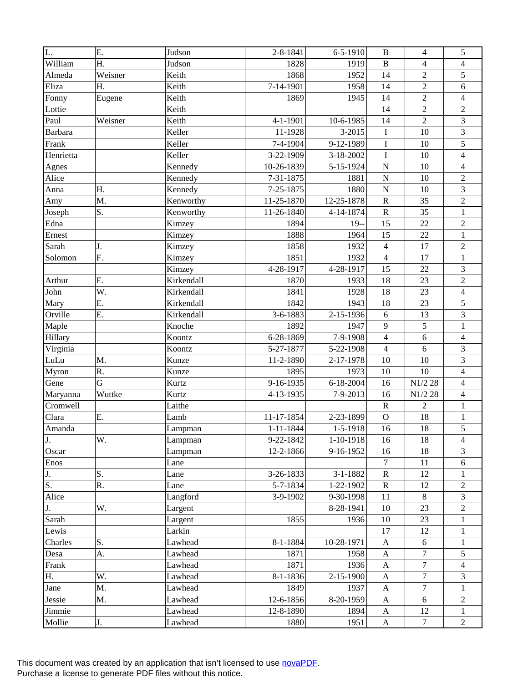| L.               | Ε.      | Judson     | 2-8-1841        | $6 - 5 - 1910$  | $\bf{B}$         | $\overline{4}$ | $\sqrt{5}$              |
|------------------|---------|------------|-----------------|-----------------|------------------|----------------|-------------------------|
| William          | Η.      | Judson     | 1828            | 1919            | $\bf{B}$         | $\overline{4}$ | 4                       |
| Almeda           | Weisner | Keith      | 1868            | 1952            | 14               | $\overline{2}$ | $\sqrt{5}$              |
| Eliza            | Η.      | Keith      | 7-14-1901       | 1958            | 14               | $\overline{2}$ | $\sqrt{6}$              |
| Fonny            | Eugene  | Keith      | 1869            | 1945            | 14               | $\overline{2}$ | $\overline{4}$          |
| Lottie           |         | Keith      |                 |                 | 14               | $\overline{2}$ | $\overline{2}$          |
| Paul             | Weisner | Keith      | $4 - 1 - 1901$  | 10-6-1985       | 14               | $\overline{2}$ | 3                       |
| <b>Barbara</b>   |         | Keller     | 11-1928         | 3-2015          | $\bf I$          | 10             | 3                       |
| Frank            |         | Keller     | 7-4-1904        | 9-12-1989       | $\bf I$          | 10             | 5                       |
| Henrietta        |         | Keller     | 3-22-1909       | 3-18-2002       | $\bf I$          | 10             | $\overline{4}$          |
| Agnes            |         | Kennedy    | 10-26-1839      | 5-15-1924       | $\mathbf N$      | 10             | $\overline{4}$          |
| Alice            |         | Kennedy    | 7-31-1875       | 1881            | ${\bf N}$        | 10             | $\sqrt{2}$              |
| Anna             | Η.      | Kennedy    | 7-25-1875       | 1880            | $\mathbf N$      | 10             | 3                       |
| Amy              | M.      | Kenworthy  | 11-25-1870      | 12-25-1878      | ${\bf R}$        | 35             | $\overline{2}$          |
| Joseph           | S.      | Kenworthy  | 11-26-1840      | 4-14-1874       | ${\bf R}$        | 35             | $\mathbf{1}$            |
| Edna             |         | Kimzey     | 1894            | $19-$           | 15               | 22             | $\sqrt{2}$              |
| Ernest           |         | Kimzey     | 1888            | 1964            | 15               | 22             | $\mathbf{1}$            |
| Sarah            | J.      | Kimzey     | 1858            | 1932            | $\overline{4}$   | 17             | $\overline{2}$          |
| Solomon          | F.      | Kimzey     | 1851            | 1932            | $\overline{4}$   | 17             | $\mathbf{1}$            |
|                  |         | Kimzey     | 4-28-1917       | 4-28-1917       | 15               | 22             | $\mathfrak{Z}$          |
| Arthur           | Ε.      | Kirkendall | 1870            | 1933            | 18               | 23             | $\sqrt{2}$              |
| John             | W.      | Kirkendall | 1841            | 1928            | 18               | 23             | $\overline{4}$          |
| Mary             | E.      | Kirkendall | 1842            | 1943            | 18               | 23             | 5                       |
| Orville          | E.      | Kirkendall | 3-6-1883        | 2-15-1936       | 6                | 13             | 3                       |
| Maple            |         | Knoche     | 1892            | 1947            | $\mathbf{9}$     | 5              | $\mathbf{1}$            |
| Hillary          |         | Koontz     | 6-28-1869       | 7-9-1908        | $\overline{4}$   | $\sqrt{6}$     | $\overline{4}$          |
| Virginia         |         | Koontz     | 5-27-1877       | 5-22-1908       | $\overline{4}$   | 6              | 3                       |
| LuLu             | M.      | Kunze      | 11-2-1890       | 2-17-1978       | 10               | 10             | 3                       |
| Myron            | R.      | Kunze      | 1895            | 1973            | 10               | 10             | $\overline{\mathbf{4}}$ |
| Gene             | G       | Kurtz      | 9-16-1935       | $6 - 18 - 2004$ | 16               | N1/2 28        | $\overline{4}$          |
| Maryanna         | Wuttke  | Kurtz      | 4-13-1935       | 7-9-2013        | 16               | N1/2 28        | $\overline{4}$          |
| Cromwell         |         | Laithe     |                 |                 | ${\bf R}$        | $\overline{2}$ | $\mathbf{1}$            |
| Clara            | E.      | Lamb       | 11-17-1854      | 2-23-1899       | $\mathbf O$      | 18             | $\mathbf{1}$            |
| Amanda           |         | Lampman    | $1 - 11 - 1844$ | 1-5-1918        | 16               | 18             | 5                       |
| J.               | W.      | Lampman    | 9-22-1842       | $1-10-1918$     | 16               | 18             | $\overline{4}$          |
| Oscar            |         | Lampman    | 12-2-1866       | 9-16-1952       | 16               | 18             | 3                       |
| Enos             |         | Lane       |                 |                 | $\tau$           | 11             | 6                       |
| J.               | S.      | Lane       | 3-26-1833       | $3 - 1 - 1882$  | $\mathbf R$      | 12             | 1                       |
| $\overline{S}$ . | R.      | Lane       | 5-7-1834        | 1-22-1902       | $\mathbf R$      | 12             | $\overline{c}$          |
| Alice            |         | Langford   | 3-9-1902        | 9-30-1998       | 11               | $8\,$          | 3                       |
| J.               | W.      | Largent    |                 | 8-28-1941       | 10               | 23             | $\overline{c}$          |
| Sarah            |         | Largent    | 1855            | 1936            | 10               | 23             | $\mathbf{1}$            |
| Lewis            |         | Larkin     |                 |                 | 17               | 12             | $\mathbf{1}$            |
| Charles          | S.      | Lawhead    | 8-1-1884        | 10-28-1971      | $\boldsymbol{A}$ | 6              | $\mathbf{1}$            |
| Desa             | A.      | Lawhead    | 1871            | 1958            | A                | $\overline{7}$ | 5                       |
| Frank            |         | Lawhead    | 1871            | 1936            | A                | 7              | 4                       |
| Η.               | W.      | Lawhead    | 8-1-1836        | 2-15-1900       | $\mathbf{A}$     | $\overline{7}$ | 3                       |
| Jane             | M.      | Lawhead    | 1849            | 1937            | $\mathbf{A}$     | $\overline{7}$ | 1                       |
| Jessie           | M.      | Lawhead    | 12-6-1856       | 8-20-1959       | $\mathbf{A}$     | 6              | $\overline{c}$          |
| Jimmie           |         | Lawhead    | 12-8-1890       | 1894            | A                | 12             | $\mathbf{1}$            |
| Mollie           | J.      | Lawhead    | 1880            | 1951            | $\mathbf{A}$     | $\tau$         | $\overline{2}$          |
|                  |         |            |                 |                 |                  |                |                         |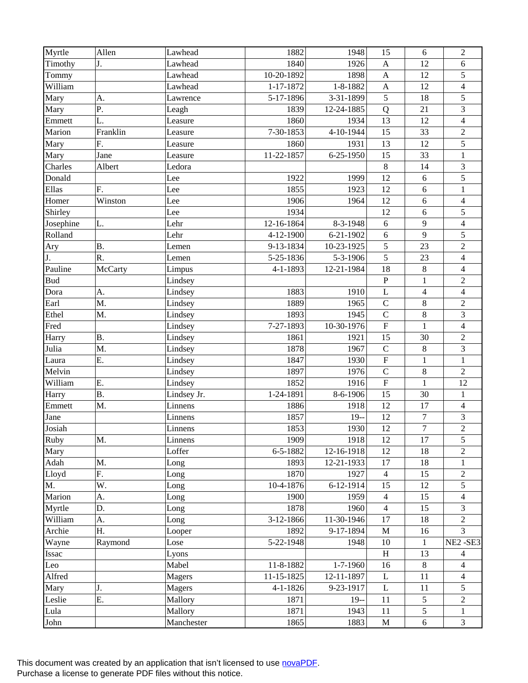| Myrtle     | Allen     | Lawhead     | 1882           | 1948            | 15                        | $\sqrt{6}$     | $\sqrt{2}$                  |
|------------|-----------|-------------|----------------|-----------------|---------------------------|----------------|-----------------------------|
| Timothy    | J.        | Lawhead     | 1840           | 1926            | $\boldsymbol{\mathsf{A}}$ | 12             | 6                           |
| Tommy      |           | Lawhead     | 10-20-1892     | 1898            | $\mathbf{A}$              | 12             | 5                           |
| William    |           | Lawhead     | 1-17-1872      | 1-8-1882        | $\boldsymbol{\mathsf{A}}$ | 12             | $\overline{4}$              |
| Mary       | A.        | Lawrence    | 5-17-1896      | 3-31-1899       | 5                         | 18             | $\overline{5}$              |
| Mary       | Ρ.        | Leagh       | 1839           | 12-24-1885      | Q                         | 21             | 3                           |
| Emmett     | L.        | Leasure     | 1860           | 1934            | 13                        | 12             | $\overline{\mathbf{4}}$     |
| Marion     | Franklin  | Leasure     | 7-30-1853      | 4-10-1944       | 15                        | 33             | $\sqrt{2}$                  |
| Mary       | F.        | Leasure     | 1860           | 1931            | 13                        | 12             | 5                           |
| Mary       | Jane      | Leasure     | 11-22-1857     | 6-25-1950       | 15                        | 33             | $\,1$                       |
| Charles    | Albert    | Ledora      |                |                 | $\,8\,$                   | 14             | $\ensuremath{\mathfrak{Z}}$ |
| Donald     |           | Lee         | 1922           | 1999            | 12                        | 6              | 5                           |
| Ellas      | F.        | Lee         | 1855           | 1923            | 12                        | 6              | $\mathbf{1}$                |
| Homer      | Winston   | Lee         | 1906           | 1964            | 12                        | 6              | $\overline{\mathbf{4}}$     |
| Shirley    |           | Lee         | 1934           |                 | 12                        | 6              | $\sqrt{5}$                  |
| Josephine  | L.        | Lehr        | 12-16-1864     | 8-3-1948        | 6                         | 9              | $\overline{4}$              |
| Rolland    |           | Lehr        | 4-12-1900      | 6-21-1902       | 6                         | 9              | 5                           |
| Ary        | <b>B.</b> | Lemen       | 9-13-1834      | 10-23-1925      | 5                         | 23             | $\overline{2}$              |
| J.         | R.        | Lemen       | 5-25-1836      | 5-3-1906        | 5                         | 23             | $\overline{\mathbf{4}}$     |
| Pauline    | McCarty   | Limpus      | 4-1-1893       | 12-21-1984      | 18                        | $8\,$          | $\overline{4}$              |
| <b>Bud</b> |           | Lindsey     |                |                 | ${\bf P}$                 | $\mathbf{1}$   | $\sqrt{2}$                  |
| Dora       | A.        | Lindsey     | 1883           | 1910            | L                         | $\overline{4}$ | $\overline{4}$              |
| Earl       | M.        | Lindsey     | 1889           | 1965            | $\overline{C}$            | $\,8\,$        | $\overline{2}$              |
| Ethel      | M.        | Lindsey     | 1893           | 1945            | $\mathsf{C}$              | $\,8\,$        | 3                           |
| Fred       |           | Lindsey     | 7-27-1893      | 10-30-1976      | ${\bf F}$                 | $\mathbf{1}$   | $\overline{4}$              |
| Harry      | <b>B.</b> | Lindsey     | 1861           | 1921            | 15                        | 30             | $\sqrt{2}$                  |
| Julia      | M.        | Lindsey     | 1878           | 1967            | $\mathbf C$               | $8\,$          | 3                           |
| Laura      | Ε.        | Lindsey     | 1847           | 1930            | ${\bf F}$                 | $\mathbf{1}$   | $\mathbf{1}$                |
| Melvin     |           | Lindsey     | 1897           | 1976            | $\mathsf{C}$              | $8\,$          | $\sqrt{2}$                  |
| William    | Ε.        | Lindsey     | 1852           | 1916            | $\overline{\mathrm{F}}$   | $\mathbf{1}$   | 12                          |
| Harry      | <b>B.</b> | Lindsey Jr. | 1-24-1891      | 8-6-1906        | 15                        | 30             | $\mathbf{1}$                |
| Emmett     | M.        | Linnens     | 1886           | 1918            | 12                        | 17             | $\overline{4}$              |
| Jane       |           | Linnens     | 1857           | $19-$           | 12                        | $\tau$         | 3                           |
| Josiah     |           | Linnens     | 1853           | 1930            | 12                        | $\overline{7}$ | $\overline{2}$              |
| Ruby       | M.        | Linnens     | 1909           | 1918            | 12                        | 17             | $\sqrt{5}$                  |
| Mary       |           | Loffer      | 6-5-1882       | 12-16-1918      | 12                        | 18             | $\overline{2}$              |
| Adah       | M.        | Long        | 1893           | 12-21-1933      | 17                        | 18             | 1                           |
| Lloyd      | F.        | Long        | 1870           | 1927            | $\overline{4}$            | 15             | $\overline{c}$              |
| M.         | W.        | Long        | 10-4-1876      | $6 - 12 - 1914$ | 15                        | 12             | 5                           |
| Marion     | A.        | Long        | 1900           | 1959            | $\overline{4}$            | 15             | 4                           |
| Myrtle     | D.        | Long        | 1878           | 1960            | $\overline{4}$            | 15             | 3                           |
| William    | A.        | Long        | 3-12-1866      | 11-30-1946      | 17                        | 18             | $\overline{2}$              |
| Archie     | Η.        | Looper      | 1892           | 9-17-1894       | $\mathbf M$               | 16             | 3                           |
| Wayne      | Raymond   | Lose        | 5-22-1948      | 1948            | $10\,$                    | $\mathbf{1}$   | NE2-SE3                     |
| Issac      |           | Lyons       |                |                 | H                         | 13             | 4                           |
| Leo        |           | Mabel       | 11-8-1882      | 1-7-1960        | 16                        | $8\,$          | 4                           |
| Alfred     |           | Magers      | 11-15-1825     | 12-11-1897      | $\mathbf{L}$              | 11             | $\overline{4}$              |
| Mary       | J.        | Magers      | $4 - 1 - 1826$ | 9-23-1917       | L                         | 11             | 5                           |
| Leslie     | E.        | Mallory     | 1871           | $19-$           | 11                        | 5              | $\overline{c}$              |
| Lula       |           | Mallory     | 1871           | 1943            | 11                        | 5              | 1                           |
| John       |           | Manchester  | 1865           | 1883            | M                         | $6\,$          | $\mathfrak{Z}$              |
|            |           |             |                |                 |                           |                |                             |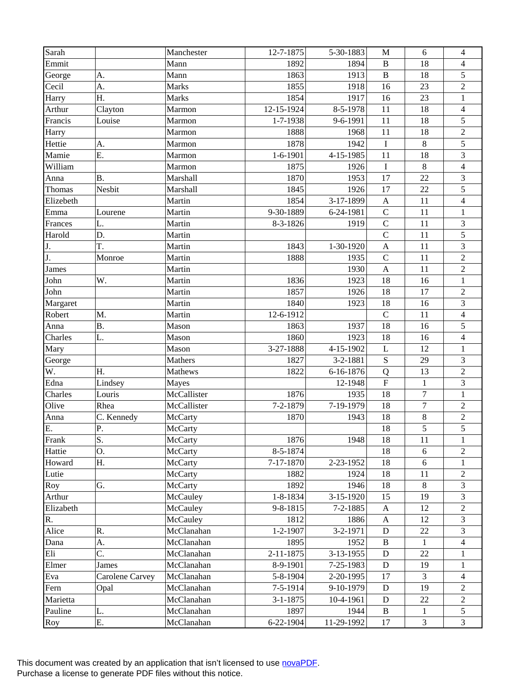| Sarah        |                 | Manchester     | 12-7-1875      | 5-30-1883      | M                         | 6                | $\overline{4}$              |
|--------------|-----------------|----------------|----------------|----------------|---------------------------|------------------|-----------------------------|
| Emmit        |                 | Mann           | 1892           | 1894           | $\, {\bf B}$              | 18               | 4                           |
| George       | A.              | Mann           | 1863           | 1913           | $\, {\bf B}$              | 18               | 5                           |
| Cecil        | A.              | <b>Marks</b>   | 1855           | 1918           | 16                        | 23               | $\sqrt{2}$                  |
| Harry        | Η.              | Marks          | 1854           | 1917           | 16                        | 23               | $\mathbf{1}$                |
| Arthur       | Clayton         | Marmon         | 12-15-1924     | 8-5-1978       | 11                        | 18               | $\overline{4}$              |
| Francis      | Louise          | Marmon         | 1-7-1938       | 9-6-1991       | 11                        | 18               | 5                           |
| Harry        |                 | Marmon         | 1888           | 1968           | 11                        | 18               | $\sqrt{2}$                  |
| Hettie       | A.              | Marmon         | 1878           | 1942           | $\bf I$                   | $8\,$            | $\overline{5}$              |
| Mamie        | E.              | Marmon         | $1 - 6 - 1901$ | 4-15-1985      | 11                        | 18               | 3                           |
| William      |                 | Marmon         | 1875           | 1926           | $\bf I$                   | $\,8\,$          | $\overline{4}$              |
| Anna         | <b>B.</b>       | Marshall       | 1870           | 1953           | 17                        | 22               | 3                           |
| Thomas       | Nesbit          | Marshall       | 1845           | 1926           | 17                        | 22               | 5                           |
|              |                 |                |                |                |                           | 11               |                             |
| Elizebeth    |                 | Martin         | 1854           | 3-17-1899      | $\boldsymbol{\mathsf{A}}$ |                  | $\overline{\mathbf{4}}$     |
| Emma         | Lourene         | Martin         | 9-30-1889      | 6-24-1981      | $\mathsf{C}$              | 11               | $\mathbf{1}$                |
| Frances      | L.              | Martin         | 8-3-1826       | 1919           | $\mathsf{C}$              | 11               | $\ensuremath{\mathfrak{Z}}$ |
| Harold       | D.              | Martin         |                |                | $\mathbf C$               | 11               | 5                           |
| J.           | T.              | Martin         | 1843           | 1-30-1920      | $\mathbf{A}$              | 11               | $\overline{3}$              |
| J.           | Monroe          | Martin         | 1888           | 1935           | $\mathcal{C}$             | 11               | $\overline{2}$              |
| <b>James</b> |                 | Martin         |                | 1930           | $\mathbf{A}$              | 11               | $\sqrt{2}$                  |
| John         | W.              | Martin         | 1836           | 1923           | 18                        | 16               | $\mathbf{1}$                |
| John         |                 | Martin         | 1857           | 1926           | 18                        | 17               | $\sqrt{2}$                  |
| Margaret     |                 | Martin         | 1840           | 1923           | 18                        | 16               | 3                           |
| Robert       | M.              | Martin         | 12-6-1912      |                | $\mathsf{C}$              | 11               | $\overline{4}$              |
| Anna         | <b>B.</b>       | Mason          | 1863           | 1937           | 18                        | 16               | $\sqrt{5}$                  |
| Charles      | L.              | Mason          | 1860           | 1923           | 18                        | 16               | $\overline{4}$              |
| Mary         |                 | Mason          | 3-27-1888      | 4-15-1902      | $\mathbf L$               | 12               | $\mathbf{1}$                |
| George       |                 | Mathers        | 1827           | 3-2-1881       | S                         | 29               | 3                           |
| W.           | Η.              | Mathews        | 1822           | 6-16-1876      | ${\bf Q}$                 | 13               | $\sqrt{2}$                  |
| Edna         | Lindsey         | Mayes          |                | 12-1948        | $\boldsymbol{\mathrm{F}}$ | $\mathbf{1}$     | $\overline{3}$              |
| Charles      | Louris          | McCallister    | 1876           | 1935           | 18                        | $\boldsymbol{7}$ | $\mathbf{1}$                |
| Olive        | Rhea            | McCallister    | 7-2-1879       | 7-19-1979      | 18                        | $\overline{7}$   | $\overline{2}$              |
| Anna         | C. Kennedy      | McCarty        | 1870           | 1943           | 18                        | $8\,$            | $\overline{c}$              |
| E.           | P.              | McCarty        |                |                | 18                        | 5                | $\overline{5}$              |
| Frank        | S.              | McCarty        | 1876           | 1948           | 18                        | 11               | 1                           |
| Hattie       | O.              | <b>McCarty</b> | 8-5-1874       |                | 18                        | 6                | $\overline{2}$              |
| Howard       | Η.              | <b>McCarty</b> | 7-17-1870      | 2-23-1952      | 18                        | 6                |                             |
| Lutie        |                 | McCarty        | 1882           | 1924           | 18                        | 11               | $\overline{c}$              |
| Roy          | G.              | McCarty        | 1892           | 1946           | 18                        | 8                | 3                           |
| Arthur       |                 | McCauley       | 1-8-1834       | 3-15-1920      | 15                        | 19               | 3                           |
| Elizabeth    |                 | McCauley       | 9-8-1815       | $7 - 2 - 1885$ | $\mathbf{A}$              | 12               | $\overline{2}$              |
| R.           |                 | McCauley       | 1812           | 1886           | A                         | 12               | 3                           |
| Alice        | R.              | McClanahan     | $1 - 2 - 1907$ | 3-2-1971       | ${\bf D}$                 | 22               | 3                           |
| Dana         | A.              | McClanahan     | 1895           | 1952           | $\bf{B}$                  | 1                | $\overline{4}$              |
| Eli          | C.              | McClanahan     | 2-11-1875      | 3-13-1955      | D                         | 22               | 1                           |
| Elmer        | James           | McClanahan     | 8-9-1901       | 7-25-1983      | $\mathbf D$               | 19               | 1                           |
| Eva          | Carolene Carvey | McClanahan     | 5-8-1904       | 2-20-1995      | 17                        | $\overline{3}$   | $\overline{4}$              |
| Fern         | Opal            | McClanahan     | 7-5-1914       | 9-10-1979      | D                         | 19               | $\overline{2}$              |
| Marietta     |                 | McClanahan     | $3 - 1 - 1875$ | 10-4-1961      | ${\bf D}$                 | $22\,$           | $\overline{c}$              |
| Pauline      | L.              | McClanahan     | 1897           | 1944           | B                         | 1                | 5                           |
| Roy          | Ε.              | McClanahan     | 6-22-1904      | 11-29-1992     | 17                        | $\overline{3}$   | 3                           |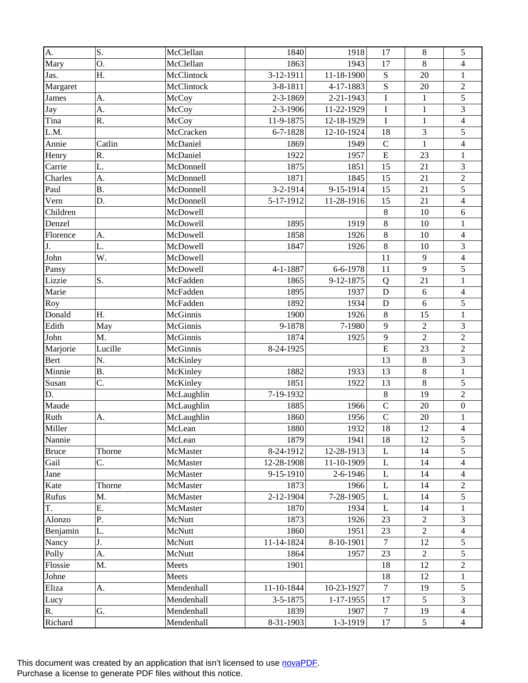| A.           | S.        | McClellan  | 1840           | 1918            | 17             | $\,8\,$        | 5                        |
|--------------|-----------|------------|----------------|-----------------|----------------|----------------|--------------------------|
| Mary         | O.        | McClellan  | 1863           | 1943            | 17             | 8              | 4                        |
| Jas.         | Η.        | McClintock | 3-12-1911      | 11-18-1900      | ${\bf S}$      | 20             | $\mathbf{1}$             |
| Margaret     |           | McClintock | 3-8-1811       | 4-17-1883       | S              | 20             | $\overline{c}$           |
| James        | A.        | McCoy      | 2-3-1869       | 2-21-1943       | $\mathbf I$    | $\mathbf 1$    | 5                        |
| Jay          | A.        | McCoy      | $2 - 3 - 1906$ | 11-22-1929      | $\mathbf I$    | $\mathbf{1}$   | 3                        |
| Tina         | R.        | McCoy      | 11-9-1875      | 12-18-1929      | $\mathbf I$    | $\mathbf{1}$   | $\overline{\mathbf{4}}$  |
| L.M.         |           | McCracken  | $6 - 7 - 1828$ | 12-10-1924      | 18             | 3              | 5                        |
| Annie        | Catlin    | McDaniel   | 1869           | 1949            | $\mathcal{C}$  | $\mathbf{1}$   | $\overline{\mathbf{4}}$  |
| Henry        | R.        | McDaniel   | 1922           | 1957            | E              | 23             | $\mathbf{1}$             |
| Carrie       | L.        | McDonnell  | 1875           | 1851            | 15             | 21             | 3                        |
| Charles      | A.        | McDonnell  | 1871           | 1845            | 15             | 21             | $\overline{c}$           |
| Paul         | <b>B.</b> | McDonnell  | 3-2-1914       | 9-15-1914       | 15             | 21             | 5                        |
| Vern         | D.        | McDonnell  | 5-17-1912      | 11-28-1916      | 15             | 21             | $\overline{\mathbf{4}}$  |
| Children     |           | McDowell   |                |                 | $\,8\,$        | 10             | $\sqrt{6}$               |
| Denzel       |           | McDowell   | 1895           | 1919            | $\,8\,$        | 10             | $\,1$                    |
| Florence     | A.        | McDowell   | 1858           | 1926            | $\,8\,$        | 10             | $\overline{\mathcal{L}}$ |
| J.           | L.        | McDowell   | 1847           | 1926            | 8              | 10             | 3                        |
| John         | W.        | McDowell   |                |                 | 11             | 9              | $\overline{\mathbf{4}}$  |
| Pansy        |           | McDowell   | $4 - 1 - 1887$ | 6-6-1978        | 11             | 9              | 5                        |
| Lizzie       | S.        | McFadden   | 1865           | 9-12-1875       | Q              | 21             | $\,1$                    |
| Marie        |           | McFadden   | 1895           | 1937            | $\mathbf D$    | 6              | $\overline{\mathcal{L}}$ |
| Roy          |           | McFadden   | 1892           | 1934            | D              | 6              | 5                        |
| Donald       | Η.        | McGinnis   | 1900           | 1926            | $\,8\,$        | 15             | $\mathbf{1}$             |
| Edith        | May       | McGinnis   | 9-1878         | 7-1980          | 9              | $\sqrt{2}$     | 3                        |
| John         | M.        | McGinnis   | 1874           | 1925            | 9              | $\overline{2}$ | $\overline{c}$           |
| Marjorie     | Lucille   | McGinnis   | 8-24-1925      |                 | $\overline{E}$ | 23             | $\overline{2}$           |
| Bert         | N.        | McKinley   |                |                 | 13             | 8              | 3                        |
| Minnie       | <b>B.</b> | McKinley   | 1882           | 1933            | 13             | $8\,$          | $\mathbf{1}$             |
| Susan        | C.        | McKinley   | 1851           | 1922            | 13             | $8\,$          | 5                        |
| D.           |           | McLaughlin | 7-19-1932      |                 | $\,8\,$        | 19             | $\overline{2}$           |
| Maude        |           | McLaughlin | 1885           | 1966            | $\mathbf C$    | 20             | $\boldsymbol{0}$         |
| Ruth         | A.        | McLaughlin | 1860           | 1956            | $\mathbf C$    | 20             | $\,1$                    |
| Miller       |           | McLean     | 1880           | 1932            | 18             | 12             | $\overline{4}$           |
| Nannie       |           | McLean     | 1879           | 1941            | 18             | 12             | 5                        |
| <b>Bruce</b> | Thorne    | McMaster   | 8-24-1912      | 12-28-1913      | L              | 14             | 5                        |
| Gail         | C.        | McMaster   | 12-28-1908     | 11-10-1909      | L              | 14             | 4                        |
| Jane         |           | McMaster   | 9-15-1910      | 2-6-1946        | L              | 14             | 4                        |
| Kate         | Thorne    | McMaster   | 1873           | 1966            | L              | 14             | $\overline{c}$           |
| Rufus        | M.        | McMaster   | 2-12-1904      | 7-28-1905       | L              | 14             | 5                        |
| T.           | Ε.        | McMaster   | 1870           | 1934            | L              | 14             | 1                        |
| Alonzo       | P.        | McNutt     | 1873           | 1926            | 23             | $\overline{2}$ | 3                        |
| Benjamin     | L.        | McNutt     | 1860           | 1951            | 23             | $\sqrt{2}$     | 4                        |
| Nancy        | J.        | McNutt     | 11-14-1824     | 8-10-1901       | $\overline{7}$ | 12             | 5                        |
| Polly        | A.        | McNutt     | 1864           | 1957            | 23             | 2              | 5                        |
| Flossie      | M.        | Meets      | 1901           |                 | 18             | 12             | 2                        |
| Johne        |           | Meets      |                |                 | 18             | 12             | 1                        |
| Eliza        | A.        | Mendenhall | 11-10-1844     | 10-23-1927      | $\tau$         | 19             | 5                        |
| Lucy         |           | Mendenhall | 3-5-1875       | $1 - 17 - 1955$ | 17             | 5              | 3                        |
| R.           |           |            |                | 1907            |                |                |                          |
|              | G.        | Mendenhall | 1839           |                 | 7              | 19             | 4                        |
| Richard      |           | Mendenhall | 8-31-1903      | $1 - 3 - 1919$  | 17             | $\mathfrak{S}$ | $\overline{4}$           |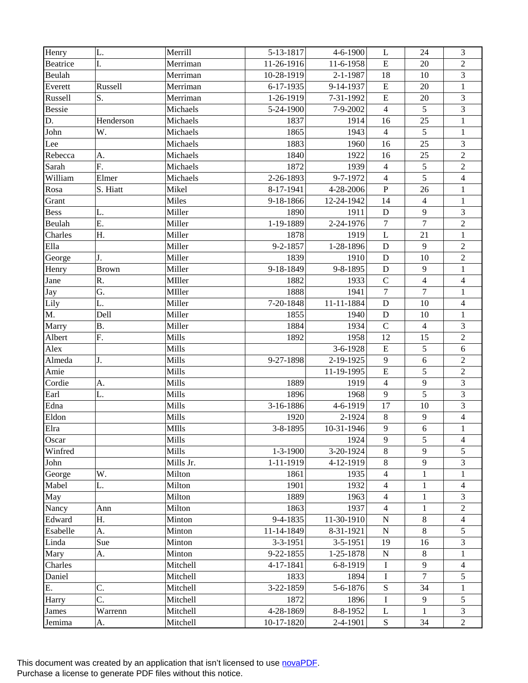| Henry         | L.           | Merrill      | 5-13-1817      | $4 - 6 - 1900$ | L              | 24             | 3                |
|---------------|--------------|--------------|----------------|----------------|----------------|----------------|------------------|
| Beatrice      | I.           | Merriman     | 11-26-1916     | 11-6-1958      | ${\bf E}$      | 20             | $\overline{2}$   |
| Beulah        |              | Merriman     | 10-28-1919     | 2-1-1987       | 18             | 10             | 3                |
| Everett       | Russell      | Merriman     | 6-17-1935      | 9-14-1937      | ${\bf E}$      | 20             | $\mathbf{1}$     |
| Russell       | S.           | Merriman     | 1-26-1919      | 7-31-1992      | ${\bf E}$      | 20             | 3                |
| <b>Bessie</b> |              | Michaels     | 5-24-1900      | 7-9-2002       | $\overline{4}$ | 5              | $\overline{3}$   |
| D.            | Henderson    | Michaels     | 1837           | 1914           | 16             | 25             | $\mathbf{1}$     |
| John          | W.           | Michaels     | 1865           | 1943           | $\overline{4}$ | 5              | $\mathbf{1}$     |
| Lee           |              | Michaels     | 1883           | 1960           | 16             | 25             | 3                |
| Rebecca       | A.           | Michaels     | 1840           | 1922           | 16             | 25             | $\overline{c}$   |
| Sarah         | F.           | Michaels     | 1872           | 1939           | $\overline{4}$ | 5              | $\overline{c}$   |
| William       | Elmer        | Michaels     | 2-26-1893      | 9-7-1972       | $\overline{4}$ | 5              | $\overline{4}$   |
| Rosa          | S. Hiatt     | Mikel        | 8-17-1941      | 4-28-2006      | ${\bf P}$      | 26             | $\mathbf{1}$     |
| Grant         |              | Miles        | 9-18-1866      | 12-24-1942     | 14             | $\overline{4}$ | $\mathbf{1}$     |
| Bess          | L.           | Miller       | 1890           | 1911           | D              | 9              | 3                |
| Beulah        | Ε.           | Miller       | 1-19-1889      | 2-24-1976      | $\overline{7}$ | $\overline{7}$ | $\overline{2}$   |
| Charles       | H.           | Miller       | 1878           | 1919           | L              | 21             | $\mathbf{1}$     |
| Ella          |              | Miller       | 9-2-1857       | 1-28-1896      | D              | 9              | $\sqrt{2}$       |
| George        | J.           | Miller       | 1839           | 1910           | $\mathbf D$    | 10             | $\boldsymbol{2}$ |
| Henry         | <b>Brown</b> | Miller       | 9-18-1849      | 9-8-1895       | D              | 9              | $\mathbf{1}$     |
| Jane          | R.           | MIller       | 1882           | 1933           | $\mathcal{C}$  | $\overline{4}$ | $\overline{4}$   |
| Jay           | G.           | MIller       | 1888           | 1941           | $\overline{7}$ | $\overline{7}$ | $\mathbf{1}$     |
| Lily          | L.           | Miller       | 7-20-1848      | 11-11-1884     | D              | 10             | $\overline{4}$   |
| M.            | Dell         | Miller       | 1855           | 1940           | ${\bf D}$      | 10             | $\mathbf{1}$     |
| Marry         | <b>B.</b>    | Miller       | 1884           | 1934           | $\mathsf{C}$   | $\overline{4}$ | 3                |
| Albert        | F.           | Mills        | 1892           | 1958           | 12             | 15             | $\boldsymbol{2}$ |
| Alex          |              | Mills        |                | 3-6-1928       | $\overline{E}$ | 5              | 6                |
| Almeda        | J.           | Mills        | 9-27-1898      | 2-19-1925      | 9              | 6              | $\boldsymbol{2}$ |
| Amie          |              | Mills        |                | 11-19-1995     | $\overline{E}$ | 5              | $\overline{2}$   |
| Cordie        | A.           | Mills        | 1889           | 1919           | $\overline{4}$ | 9              | 3                |
| Earl          | L.           | Mills        | 1896           | 1968           | 9              | 5              | 3                |
| Edna          |              | Mills        | 3-16-1886      | 4-6-1919       | 17             | 10             | $\overline{3}$   |
| Eldon         |              | Mills        | 1920           | 2-1924         | $\,8\,$        | $\overline{9}$ | $\overline{4}$   |
| Elra          |              | <b>MIlls</b> | 3-8-1895       | 10-31-1946     | 9              | $\overline{6}$ | $\mathbf{1}$     |
| Oscar         |              | Mills        |                | 1924           | 9              | 5              | $\overline{4}$   |
| Winfred       |              | <b>Mills</b> | $1 - 3 - 1900$ | 3-20-1924      | 8              | 9              | 5                |
| John          |              | Mills Jr.    | 1-11-1919      | 4-12-1919      | 8              | 9              | 3                |
| George        | W.           | Milton       | 1861           | 1935           | $\overline{4}$ | $\mathbf{1}$   | $\mathbf{1}$     |
| Mabel         | L.           | Milton       | 1901           | 1932           | $\overline{4}$ | $\mathbf{1}$   | $\overline{4}$   |
| May           |              | Milton       | 1889           | 1963           | $\overline{4}$ | $\mathbf{1}$   | 3                |
| Nancy         | Ann          | Milton       | 1863           | 1937           | $\overline{4}$ | $\mathbf{1}$   | $\overline{2}$   |
| Edward        | H.           | Minton       | 9-4-1835       | 11-30-1910     | $\overline{N}$ | 8              | $\overline{4}$   |
| Esabelle      | A.           | Minton       | 11-14-1849     | 8-31-1921      | ${\bf N}$      | 8              | 5                |
| Linda         | Sue          | Minton       | 3-3-1951       | 3-5-1951       | 19             | 16             | $\mathfrak{Z}$   |
| Mary          | A.           | Minton       | 9-22-1855      | 1-25-1878      | ${\bf N}$      | $\,8\,$        | $\mathbf{1}$     |
| Charles       |              | Mitchell     | 4-17-1841      | 6-8-1919       | I              | 9              | $\overline{4}$   |
| Daniel        |              | Mitchell     | 1833           | 1894           | $\bf I$        | $\overline{7}$ | 5                |
| Ε.            | C.           | Mitchell     | 3-22-1859      | $5 - 6 - 1876$ | ${\bf S}$      | 34             | $\mathbf{1}$     |
| Harry         | C.           | Mitchell     | 1872           | 1896           | $\mathbf I$    | $\overline{9}$ | 5                |
| James         | Warrenn      | Mitchell     | 4-28-1869      | 8-8-1952       | L              | $\mathbf{1}$   | 3                |
| Jemima        | A.           | Mitchell     | 10-17-1820     | 2-4-1901       | ${\bf S}$      | 34             | $\overline{2}$   |
|               |              |              |                |                |                |                |                  |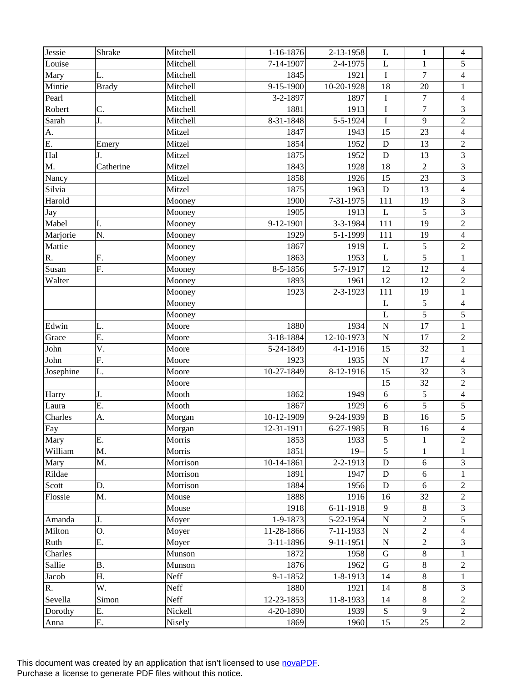| Jessie    | Shrake       | Mitchell | 1-16-1876      | 2-13-1958      | L               | $\mathbf{1}$     | $\overline{4}$           |
|-----------|--------------|----------|----------------|----------------|-----------------|------------------|--------------------------|
| Louise    |              | Mitchell | 7-14-1907      | 2-4-1975       | $\mathbf L$     | $\mathbf{1}$     | 5                        |
| Mary      | L.           | Mitchell | 1845           | 1921           | $\mathbf I$     | $\overline{7}$   | $\overline{\mathbf{4}}$  |
| Mintie    | <b>Brady</b> | Mitchell | 9-15-1900      | 10-20-1928     | 18              | 20               | $\,1$                    |
| Pearl     |              | Mitchell | 3-2-1897       | 1897           | $\mathbf I$     | $\boldsymbol{7}$ | $\overline{4}$           |
| Robert    | C.           | Mitchell | 1881           | 1913           | $\mathbf I$     | $\boldsymbol{7}$ | 3                        |
| Sarah     | J.           | Mitchell | 8-31-1848      | 5-5-1924       | $\mathbf I$     | 9                | $\overline{c}$           |
| A.        |              | Mitzel   | 1847           | 1943           | 15              | 23               | $\overline{\mathbf{4}}$  |
| E.        | Emery        | Mitzel   | 1854           | 1952           | $\mathbf D$     | 13               | $\overline{c}$           |
| Hal       | J.           | Mitzel   | 1875           | 1952           | D               | 13               | 3                        |
| M.        | Catherine    | Mitzel   | 1843           | 1928           | 18              | $\overline{2}$   | 3                        |
| Nancy     |              | Mitzel   | 1858           | 1926           | 15              | 23               | 3                        |
| Silvia    |              | Mitzel   | 1875           | 1963           | ${\bf D}$       | 13               | $\overline{\mathcal{L}}$ |
| Harold    |              | Mooney   | 1900           | 7-31-1975      | 111             | 19               | 3                        |
| Jay       |              | Mooney   | 1905           | 1913           | $\mathbf L$     | 5                | 3                        |
| Mabel     | I.           | Mooney   | 9-12-1901      | 3-3-1984       | 111             | 19               | $\sqrt{2}$               |
| Marjorie  | N.           | Mooney   | 1929           | 5-1-1999       | 111             | 19               | $\overline{4}$           |
| Mattie    |              | Mooney   | 1867           | 1919           | $\mathbf{L}$    | 5                | $\sqrt{2}$               |
| R.        | F.           | Mooney   | 1863           | 1953           | $\mathbf{L}$    | 5                | $\,1$                    |
| Susan     | F.           | Mooney   | 8-5-1856       | 5-7-1917       | 12              | 12               | $\overline{4}$           |
| Walter    |              | Mooney   | 1893           | 1961           | 12              | 12               | $\overline{c}$           |
|           |              | Mooney   | 1923           | 2-3-1923       | 111             | 19               | $\mathbf{1}$             |
|           |              | Mooney   |                |                | L               | 5                | 4                        |
|           |              | Mooney   |                |                | $\mathbf L$     | $\overline{5}$   | 5                        |
| Edwin     | L.           | Moore    | 1880           | 1934           | $\mathbf N$     | 17               | $\mathbf{1}$             |
| Grace     | E.           | Moore    | 3-18-1884      | 12-10-1973     | $\mathbf N$     | 17               | $\sqrt{2}$               |
| John      | V.           | Moore    | 5-24-1849      | 4-1-1916       | 15              | 32               | $\mathbf{1}$             |
| John      | F.           | Moore    | 1923           | 1935           | ${\bf N}$       | 17               | 4                        |
| Josephine | L.           | Moore    | 10-27-1849     | 8-12-1916      | 15              | 32               | 3                        |
|           |              | Moore    |                |                | 15              | 32               | $\sqrt{2}$               |
| Harry     | J.           | Mooth    | 1862           | 1949           | 6               | 5                | 4                        |
| Laura     | E.           | Mooth    | 1867           | 1929           | 6               | 5                | 5                        |
| Charles   | A.           | Morgan   | 10-12-1909     | 9-24-1939      | $\, {\bf B}$    | 16               | 5                        |
| Fay       |              | Morgan   | 12-31-1911     | 6-27-1985      | $\, {\bf B}$    | 16               | $\overline{4}$           |
| Mary      | Ε.           | Morris   | 1853           | 1933           | 5               | 1                | $\overline{2}$           |
| William   | M.           | Morris   | 1851           | $19-$          | 5               | 1                | 1                        |
| Mary      | M.           | Morrison | 10-14-1861     | 2-2-1913       | $\mathbf D$     | 6                | 3                        |
| Rildae    |              | Morrison | 1891           | 1947           | ${\bf D}$       | $\sqrt{6}$       | 1                        |
| Scott     | D.           | Morrison | 1884           | 1956           | ${\bf D}$       | $6\,$            | $\overline{c}$           |
| Flossie   | M.           | Mouse    | 1888           | 1916           | 16              | 32               | $\overline{2}$           |
|           |              | Mouse    | 1918           | 6-11-1918      | 9               | $\,8\,$          | 3                        |
| Amanda    | J.           | Moyer    | 1-9-1873       | 5-22-1954      | ${\bf N}$       | $\overline{2}$   | 5                        |
| Milton    | O.           | Moyer    | 11-28-1866     | 7-11-1933      | $\mathbf N$     | $\overline{2}$   | $\overline{\mathcal{L}}$ |
| Ruth      | Ε.           | Moyer    | 3-11-1896      | 9-11-1951      | ${\bf N}$       | $\overline{2}$   | 3                        |
| Charles   |              | Munson   | 1872           | 1958           | $\mathbf G$     | $\,8\,$          | 1                        |
| Sallie    | <b>B.</b>    | Munson   | 1876           | 1962           | $\mathsf G$     | $\,8\,$          | $\overline{2}$           |
| Jacob     | Η.           | Neff     | $9 - 1 - 1852$ | $1 - 8 - 1913$ | 14              | 8                | $\mathbf{1}$             |
| R.        | W.           | Neff     | 1880           | 1921           | 14              | $\,8\,$          | 3                        |
| Sevella   | Simon        | Neff     | 12-23-1853     | 11-8-1933      | 14              | $8\,$            | $\overline{c}$           |
|           | Ε.           |          |                | 1939           |                 | 9                | $\sqrt{2}$               |
| Dorothy   |              | Nickell  | 4-20-1890      |                | ${\bf S}$<br>15 | 25               | $\overline{2}$           |
| Anna      | Ε.           | Nisely   | 1869           | 1960           |                 |                  |                          |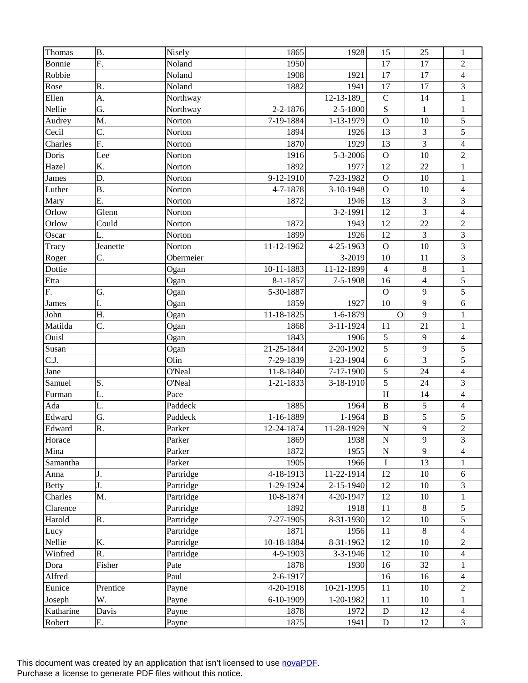| Thomas       | <b>B.</b>        | Nisely    | 1865       | 1928            | 15             | 25             | $\mathbf{1}$             |
|--------------|------------------|-----------|------------|-----------------|----------------|----------------|--------------------------|
| Bonnie       | F.               | Noland    | 1950       |                 | 17             | 17             | $\overline{2}$           |
| Robbie       |                  | Noland    | 1908       | 1921            | 17             | 17             | $\overline{\mathcal{L}}$ |
| Rose         | R.               | Noland    | 1882       | 1941            | 17             | 17             | 3                        |
| Ellen        | A.               | Northway  |            | 12-13-189       | $\mathsf{C}$   | 14             | $\mathbf{1}$             |
| Nellie       | G.               | Northway  | 2-2-1876   | $2 - 5 - 1800$  | ${\bf S}$      | $\mathbf{1}$   | $\mathbf{1}$             |
| Audrey       | M.               | Norton    | 7-19-1884  | 1-13-1979       | $\mathbf O$    | 10             | 5                        |
| Cecil        | C.               | Norton    | 1894       | 1926            | 13             | 3              | 5                        |
| Charles      | $\overline{F}$ . | Norton    | 1870       | 1929            | 13             | $\overline{3}$ | $\overline{\mathbf{4}}$  |
| Doris        | Lee              | Norton    | 1916       | 5-3-2006        | $\mathbf{O}$   | 10             | $\sqrt{2}$               |
| Hazel        | K.               | Norton    | 1892       | 1977            | 12             | 22             | $\mathbf{1}$             |
| <b>James</b> | D.               | Norton    | 9-12-1910  | 7-23-1982       | $\mathbf O$    | 10             | $\mathbf{1}$             |
| Luther       | <b>B.</b>        | Norton    | 4-7-1878   | 3-10-1948       | $\mathbf{O}$   | 10             | $\overline{\mathcal{L}}$ |
| Mary         | Ε.               | Norton    | 1872       | 1946            | 13             | 3              | 3                        |
| Orlow        | Glenn            | Norton    |            | 3-2-1991        | 12             | $\overline{3}$ | $\overline{4}$           |
| Orlow        | Could            | Norton    | 1872       | 1943            | 12             | 22             | $\sqrt{2}$               |
| Oscar        | L.               | Norton    | 1899       | 1926            | 12             | 3              | 3                        |
| Tracy        | Jeanette         | Norton    | 11-12-1962 | 4-25-1963       | $\mathbf O$    | 10             | $\overline{\mathbf{3}}$  |
| Roger        | C.               | Obermeier |            | 3-2019          | 10             | 11             | 3                        |
| Dottie       |                  | Ogan      | 10-11-1883 | 11-12-1899      | $\overline{4}$ | $8\,$          | $\,1$                    |
| Etta         |                  | Ogan      | 8-1-1857   | $7 - 5 - 1908$  | 16             | $\overline{4}$ | 5                        |
| F.           | G.               | Ogan      | 5-30-1887  |                 | $\mathbf O$    | 9              | 5                        |
| James        | I.               | Ogan      | 1859       | 1927            | 10             | 9              | 6                        |
| John         | H.               | Ogan      | 11-18-1825 | 1-6-1879        | $\mathbf{O}$   | 9              | $\,1$                    |
| Matilda      | C.               | Ogan      | 1868       | 3-11-1924       | 11             | 21             | $\mathbf{1}$             |
| Ouisl        |                  | Ogan      | 1843       | 1906            | $\sqrt{5}$     | 9              | $\overline{4}$           |
| Susan        |                  | Ogan      | 21-25-1844 | 2-20-1902       | 5              | 9              | 5                        |
| C.J.         |                  | Olin      | 7-29-1839  | 1-23-1904       | 6              | 3              | 5                        |
| Jane         |                  | O'Neal    | 11-8-1840  | 7-17-1900       | 5              | 24             | $\overline{4}$           |
| Samuel       | S.               | O'Neal    | 1-21-1833  | 3-18-1910       | 5              | 24             | $\mathfrak{Z}$           |
| Furman       | L.               | Pace      |            |                 | $\, {\rm H}$   | 14             | $\overline{4}$           |
| Ada          | L.               | Paddeck   | 1885       | 1964            | $\, {\bf B}$   | 5              | $\overline{\mathbf{4}}$  |
| Edward       | G.               | Paddeck   | 1-16-1889  | 1-1964          | $\, {\bf B}$   | 5              | 5                        |
| Edward       | R.               | Parker    | 12-24-1874 | 11-28-1929      | ${\bf N}$      | 9              | $\overline{2}$           |
| Horace       |                  | Parker    | 1869       | 1938            | ${\bf N}$      | 9              | 3                        |
| Mina         |                  | Parker    | 1872       | 1955            | ${\bf N}$      | 9              | 4                        |
| Samantha     |                  | Parker    | 1905       | 1966            | $\mathbf I$    | 13             | 1                        |
| Anna         | J.               | Partridge | 4-18-1913  | 11-22-1914      | 12             | 10             | 6                        |
| <b>Betty</b> | J.               | Partridge | 1-29-1924  | $2 - 15 - 1940$ | 12             | 10             | 3                        |
| Charles      | M.               | Partridge | 10-8-1874  | 4-20-1947       | 12             | 10             | 1                        |
| Clarence     |                  | Partridge | 1892       | 1918            | 11             | $8\,$          | 5                        |
| Harold       | R.               | Partridge | 7-27-1905  | 8-31-1930       | 12             | 10             | 5                        |
| Lucy         |                  | Partridge | 1871       | 1956            | 11             | $8\,$          | $\overline{4}$           |
| Nellie       | K.               | Partridge | 10-18-1884 | 8-31-1962       | 12             | $10\,$         | $\overline{c}$           |
| Winfred      | R.               | Partridge | 4-9-1903   | 3-3-1946        | 12             | 10             | $\overline{4}$           |
| Dora         | Fisher           | Pate      | 1878       | 1930            | 16             | 32             | 1                        |
| Alfred       |                  | Paul      | 2-6-1917   |                 | 16             | 16             | $\overline{4}$           |
| Eunice       | Prentice         | Payne     | 4-20-1918  | 10-21-1995      | 11             | $10\,$         | $\overline{c}$           |
| Joseph       | W.               | Payne     | 6-10-1909  | 1-20-1982       | 11             | 10             | $\mathbf{1}$             |
| Katharine    | Davis            | Payne     | 1878       | 1972            | D              | 12             | 4                        |
| Robert       | Е.               | Payne     | 1875       | 1941            | ${\bf D}$      | 12             | 3                        |
|              |                  |           |            |                 |                |                |                          |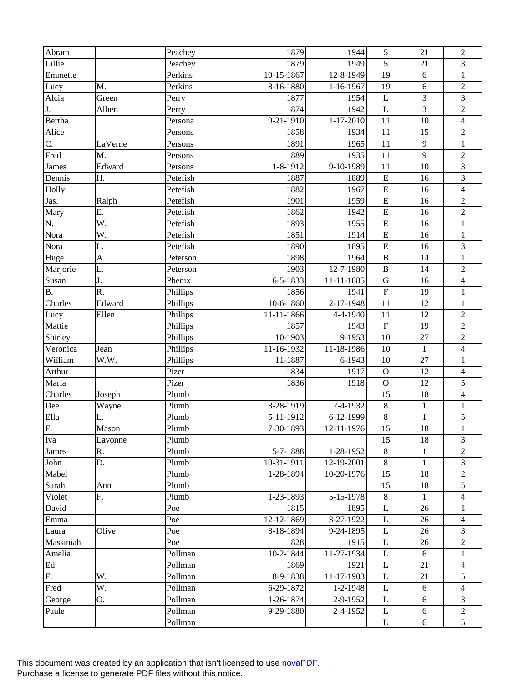| Abram        |         | Peachey  | 1879       | 1944                       | 5            | 21               | $\sqrt{2}$               |
|--------------|---------|----------|------------|----------------------------|--------------|------------------|--------------------------|
| Lillie       |         | Peachey  | 1879       | 1949                       | 5            | 21               | 3                        |
| Emmette      |         | Perkins  | 10-15-1867 | $\overline{12} - 8 - 1949$ | 19           | 6                | $\mathbf{1}$             |
| Lucy         | M.      | Perkins  | 8-16-1880  | 1-16-1967                  | 19           | 6                | $\sqrt{2}$               |
| Alcia        | Green   | Perry    | 1877       | 1954                       | $\mathbf L$  | 3                | $\overline{\mathbf{3}}$  |
| J.           | Albert  | Perry    | 1874       | 1942                       | L            | 3                | $\sqrt{2}$               |
| Bertha       |         | Persona  | 9-21-1910  | $1 - 17 - 2010$            | 11           | 10               | $\overline{4}$           |
| Alice        |         | Persons  | 1858       | 1934                       | 11           | 15               | $\sqrt{2}$               |
| C.           | LaVerne | Persons  | 1891       | 1965                       | 11           | 9                | $\mathbf{1}$             |
| Fred         | M.      | Persons  | 1889       | 1935                       | 11           | 9                | $\sqrt{2}$               |
| <b>James</b> | Edward  | Persons  | 1-8-1912   | 9-10-1989                  | 11           | 10               | 3                        |
| Dennis       | Η.      | Petefish | 1887       | 1889                       | ${\bf E}$    | 16               | 3                        |
| Holly        |         | Petefish | 1882       | 1967                       | ${\bf E}$    | 16               | $\overline{\mathbf{4}}$  |
| Jas.         | Ralph   | Petefish | 1901       | 1959                       | ${\bf E}$    | 16               | $\sqrt{2}$               |
| Mary         | Ε.      | Petefish | 1862       | 1942                       | ${\bf E}$    | 16               | $\sqrt{2}$               |
| N.           | W.      | Petefish | 1893       | 1955                       | ${\bf E}$    | 16               | $\,1$                    |
| Nora         | W.      | Petefish | 1851       | 1914                       | ${\bf E}$    | 16               | $\mathbf{1}$             |
| Nora         | L.      | Petefish | 1890       | 1895                       | ${\bf E}$    | 16               | 3                        |
| Huge         | A.      | Peterson | 1898       | 1964                       | $\, {\bf B}$ | 14               | $\mathbf{1}$             |
| Marjorie     | L.      | Peterson | 1903       | 12-7-1980                  | $\, {\bf B}$ | 14               | $\sqrt{2}$               |
| Susan        | J.      | Phenix   | 6-5-1833   | 11-11-1885                 | ${\bf G}$    | 16               | $\overline{4}$           |
| <b>B.</b>    | R.      | Phillips | 1856       | 1941                       | ${\bf F}$    | 19               | $\mathbf{1}$             |
| Charles      | Edward  | Phillips | 10-6-1860  | 2-17-1948                  | 11           | 12               | $\mathbf{1}$             |
| Lucy         | Ellen   | Phillips | 11-11-1866 | 4-4-1940                   | 11           | 12               | $\sqrt{2}$               |
| Mattie       |         | Phillips | 1857       | 1943                       | $\mathbf F$  | 19               | $\overline{2}$           |
| Shirley      |         | Phillips | 10-1903    | 9-1953                     | 10           | 27               | $\sqrt{2}$               |
| Veronica     | Jean    | Phillips | 11-16-1932 | 11-18-1986                 | 10           | $\mathbf{1}$     | $\overline{\mathbf{4}}$  |
| William      | W.W.    | Phillips | 11-1887    | 6-1943                     | 10           | 27               | $\mathbf{1}$             |
| Arthur       |         | Pizer    | 1834       | 1917                       | $\mathbf O$  | 12               | $\overline{4}$           |
| Maria        |         | Pizer    | 1836       | 1918                       | $\mathbf O$  | 12               | $\sqrt{5}$               |
| Charles      | Joseph  | Plumb    |            |                            | 15           | 18               | $\overline{\mathcal{L}}$ |
| Dee          | Wayne   | Plumb    | 3-28-1919  | 7-4-1932                   | $\,8\,$      | $\mathbf{1}$     | $\mathbf{1}$             |
| Ella         | L.      | Plumb    | 5-11-1912  | 6-12-1999                  | $\,8\,$      | $\mathbf{1}$     | 5                        |
| F.           | Mason   | Plumb    | 7-30-1893  | 12-11-1976                 | 15           | 18               | $\mathbf{1}$             |
| Iva          | Lavonne | Plumb    |            |                            | 15           | 18               | 3                        |
| James        | R.      | Plumb    | 5-7-1888   | 1-28-1952                  | 8            | 1                | 2                        |
| John         | D.      | Plumb    | 10-31-1911 | 12-19-2001                 | $\,8\,$      | $\mathbf{1}$     | 3                        |
| Mabel        |         | Plumb    | 1-28-1894  | 10-20-1976                 | 15           | 18               | $\overline{c}$           |
| Sarah        | Ann     | Plumb    |            |                            | 15           | 18               | 5                        |
| Violet       | F.      | Plumb    | 1-23-1893  | 5-15-1978                  | $\,8\,$      | 1                | $\overline{4}$           |
| David        |         | Poe      | 1815       | 1895                       | L            | 26               | 1                        |
| Emma         |         | Poe      | 12-12-1869 | 3-27-1922                  | L            | 26               | 4                        |
| Laura        | Olive   | Poe      | 8-18-1894  | 9-24-1895                  | L            | 26               | 3                        |
| Massiniah    |         | Poe      | 1828       | 1915                       | L            | 26               | $\overline{c}$           |
| Amelia       |         | Pollman  | 10-2-1844  | 11-27-1934                 | L            | 6                | 1                        |
| Ed           |         | Pollman  | 1869       | 1921                       | L            | 21               | 4                        |
| F.           | W.      | Pollman  | 8-9-1838   | $11 - 17 - 1903$           | L            | 21               | 5                        |
| Fred         | W.      | Pollman  | 6-29-1872  | $1 - 2 - 1948$             | L            | $\boldsymbol{6}$ | 4                        |
| George       | 0.      | Pollman  | 1-26-1874  | 2-9-1952                   | L            | 6                | 3                        |
| Paule        |         | Pollman  | 9-29-1880  | 2-4-1952                   | L            | 6                | $\sqrt{2}$               |
|              |         | Pollman  |            |                            | L            | 6                | 5                        |
|              |         |          |            |                            |              |                  |                          |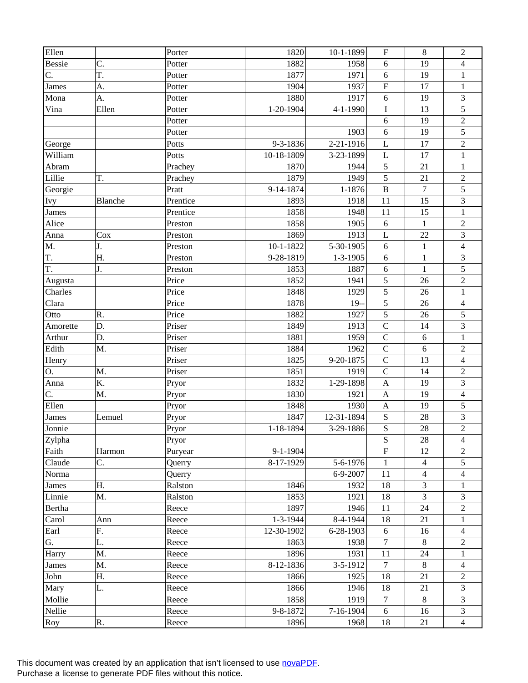| Ellen         |         | Porter   | 1820           | 10-1-1899       | ${\bf F}$                 | $\,8\,$        | $\overline{2}$          |
|---------------|---------|----------|----------------|-----------------|---------------------------|----------------|-------------------------|
| <b>Bessie</b> | C.      | Potter   | 1882           | 1958            | 6                         | 19             | 4                       |
| C.            | T.      | Potter   | 1877           | 1971            | 6                         | 19             | $\mathbf{1}$            |
| James         | A.      | Potter   | 1904           | 1937            | $\overline{\mathrm{F}}$   | 17             | $\,1$                   |
| Mona          | A.      | Potter   | 1880           | 1917            | 6                         | 19             | $\overline{\mathbf{3}}$ |
| Vina          | Ellen   | Potter   | 1-20-1904      | 4-1-1990        | I                         | 13             | 5                       |
|               |         | Potter   |                |                 | 6                         | 19             | $\overline{c}$          |
|               |         | Potter   |                | 1903            | 6                         | 19             | 5                       |
| George        |         | Potts    | 9-3-1836       | 2-21-1916       | L                         | 17             | $\overline{2}$          |
| William       |         | Potts    | 10-18-1809     | 3-23-1899       | $\mathbf L$               | 17             | $\mathbf{1}$            |
| Abram         |         | Prachey  | 1870           | 1944            | $\sqrt{5}$                | 21             | $\mathbf{1}$            |
| Lillie        | T.      | Prachey  | 1879           | 1949            | 5                         | 21             | $\sqrt{2}$              |
| Georgie       |         | Pratt    | 9-14-1874      | 1-1876          | $\bf{B}$                  | $\overline{7}$ | 5                       |
| <b>Ivy</b>    | Blanche | Prentice | 1893           | 1918            | 11                        | 15             | 3                       |
| <b>James</b>  |         | Prentice | 1858           | 1948            | 11                        | 15             | $\mathbf{1}$            |
| Alice         |         | Preston  | 1858           | 1905            | $\sqrt{6}$                | $\mathbf{1}$   | $\sqrt{2}$              |
| Anna          | Cox     | Preston  | 1869           | 1913            | L                         | 22             | 3                       |
| M.            | J.      | Preston  | $10-1-1822$    | 5-30-1905       | 6                         | $\mathbf{1}$   | $\overline{4}$          |
| T.            | Η.      | Preston  | 9-28-1819      | $1 - 3 - 1905$  | 6                         | $\mathbf{1}$   | 3                       |
| T.            | J.      | Preston  | 1853           | 1887            | 6                         | $\mathbf{1}$   | 5                       |
| Augusta       |         | Price    | 1852           | 1941            | $\sqrt{5}$                | 26             | $\sqrt{2}$              |
| Charles       |         | Price    | 1848           | 1929            | 5                         | 26             | $\mathbf{1}$            |
| Clara         |         | Price    | 1878           | $19-$           | 5                         | 26             | $\overline{\mathbf{4}}$ |
| Otto          | R.      | Price    | 1882           | 1927            | 5                         | 26             | 5                       |
| Amorette      | D.      | Priser   | 1849           | 1913            | $\mathbf C$               | 14             | $\overline{3}$          |
| Arthur        | D.      | Priser   | 1881           | 1959            | $\mathsf{C}$              | $\sqrt{6}$     | $\mathbf{1}$            |
| Edith         | M.      | Priser   | 1884           | 1962            | $\mathbf C$               | 6              | $\overline{2}$          |
| Henry         |         | Priser   | 1825           | 9-20-1875       | $\overline{C}$            | 13             | $\overline{\mathbf{4}}$ |
| O.            | M.      | Priser   | 1851           | 1919            | $\mathbf C$               | 14             | $\sqrt{2}$              |
| Anna          | K.      | Pryor    | 1832           | 1-29-1898       | $\boldsymbol{\mathsf{A}}$ | 19             | $\overline{\mathbf{3}}$ |
| C.            | M.      | Pryor    | 1830           | 1921            | $\mathbf{A}$              | 19             | $\overline{4}$          |
| Ellen         |         | Pryor    | 1848           | 1930            | $\boldsymbol{\mathsf{A}}$ | 19             | 5                       |
| James         | Lemuel  | Pryor    | 1847           | 12-31-1894      | ${\bf S}$                 | 28             | 3                       |
| Jonnie        |         | Pryor    | 1-18-1894      | 3-29-1886       | S                         | 28             | $\overline{2}$          |
| Zylpha        |         | Pryor    |                |                 | ${\bf S}$                 | 28             | $\overline{4}$          |
| Faith         | Harmon  | Puryear  | $9 - 1 - 1904$ |                 | ${\bf F}$                 | 12             | $\overline{2}$          |
| Claude        | C.      | Querry   | 8-17-1929      | 5-6-1976        | 1                         | $\overline{4}$ | 5                       |
| Norma         |         | Querry   |                | 6-9-2007        | 11                        | $\overline{4}$ | $\overline{4}$          |
| James         | Η.      | Ralston  | 1846           | 1932            | 18                        | $\overline{3}$ | $\mathbf{1}$            |
| Linnie        | M.      | Ralston  | 1853           | 1921            | 18                        | $\overline{3}$ | 3                       |
| Bertha        |         | Reece    | 1897           | 1946            | 11                        | 24             | $\overline{2}$          |
| Carol         | Ann     | Reece    | 1-3-1944       | $8-4-1944$      | 18                        | 21             | $\mathbf{1}$            |
| Earl          | F.      | Reece    | 12-30-1902     | $6 - 28 - 1903$ | 6                         | 16             | $\overline{4}$          |
| G.            | L.      | Reece    | 1863           | 1938            | $\overline{7}$            | $\,8\,$        | $\overline{c}$          |
| Harry         | M.      | Reece    | 1896           | 1931            | 11                        | 24             | 1                       |
| James         | M.      | Reece    | 8-12-1836      | 3-5-1912        | $\tau$                    | $\,8\,$        | $\overline{4}$          |
| John          | Η.      | Reece    | 1866           | 1925            | 18                        | 21             | $\overline{2}$          |
| Mary          | L.      | Reece    | 1866           | 1946            | 18                        | 21             | 3                       |
| Mollie        |         | Reece    | 1858           | 1919            | $\tau$                    | $8\,$          | 3                       |
| Nellie        |         | Reece    | 9-8-1872       | $7-16-1904$     | $6\,$                     | 16             | $\mathfrak{Z}$          |
| Roy           | R.      | Reece    | 1896           | 1968            | 18                        | 21             | $\overline{4}$          |
|               |         |          |                |                 |                           |                |                         |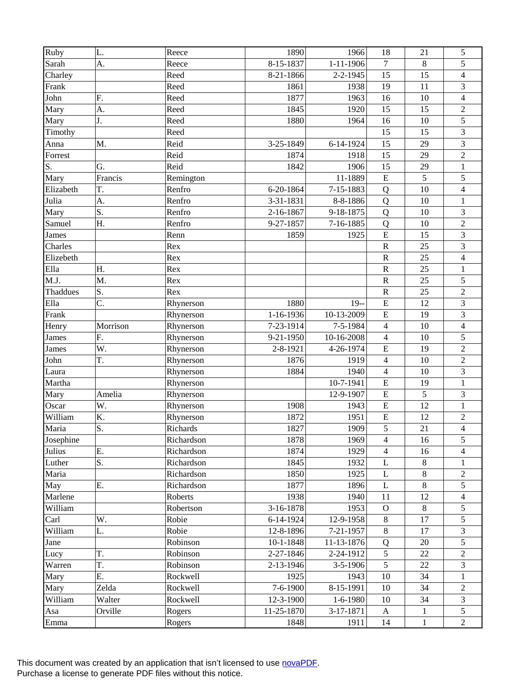| Ruby            | L.       | Reece        | 1890            | 1966            | 18                      | 21             | 5                        |
|-----------------|----------|--------------|-----------------|-----------------|-------------------------|----------------|--------------------------|
| Sarah           | A.       | Reece        | 8-15-1837       | $1 - 11 - 1906$ | $\tau$                  | 8              | 5                        |
| Charley         |          | Reed         | 8-21-1866       | $2 - 2 - 1945$  | 15                      | 15             | 4                        |
| Frank           |          | Reed         | 1861            | 1938            | 19                      | 11             | 3                        |
| John            | F.       | Reed         | 1877            | 1963            | 16                      | 10             | $\overline{4}$           |
| Mary            | A.       | Reed         | 1845            | 1920            | 15                      | 15             | $\overline{2}$           |
| Mary            | J.       | Reed         | 1880            | 1964            | 16                      | 10             | 5                        |
| Timothy         |          | Reed         |                 |                 | 15                      | 15             | 3                        |
| Anna            | M.       | Reid         | $3 - 25 - 1849$ | 6-14-1924       | 15                      | 29             | 3                        |
| Forrest         |          | Reid         | 1874            | 1918            | 15                      | 29             | $\overline{c}$           |
| S.              | G.       | Reid         | 1842            | 1906            | 15                      | 29             | $\mathbf{1}$             |
| Mary            | Francis  | Remington    |                 | 11-1889         | ${\bf E}$               | 5              | 5                        |
| Elizabeth       | T.       | Renfro       | 6-20-1864       | 7-15-1883       | Q                       | 10             | $\overline{\mathcal{L}}$ |
| Julia           | A.       | Renfro       | 3-31-1831       | 8-8-1886        | Q                       | 10             | $\mathbf{1}$             |
| Mary            | S.       | Renfro       | 2-16-1867       | 9-18-1875       | Q                       | 10             | 3                        |
| Samuel          | Η.       | Renfro       | 9-27-1857       | 7-16-1885       | Q                       | 10             | $\sqrt{2}$               |
| <b>James</b>    |          | Renn         | 1859            | 1925            | ${\bf E}$               | 15             | 3                        |
| Charles         |          | Rex          |                 |                 | $\overline{\mathsf{R}}$ | 25             | 3                        |
| Elizebeth       |          | $\mbox{Rex}$ |                 |                 | ${\bf R}$               | 25             | $\overline{\mathbf{4}}$  |
| Ella            | Η.       | Rex          |                 |                 | $\overline{\mathrm{R}}$ | 25             | $\mathbf{1}$             |
| M.J.            | M.       | Rex          |                 |                 | ${\bf R}$               | 25             | 5                        |
| Thaddues        | S.       | Rex          |                 |                 | ${\bf R}$               | 25             | $\overline{c}$           |
| Ella            | C.       | Rhynerson    | 1880            | $19-$           | ${\bf E}$               | 12             | 3                        |
| Frank           |          | Rhynerson    | 1-16-1936       | 10-13-2009      | E                       | 19             | $\overline{\mathbf{3}}$  |
| Henry           | Morrison | Rhynerson    | 7-23-1914       | 7-5-1984        | $\overline{4}$          | 10             | $\overline{4}$           |
| James           | F.       | Rhynerson    | 9-21-1950       | 10-16-2008      | $\overline{4}$          | 10             | 5                        |
|                 | W.       |              | 2-8-1921        | 4-26-1974       | E                       | 19             | $\overline{2}$           |
| James           | T.       | Rhynerson    | 1876            | 1919            | $\overline{4}$          | 10             | $\overline{2}$           |
| John            |          | Rhynerson    |                 | 1940            |                         | 10             | 3                        |
| Laura<br>Martha |          | Rhynerson    | 1884            | 10-7-1941       | $\overline{\mathbf{4}}$ |                |                          |
|                 |          | Rhynerson    |                 |                 | E                       | 19             | $\mathbf{1}$             |
| Mary            | Amelia   | Rhynerson    |                 | 12-9-1907       | ${\bf E}$               | 5              | 3                        |
| Oscar           | W.       | Rhynerson    | 1908            | 1943            | ${\bf E}$               | 12             | $\mathbf{1}$             |
| William         | K.       | Rhynerson    | 1872            | 1951            | ${\bf E}$               | 12             | $\overline{2}$           |
| Maria           | S.       | Richards     | 1827            | 1909            | 5                       | 21             | $\overline{4}$           |
| Josephine       |          | Richardson   | 1878            | 1969            | $\overline{4}$          | 16             | 5                        |
| Julius          | Ε.       | Richardson   | 1874            | 1929            | $\overline{4}$          | 16             | 4                        |
| Luther          | S.       | Richardson   | 1845            | 1932            | L                       | $8\,$          | 1                        |
| Maria           |          | Richardson   | 1850            | 1925            | L                       | $8\,$          | $\overline{c}$           |
| May             | Ε.       | Richardson   | 1877            | 1896            | L                       | $\overline{8}$ | 5                        |
| Marlene         |          | Roberts      | 1938            | 1940            | 11                      | 12             | 4                        |
| William         |          | Robertson    | 3-16-1878       | 1953            | $\mathbf{O}$            | $\,8\,$        | 5                        |
| Carl            | W.       | Robie        | 6-14-1924       | 12-9-1958       | $\,8\,$                 | 17             | 5                        |
| William         | L.       | Robie        | 12-8-1896       | 7-21-1957       | $\,8\,$                 | 17             | 3                        |
| Jane            |          | Robinson     | 10-1-1848       | 11-13-1876      | Q                       | 20             | 5                        |
| Lucy            | T.       | Robinson     | 2-27-1846       | 2-24-1912       | 5                       | 22             | $\overline{2}$           |
| Warren          | T.       | Robinson     | 2-13-1946       | 3-5-1906        | 5                       | 22             | 3                        |
| Mary            | Ε.       | Rockwell     | 1925            | 1943            | 10                      | 34             | 1                        |
| Mary            | Zelda    | Rockwell     | 7-6-1900        | 8-15-1991       | 10                      | 34             | $\overline{c}$           |
| William         | Walter   | Rockwell     | 12-3-1900       | 1-6-1980        | 10                      | 34             | 3                        |
| Asa             | Orville  | Rogers       | 11-25-1870      | 3-17-1871       | A                       | 1              | 5                        |
| Emma            |          | Rogers       | 1848            | 1911            | 14                      | $\mathbf{1}$   | $\sqrt{2}$               |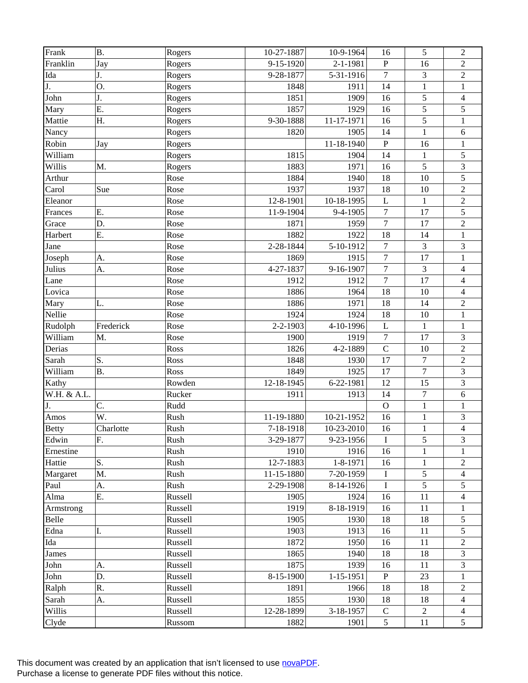| Frank        | <b>B.</b> | Rogers  | 10-27-1887                 | 10-9-1964  | 16               | 5                | $\overline{2}$           |
|--------------|-----------|---------|----------------------------|------------|------------------|------------------|--------------------------|
| Franklin     | Jay       | Rogers  | 9-15-1920                  | 2-1-1981   | ${\bf P}$        | 16               | $\overline{2}$           |
| Ida          | J.        | Rogers  | 9-28-1877                  | 5-31-1916  | $\boldsymbol{7}$ | 3                | $\sqrt{2}$               |
| J.           | Ο.        | Rogers  | 1848                       | 1911       | 14               | $\mathbf{1}$     | $\,1$                    |
| John         | J.        | Rogers  | 1851                       | 1909       | 16               | $\overline{5}$   | $\overline{4}$           |
| Mary         | E.        | Rogers  | 1857                       | 1929       | 16               | 5                | 5                        |
| Mattie       | Η.        | Rogers  | 9-30-1888                  | 11-17-1971 | 16               | 5                | $\mathbf{1}$             |
| Nancy        |           | Rogers  | 1820                       | 1905       | 14               | $\mathbf{1}$     | $\sqrt{6}$               |
| Robin        | Jay       | Rogers  |                            | 11-18-1940 | $\mathbf{P}$     | 16               | $\,1$                    |
| William      |           | Rogers  | 1815                       | 1904       | 14               | $\mathbf{1}$     | 5                        |
| Willis       | M.        | Rogers  | 1883                       | 1971       | 16               | 5                | $\mathfrak{Z}$           |
| Arthur       |           | Rose    | 1884                       | 1940       | 18               | 10               | 5                        |
| Carol        | Sue       | Rose    | 1937                       | 1937       | 18               | 10               | $\overline{2}$           |
| Eleanor      |           | Rose    | $\overline{12} - 8 - 1901$ | 10-18-1995 | $\mathbf{L}$     | $\mathbf{1}$     | $\sqrt{2}$               |
| Frances      | Ε.        | Rose    | 11-9-1904                  | 9-4-1905   | $\boldsymbol{7}$ | 17               | 5                        |
| Grace        | D.        | Rose    | 1871                       | 1959       | $\boldsymbol{7}$ | 17               | $\sqrt{2}$               |
| Harbert      | Ε.        | Rose    | 1882                       | 1922       | 18               | 14               | $\mathbf{1}$             |
| Jane         |           | Rose    | 2-28-1844                  | 5-10-1912  | $\boldsymbol{7}$ | $\overline{3}$   | 3                        |
| Joseph       | A.        | Rose    | 1869                       | 1915       | $\boldsymbol{7}$ | 17               | $\mathbf{1}$             |
| Julius       | A.        | Rose    | 4-27-1837                  | 9-16-1907  | $\boldsymbol{7}$ | 3                | $\overline{4}$           |
| Lane         |           | Rose    | 1912                       | 1912       | $\overline{7}$   | 17               | $\overline{4}$           |
| Lovica       |           | Rose    | 1886                       | 1964       | 18               | 10               | $\overline{4}$           |
| Mary         | L.        | Rose    | 1886                       | 1971       | 18               | 14               | $\overline{2}$           |
| Nellie       |           | Rose    | 1924                       | 1924       | 18               | 10               | $\mathbf{1}$             |
| Rudolph      | Frederick | Rose    | 2-2-1903                   | 4-10-1996  | $\mathbf L$      | $\mathbf{1}$     | $\mathbf{1}$             |
| William      | M.        | Rose    | 1900                       | 1919       | $\boldsymbol{7}$ | 17               | 3                        |
| Derias       |           | Ross    | 1826                       | 4-2-1889   | $\mathbf C$      | 10               | $\overline{2}$           |
| Sarah        | S.        | Ross    | 1848                       | 1930       | 17               | $\overline{7}$   | $\overline{2}$           |
| William      | <b>B.</b> | Ross    | 1849                       | 1925       | 17               | $\overline{7}$   | 3                        |
| Kathy        |           | Rowden  | 12-18-1945                 | 6-22-1981  | 12               | 15               | $\overline{\mathbf{3}}$  |
| W.H. & A.L.  |           | Rucker  | 1911                       | 1913       | 14               | $\boldsymbol{7}$ | $\sqrt{6}$               |
| J.           | C.        | Rudd    |                            |            | $\mathbf{O}$     | $\mathbf{1}$     | $\mathbf{1}$             |
| Amos         | W.        | Rush    | 11-19-1880                 | 10-21-1952 | 16               | $\mathbf{1}$     | 3                        |
| <b>Betty</b> | Charlotte | Rush    | 7-18-1918                  | 10-23-2010 | 16               | $\mathbf{1}$     | $\overline{4}$           |
| Edwin        | F.        | Rush    | 3-29-1877                  | 9-23-1956  | I                | 5                | 3                        |
| Ernestine    |           | Rush    | 1910                       | 1916       | 16               | 1                | 1                        |
| Hattie       | S.        | Rush    | 12-7-1883                  | 1-8-1971   | 16               | $\mathbf{1}$     | $\overline{c}$           |
| Margaret     | M.        | Rush    | 11-15-1880                 | 7-20-1959  | I                | 5                | 4                        |
| Paul         | A.        | Rush    | 2-29-1908                  | 8-14-1926  | I                | $\overline{5}$   | 5                        |
| Alma         | Ε.        | Russell | 1905                       | 1924       | 16               | 11               | 4                        |
| Armstrong    |           | Russell | 1919                       | 8-18-1919  | 16               | 11               | 1                        |
| Belle        |           | Russell | 1905                       | 1930       | 18               | 18               | 5                        |
| Edna         | I.        | Russell | 1903                       | 1913       | 16               | 11               | 5                        |
| Ida          |           | Russell | 1872                       | 1950       | 16               | 11               | $\overline{c}$           |
| James        |           | Russell | 1865                       | 1940       | 18               | 18               | 3                        |
| John         | A.        | Russell | 1875                       | 1939       | 16               | 11               | 3                        |
| John         | D.        | Russell | 8-15-1900                  | 1-15-1951  | ${\bf P}$        | 23               | 1                        |
| Ralph        | R.        | Russell | 1891                       | 1966       | 18               | 18               | $\overline{c}$           |
| Sarah        | A.        | Russell | 1855                       | 1930       | 18               | 18               | $\overline{\mathcal{L}}$ |
| Willis       |           | Russell | 12-28-1899                 | 3-18-1957  | $\mathbf C$      | $\overline{2}$   | 4                        |
| Clyde        |           | Russom  | 1882                       | 1901       | 5                | 11               | 5                        |
|              |           |         |                            |            |                  |                  |                          |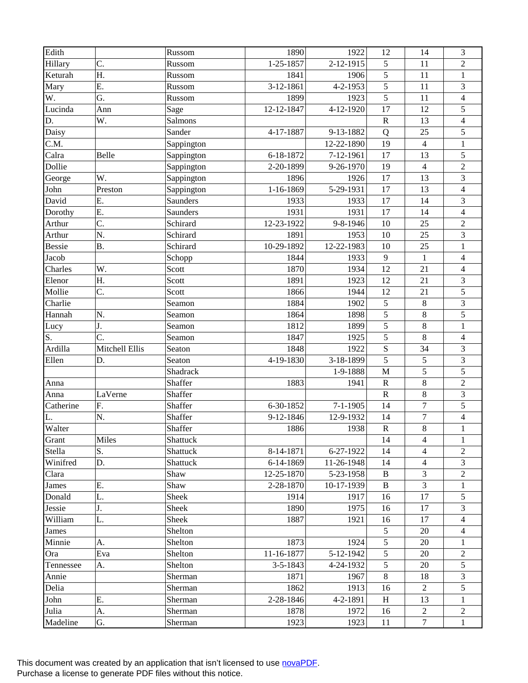| Edith         |                | Russom     | 1890           | 1922           | 12             | 14               | 3                        |
|---------------|----------------|------------|----------------|----------------|----------------|------------------|--------------------------|
| Hillary       | C.             | Russom     | 1-25-1857      | 2-12-1915      | 5              | 11               | $\overline{2}$           |
| Keturah       | Η.             | Russom     | 1841           | 1906           | $\sqrt{5}$     | 11               | $\mathbf{1}$             |
| Mary          | E.             | Russom     | 3-12-1861      | 4-2-1953       | 5              | 11               | 3                        |
| W.            | G.             | Russom     | 1899           | 1923           | $\overline{5}$ | 11               | $\overline{4}$           |
| Lucinda       | Ann            | Sage       | 12-12-1847     | 4-12-1920      | 17             | 12               | 5                        |
| D.            | W.             | Salmons    |                |                | ${\bf R}$      | 13               | $\overline{\mathbf{4}}$  |
| Daisy         |                | Sander     | 4-17-1887      | 9-13-1882      | Q              | 25               | 5                        |
| C.M.          |                | Sappington |                | 12-22-1890     | 19             | $\overline{4}$   | $\,1$                    |
| Calra         | Belle          | Sappington | 6-18-1872      | 7-12-1961      | 17             | 13               | 5                        |
| Dollie        |                | Sappington | 2-20-1899      | 9-26-1970      | 19             | $\overline{4}$   | $\sqrt{2}$               |
| George        | W.             | Sappington | 1896           | 1926           | 17             | 13               | 3                        |
| John          | Preston        | Sappington | 1-16-1869      | 5-29-1931      | 17             | 13               | $\overline{\mathcal{L}}$ |
| David         | Ε.             | Saunders   | 1933           | 1933           | 17             | 14               | 3                        |
| Dorothy       | Ε.             | Saunders   | 1931           | 1931           | 17             | 14               | $\overline{4}$           |
| Arthur        | C.             | Schirard   | 12-23-1922     | 9-8-1946       | 10             | 25               | $\sqrt{2}$               |
| Arthur        | N.             | Schirard   | 1891           | 1953           | 10             | 25               | 3                        |
| <b>Bessie</b> | <b>B.</b>      | Schirard   | 10-29-1892     | 12-22-1983     | 10             | 25               | $\mathbf{1}$             |
| Jacob         |                | Schopp     | 1844           | 1933           | $\mathbf{9}$   | $\mathbf{1}$     | $\overline{\mathbf{4}}$  |
| Charles       | W.             | Scott      | 1870           | 1934           | 12             | 21               | $\overline{4}$           |
| Elenor        | Η.             | Scott      | 1891           | 1923           | 12             | 21               | 3                        |
| Mollie        | C.             | Scott      | 1866           | 1944           | 12             | 21               | 5                        |
| Charlie       |                | Seamon     | 1884           | 1902           | 5              | $\,8\,$          | 3                        |
| Hannah        | N.             | Seamon     | 1864           | 1898           | 5              | $\,8\,$          | 5                        |
| Lucy          | J.             | Seamon     | 1812           | 1899           | 5              | $\,8\,$          | $\mathbf{1}$             |
| S.            | C.             | Seamon     | 1847           | 1925           | $\overline{5}$ | $\,8\,$          | $\overline{4}$           |
| Ardilla       | Mitchell Ellis | Seaton     | 1848           | 1922           | $\mathbf S$    | 34               | 3                        |
| Ellen         | D.             | Seaton     | 4-19-1830      | 3-18-1899      | 5              | 5                | 3                        |
|               |                | Shadrack   |                | 1-9-1888       | $\mathbf{M}$   | 5                | 5                        |
| Anna          |                | Shaffer    | 1883           | 1941           | ${\bf R}$      | $\,8\,$          | $\overline{2}$           |
| Anna          | LaVerne        | Shaffer    |                |                | ${\bf R}$      | $\,8\,$          | 3                        |
| Catherine     | F.             | Shaffer    | 6-30-1852      | $7 - 1 - 1905$ | 14             | $\overline{7}$   | 5                        |
|               |                | Shaffer    |                |                | 14             | $\boldsymbol{7}$ | $\overline{\mathcal{L}}$ |
| L.            | N.             | Shaffer    | 9-12-1846      | 12-9-1932      | ${\bf R}$      | $\,8\,$          |                          |
| Walter        |                |            | 1886           | 1938           |                |                  | $\mathbf{1}$             |
| Grant         | Miles          | Shattuck   |                |                | 14             | 4                | 1                        |
| Stella        | S.             | Shattuck   | 8-14-1871      | 6-27-1922      | 14             | $\overline{4}$   | $\overline{2}$           |
| Winifred      | D.             | Shattuck   | 6-14-1869      | 11-26-1948     | 14             | $\overline{4}$   | 3                        |
| Clara         |                | Shaw       | 12-25-1870     | 5-23-1958      | B              | 3                | $\overline{c}$           |
| James         | Ε.             | Shaw       | 2-28-1870      | 10-17-1939     | $\bf{B}$       | $\overline{3}$   | 1                        |
| Donald        | L.             | Sheek      | 1914           | 1917           | 16             | 17               | 5                        |
| Jessie        | J.             | Sheek      | 1890           | 1975           | 16             | 17               | 3                        |
| William       | L.             | Sheek      | 1887           | 1921           | 16             | 17               | 4                        |
| James         |                | Shelton    |                |                | 5              | 20               | 4                        |
| Minnie        | A.             | Shelton    | 1873           | 1924           | 5              | 20               | 1                        |
| Ora           | Eva            | Shelton    | 11-16-1877     | 5-12-1942      | 5              | 20               | 2                        |
| Tennessee     | A.             | Shelton    | $3 - 5 - 1843$ | 4-24-1932      | 5              | 20               | 5                        |
| Annie         |                | Sherman    | 1871           | 1967           | 8              | 18               | 3                        |
| Delia         |                | Sherman    | 1862           | 1913           | 16             | $\overline{2}$   | 5                        |
| John          | Е.             | Sherman    | 2-28-1846      | 4-2-1891       | H              | 13               | 1                        |
| Julia         | А.             | Sherman    | 1878           | 1972           | 16             | 2                | 2                        |
| Madeline      | G.             | Sherman    | 1923           | 1923           | 11             | $\tau$           | $\mathbf{1}$             |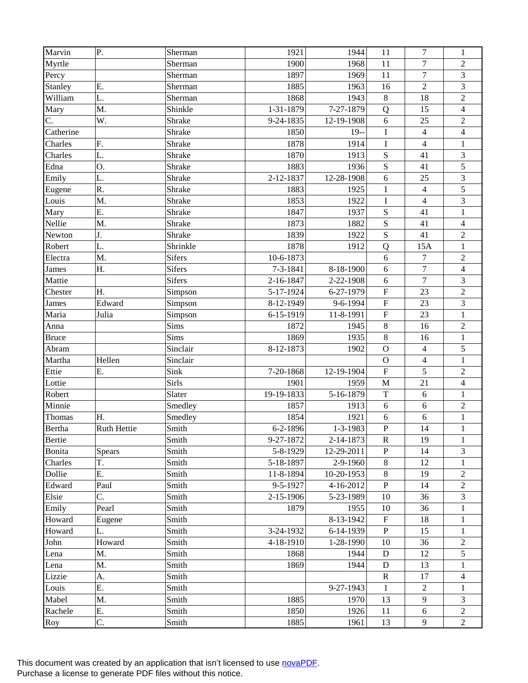| Marvin        | P.                 | Sherman       | 1921       | 1944         | 11                        | 7                       | $\mathbf{1}$            |
|---------------|--------------------|---------------|------------|--------------|---------------------------|-------------------------|-------------------------|
| Myrtle        |                    | Sherman       | 1900       | 1968         | 11                        | $\overline{7}$          | $\overline{2}$          |
| Percy         |                    | Sherman       | 1897       | 1969         | 11                        | $\overline{7}$          | 3                       |
| Stanley       | Ε.                 | Sherman       | 1885       | 1963         | 16                        | $\overline{2}$          | 3                       |
| William       | L.                 | Sherman       | 1868       | 1943         | $\,8\,$                   | 18                      | $\overline{c}$          |
| Mary          | M.                 | Shinkle       | 1-31-1879  | 7-27-1879    | Q                         | 15                      | $\overline{4}$          |
| C.            | W.                 | Shrake        | 9-24-1835  | 12-19-1908   | 6                         | 25                      | $\overline{c}$          |
| Catherine     |                    | Shrake        | 1850       | $19-$        | $\rm I$                   | $\overline{\mathbf{4}}$ | $\overline{\mathbf{4}}$ |
| Charles       | F.                 | Shrake        | 1878       | 1914         | $\bf I$                   | $\overline{4}$          | $\mathbf{1}$            |
| Charles       | L.                 | Shrake        | 1870       | 1913         | ${\bf S}$                 | 41                      | $\mathfrak{Z}$          |
| Edna          | Ο.                 | Shrake        | 1883       | 1936         | ${\bf S}$                 | 41                      | 5                       |
| Emily         | L.                 | Shrake        | 2-12-1837  | 12-28-1908   | 6                         | 25                      | 3                       |
| Eugene        | R.                 | Shrake        | 1883       | 1925         | $\bf I$                   | $\overline{4}$          | 5                       |
| Louis         | M.                 | Shrake        | 1853       | 1922         | $\bf I$                   | $\overline{4}$          | 3                       |
| Mary          | Ε.                 | Shrake        | 1847       | 1937         | ${\bf S}$                 | 41                      | $\mathbf{1}$            |
| Nellie        | M.                 | Shrake        | 1873       | 1882         | ${\bf S}$                 | 41                      | $\overline{4}$          |
| Newton        | J.                 | Shrake        | 1839       | 1922         | $\mathbf S$               | 41                      | $\overline{c}$          |
| Robert        | L.                 | Shrinkle      | 1878       | 1912         | Q                         | 15A                     | $\mathbf{1}$            |
| Electra       | M.                 | Sifers        | 10-6-1873  |              | 6                         | $\tau$                  | $\sqrt{2}$              |
| James         | Η.                 | <b>Sifers</b> | 7-3-1841   | 8-18-1900    | 6                         | $\overline{7}$          | $\overline{4}$          |
| Mattie        |                    | <b>Sifers</b> | 2-16-1847  | 2-22-1908    | $\sqrt{6}$                | $\overline{7}$          | $\mathfrak{Z}$          |
| Chester       | Η.                 | Simpson       | 5-17-1924  | 6-27-1979    | $\boldsymbol{\mathrm{F}}$ | 23                      | $\overline{2}$          |
| James         | Edward             | Simpson       | 8-12-1949  | 9-6-1994     | $\mathbf F$               | 23                      | 3                       |
| Maria         | Julia              | Simpson       | 6-15-1919  | 11-8-1991    | $\mathbf F$               | 23                      | $\mathbf{1}$            |
| Anna          |                    | Sims          | 1872       | 1945         | $\,8\,$                   | 16                      | $\sqrt{2}$              |
| <b>Bruce</b>  |                    | Sims          | 1869       | 1935         | $\,8\,$                   | 16                      | $\,1$                   |
| Abram         |                    | Sinclair      | 8-12-1873  | 1902         | $\overline{O}$            | $\overline{4}$          | 5                       |
| Martha        | Hellen             | Sinclair      |            |              | $\mathbf O$               | $\overline{4}$          | $\mathbf{1}$            |
| Ettie         | Ε.                 | Sink          | 7-20-1868  | 12-19-1904   | $\overline{\mathrm{F}}$   | 5                       | $\sqrt{2}$              |
| Lottie        |                    | Sirls         | 1901       | 1959         | $\mathbf M$               | 21                      | $\overline{4}$          |
| Robert        |                    | Slater        | 19-19-1833 | 5-16-1879    | $\mathbf T$               | 6                       | $\mathbf{1}$            |
| Minnie        |                    | Smedley       | 1857       | 1913         | 6                         | 6                       | $\sqrt{2}$              |
| Thomas        | H.                 | Smedley       | 1854       | 1921         | 6                         | 6                       | $\,1$                   |
| <b>Bertha</b> | <b>Ruth Hettie</b> | Smith         | 6-2-1896   | 1-3-1983     | $\mathbf{P}$              | 14                      | $\mathbf{1}$            |
| Bertie        |                    | Smith         | 9-27-1872  | 2-14-1873    | $\mathbf R$               | 19                      | 1                       |
| Bonita        | <b>Spears</b>      | Smith         | 5-8-1929   | 12-29-2011   | ${\bf P}$                 | 14                      | 3                       |
| Charles       | T.                 | Smith         | 5-18-1897  | 2-9-1960     | $\,8\,$                   | 12                      | 1                       |
| Dollie        | Ε.                 | Smith         | 11-8-1894  | $10-20-1953$ | $\,8\,$                   | 19                      | $\overline{c}$          |
| Edward        | Paul               | Smith         | 9-5-1927   | 4-16-2012    | ${\bf P}$                 | 14                      | $\overline{c}$          |
| Elsie         | C.                 | Smith         | 2-15-1906  | 5-23-1989    | 10                        | 36                      | 3                       |
| Emily         | Pearl              | Smith         | 1879       | 1955         | 10                        | 36                      | 1                       |
| Howard        | Eugene             | Smith         |            | 8-13-1942    | ${\bf F}$                 | 18                      | $\mathbf{1}$            |
| Howard        | L.                 | Smith         | 3-24-1932  | $6-14-1939$  | ${\bf P}$                 | 15                      | $\mathbf{1}$            |
| John          | Howard             | Smith         | 4-18-1910  | 1-28-1990    | 10                        | 36                      | $\overline{c}$          |
| Lena          | M.                 | Smith         | 1868       | 1944         | D                         | 12                      | 5                       |
| Lena          | M.                 | Smith         | 1869       | 1944         | D                         | 13                      | 1                       |
| Lizzie        | A.                 | Smith         |            |              | $\mathbf R$               | 17                      | $\overline{4}$          |
| Louis         | E.                 | Smith         |            | 9-27-1943    | 1                         | $\overline{2}$          | 1                       |
| Mabel         | M.                 | Smith         | 1885       | 1970         | 13                        | 9                       | 3                       |
| Rachele       | Ε.                 | Smith         | 1850       | 1926         | 11                        | 6                       | $\overline{2}$          |
| Roy           | C.                 | Smith         | 1885       | 1961         | 13                        | 9                       | $\overline{2}$          |
|               |                    |               |            |              |                           |                         |                         |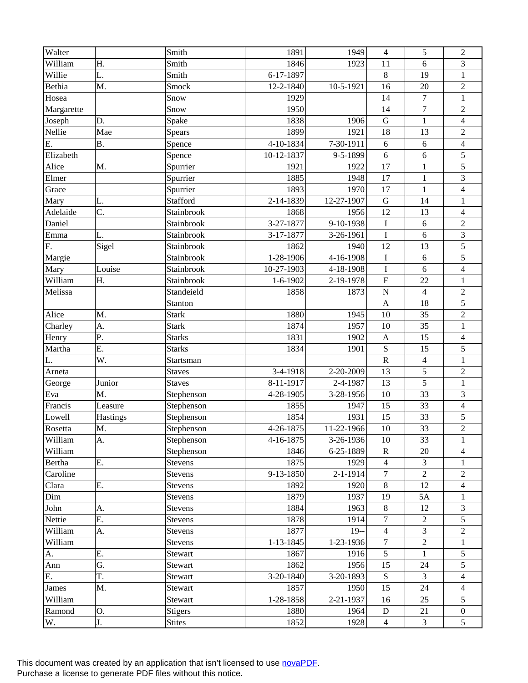| Walter           |           | Smith              | 1891       | 1949           | $\overline{4}$   | 5                | $\overline{2}$          |
|------------------|-----------|--------------------|------------|----------------|------------------|------------------|-------------------------|
| William          | Η.        | Smith              | 1846       | 1923           | 11               | 6                | 3                       |
| Willie           | L.        | Smith              | 6-17-1897  |                | $\,8\,$          | 19               | $\mathbf{1}$            |
| Bethia           | M.        | Smock              | 12-2-1840  | 10-5-1921      | 16               | 20               | $\overline{c}$          |
| Hosea            |           | Snow               | 1929       |                | 14               | $\overline{7}$   | $\mathbf{1}$            |
| Margarette       |           | Snow               | 1950       |                | 14               | $\boldsymbol{7}$ | $\sqrt{2}$              |
| Joseph           | D.        | Spake              | 1838       | 1906           | $\mathbf G$      | $\mathbf{1}$     | $\overline{\mathbf{4}}$ |
| Nellie           | Mae       | Spears             | 1899       | 1921           | 18               | 13               | $\sqrt{2}$              |
| E.               | <b>B.</b> | Spence             | 4-10-1834  | 7-30-1911      | 6                | 6                | $\overline{\mathbf{4}}$ |
| Elizabeth        |           | Spence             | 10-12-1837 | 9-5-1899       | 6                | 6                | 5                       |
| Alice            | M.        | Spurrier           | 1921       | 1922           | 17               | 1                | 5                       |
| Elmer            |           | Spurrier           | 1885       | 1948           | 17               | $\mathbf{1}$     | 3                       |
| Grace            |           | Spurrier           | 1893       | 1970           | 17               | $\mathbf{1}$     | $\overline{4}$          |
| Mary             | L.        | Stafford           | 2-14-1839  | 12-27-1907     | $\mathbf G$      | 14               | $\,1$                   |
| Adelaide         | C.        | Stainbrook         | 1868       | 1956           | 12               | 13               | $\overline{4}$          |
| Daniel           |           | Stainbrook         | 3-27-1877  | 9-10-1938      | $\bf I$          | $\sqrt{6}$       | $\sqrt{2}$              |
| Emma             | L.        | Stainbrook         | 3-17-1877  | 3-26-1961      | $\overline{I}$   | 6                | 3                       |
| F.               | Sigel     | Stainbrook         | 1862       | 1940           | 12               | 13               | 5                       |
| Margie           |           | Stainbrook         | 1-28-1906  | 4-16-1908      | $\bf I$          | 6                | 5                       |
| Mary             | Louise    | Stainbrook         | 10-27-1903 | 4-18-1908      | $\bf I$          | 6                | $\overline{\mathbf{4}}$ |
| William          | Η.        | Stainbrook         | $1-6-1902$ | 2-19-1978      | ${\bf F}$        | 22               | $\mathbf{1}$            |
| Melissa          |           | Standeield         | 1858       | 1873           | $\mathbf N$      | $\overline{4}$   | $\overline{c}$          |
|                  |           | Stanton            |            |                | $\mathbf{A}$     | 18               | 5                       |
| Alice            | M.        | <b>Stark</b>       | 1880       | 1945           | 10               | 35               | $\sqrt{2}$              |
| Charley          | A.        | <b>Stark</b>       | 1874       | 1957           | 10               | 35               | $\mathbf{1}$            |
| Henry            | Ρ.        | <b>Starks</b>      | 1831       | 1902           | $\mathbf{A}$     | 15               | $\overline{4}$          |
| Martha           | E.        | <b>Starks</b>      | 1834       | 1901           | S                | 15               | 5                       |
| L.               | W.        | Startsman          |            |                | ${\bf R}$        | $\overline{4}$   | $\mathbf{1}$            |
| Arneta           |           | <b>Staves</b>      | 3-4-1918   | 2-20-2009      | 13               | 5                | $\overline{2}$          |
| George           | Junior    | <b>Staves</b>      | 8-11-1917  | 2-4-1987       | 13               | 5                | $\mathbf{1}$            |
| Eva              | M.        | Stephenson         | 4-28-1905  | 3-28-1956      | 10               | 33               | 3                       |
| Francis          | Leasure   | Stephenson         | 1855       | 1947           | 15               | 33               | $\overline{\mathbf{4}}$ |
| Lowell           | Hastings  | Stephenson         | 1854       | 1931           | 15               | 33               | 5                       |
| Rosetta          | M.        | Stephenson         | 4-26-1875  | 11-22-1966     | 10               | 33               | $\overline{2}$          |
| William          | A.        | Stephenson         | 4-16-1875  | 3-26-1936      | 10               | 33               | 1                       |
| William          |           | Stephenson         | 1846       | 6-25-1889      | $\mathbf R$      | 20               | 4                       |
| Bertha           | Ε.        | Stevens            | 1875       | 1929           | 4                | $\overline{3}$   | 1                       |
| Caroline         |           | Stevens            | 9-13-1850  | $2 - 1 - 1914$ | $\tau$           | $\overline{2}$   | $\overline{c}$          |
| Clara            | Ε.        | <b>Stevens</b>     | 1892       | 1920           | $8\,$            | 12               | $\overline{4}$          |
| Dim              |           | Stevens            | 1879       | 1937           | 19               | 5A               | 1                       |
| John             | A.        | Stevens            | 1884       | 1963           | $\,8\,$          | 12               | 3                       |
| Nettie           | Ε.        | Stevens            | 1878       | 1914           | $\overline{7}$   | $\overline{2}$   | 5                       |
| William          | A.        | Stevens            | 1877       | $19-$          | $\overline{4}$   | $\overline{3}$   | $\overline{c}$          |
| William          |           | Stevens            | 1-13-1845  | 1-23-1936      | $\boldsymbol{7}$ | $\overline{2}$   | $\mathbf{1}$            |
| A.               | Ε.        | Stewart            | 1867       | 1916           | 5                | $\mathbf{1}$     | 5                       |
|                  | G.        |                    | 1862       | 1956           | 15               | 24               |                         |
| Ann<br>E.        | T.        | Stewart<br>Stewart | 3-20-1840  | 3-20-1893      | S                | $\overline{3}$   | 5<br>$\overline{4}$     |
|                  | M.        |                    | 1857       | 1950           | 15               | 24               | 4                       |
| James<br>William |           | Stewart            | 1-28-1858  | 2-21-1937      | 16               | 25               | 5                       |
|                  |           | Stewart            |            |                |                  |                  |                         |
| Ramond           | 0.        | <b>Stigers</b>     | 1880       | 1964           | D                | 21               | $\mathbf{0}$            |
| W.               | J.        | <b>Stites</b>      | 1852       | 1928           | $\overline{4}$   | $\mathfrak{Z}$   | 5                       |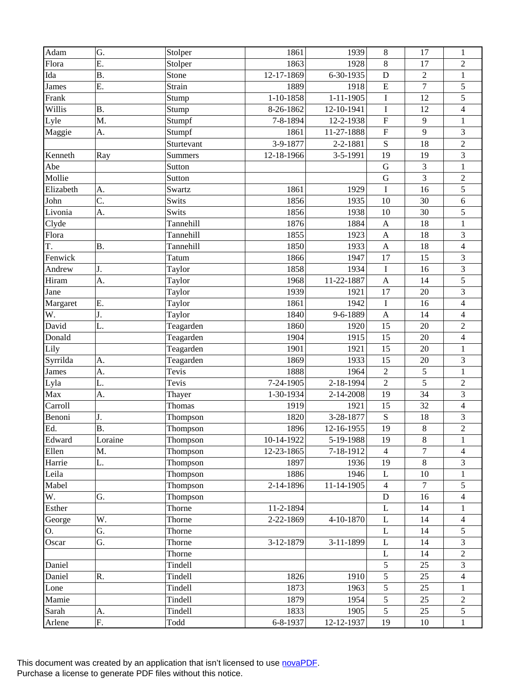| Adam      | G.        | Stolper    | 1861        | 1939            | $\,8\,$        | 17             | $\mathbf{1}$             |
|-----------|-----------|------------|-------------|-----------------|----------------|----------------|--------------------------|
| Flora     | Ε.        | Stolper    | 1863        | 1928            | 8              | 17             | $\overline{c}$           |
| Ida       | <b>B.</b> | Stone      | 12-17-1869  | 6-30-1935       | D              | $\overline{2}$ | $\mathbf{1}$             |
| James     | E.        | Strain     | 1889        | 1918            | E              | $\overline{7}$ | 5                        |
| Frank     |           | Stump      | $1-10-1858$ | $1 - 11 - 1905$ | $\bf I$        | 12             | 5                        |
| Willis    | <b>B.</b> | Stump      | 8-26-1862   | 12-10-1941      | I              | 12             | $\overline{4}$           |
| Lyle      | M.        | Stumpf     | 7-8-1894    | 12-2-1938       | $\mathbf F$    | 9              | $\mathbf{1}$             |
| Maggie    | A.        | Stumpf     | 1861        | 11-27-1888      | $\mathbf F$    | 9              | 3                        |
|           |           | Sturtevant | 3-9-1877    | 2-2-1881        | S              | 18             | $\overline{c}$           |
| Kenneth   | Ray       | Summers    | 12-18-1966  | 3-5-1991        | 19             | 19             | 3                        |
| Abe       |           | Sutton     |             |                 | ${\bf G}$      | 3              | $\mathbf{1}$             |
| Mollie    |           | Sutton     |             |                 | G              | $\overline{3}$ | $\overline{c}$           |
| Elizabeth | A.        | Swartz     | 1861        | 1929            | $\bf I$        | 16             | 5                        |
| John      | C.        | Swits      | 1856        | 1935            | 10             | 30             | $\sqrt{6}$               |
| Livonia   | A.        | Swits      | 1856        | 1938            | 10             | 30             | 5                        |
| Clyde     |           | Tannehill  | 1876        | 1884            | $\mathbf{A}$   | 18             | $\,1$                    |
| Flora     |           | Tannehill  | 1855        | 1923            | $\mathbf{A}$   | 18             | 3                        |
| T.        | <b>B.</b> | Tannehill  | 1850        | 1933            | $\mathbf{A}$   | 18             | $\overline{4}$           |
| Fenwick   |           | Tatum      | 1866        | 1947            | 17             | 15             | 3                        |
| Andrew    | J.        | Taylor     | 1858        | 1934            | $\mathbf I$    | 16             | 3                        |
| Hiram     | A.        | Taylor     | 1968        | 11-22-1887      | $\mathbf{A}$   | 14             | 5                        |
| Jane      |           | Taylor     | 1939        | 1921            | 17             | 20             | 3                        |
| Margaret  | E.        | Taylor     | 1861        | 1942            | $\bf I$        | 16             | $\overline{\mathbf{4}}$  |
| W.        | J.        | Taylor     | 1840        | 9-6-1889        | $\mathbf{A}$   | 14             | $\overline{\mathcal{L}}$ |
| David     | L.        | Teagarden  | 1860        | 1920            | 15             | 20             | $\sqrt{2}$               |
| Donald    |           | Teagarden  | 1904        | 1915            | 15             | 20             | $\overline{\mathbf{4}}$  |
| Lily      |           | Teagarden  | 1901        | 1921            | 15             | 20             | $\mathbf{1}$             |
| Syrrilda  | A.        | Teagarden  | 1869        | 1933            | 15             | 20             | 3                        |
| James     | A.        | Tevis      | 1888        | 1964            | $\sqrt{2}$     | 5              | $\mathbf{1}$             |
| Lyla      | L.        | Tevis      | 7-24-1905   | 2-18-1994       | $\overline{2}$ | 5              | $\sqrt{2}$               |
| Max       | A.        | Thayer     | 1-30-1934   | 2-14-2008       | 19             | 34             | 3                        |
| Carroll   |           | Thomas     | 1919        | 1921            | 15             | 32             | $\overline{\mathbf{4}}$  |
| Benoni    | J.        | Thompson   | 1820        | 3-28-1877       | ${\bf S}$      | 18             | 3                        |
| Ed.       | <b>B.</b> | Thompson   | 1896        | 12-16-1955      | 19             | $8\,$          | $\overline{2}$           |
| Edward    | Loraine   | Thompson   | 10-14-1922  | 5-19-1988       | 19             | $8\,$          | 1                        |
| Ellen     | M.        | Thompson   | 12-23-1865  | 7-18-1912       | $\overline{4}$ | $\tau$         | 4                        |
| Harrie    | L.        | Thompson   | 1897        | 1936            | 19             | $8\,$          | 3                        |
| Leila     |           | Thompson   | 1886        | 1946            | L              | 10             | 1                        |
| Mabel     |           | Thompson   | 2-14-1896   | 11-14-1905      | $\overline{4}$ | $\overline{7}$ | 5                        |
| W.        | G.        | Thompson   |             |                 | ${\bf D}$      | 16             | $\overline{4}$           |
| Esther    |           | Thorne     | 11-2-1894   |                 | L              | 14             | 1                        |
| George    | W.        | Thorne     | 2-22-1869   | 4-10-1870       | $\mathbf L$    | 14             | $\overline{4}$           |
| О.        | G.        | Thorne     |             |                 | L              | 14             | 5                        |
| Oscar     | G.        | Thorne     | 3-12-1879   | 3-11-1899       | $\mathbf L$    | 14             | 3                        |
|           |           | Thorne     |             |                 | L              | 14             | $\overline{2}$           |
| Daniel    |           | Tindell    |             |                 | 5              | 25             | 3                        |
| Daniel    | R.        | Tindell    | 1826        | 1910            | 5              | 25             | $\overline{4}$           |
| Lone      |           | Tindell    | 1873        | 1963            | $\sqrt{5}$     | 25             | 1                        |
| Mamie     |           | Tindell    | 1879        | 1954            | 5              | 25             | $\overline{c}$           |
| Sarah     | A.        | Tindell    | 1833        | 1905            | 5              | 25             | 5                        |
| Arlene    | F.        | Todd       | 6-8-1937    | 12-12-1937      | 19             | 10             | $\mathbf{1}$             |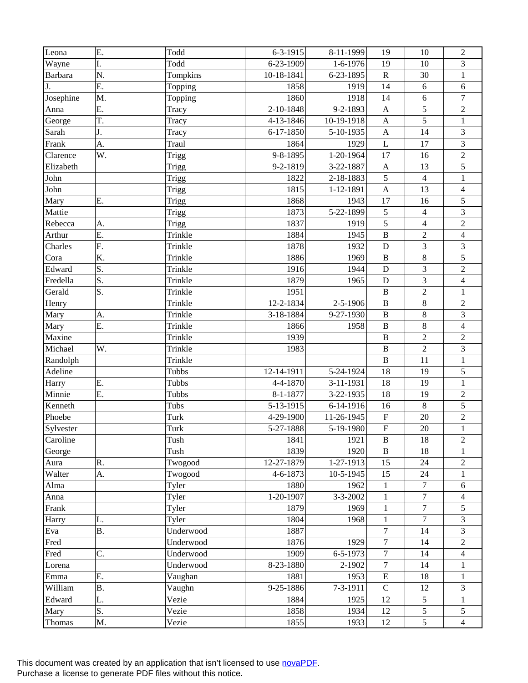| Leona          | Ε.        | Todd      | $6 - 3 - 1915$    | 8-11-1999       | 19                        | 10               | $\overline{2}$          |
|----------------|-----------|-----------|-------------------|-----------------|---------------------------|------------------|-------------------------|
| Wayne          | I.        | Todd      | 6-23-1909         | $1-6-1976$      | 19                        | 10               | 3                       |
| <b>Barbara</b> | N.        | Tompkins  | 10-18-1841        | 6-23-1895       | $\mathbf R$               | 30               | $\mathbf{1}$            |
| J.             | E.        | Topping   | 1858              | 1919            | 14                        | 6                | $\sqrt{6}$              |
| Josephine      | M.        | Topping   | 1860              | 1918            | 14                        | 6                | $\boldsymbol{7}$        |
| Anna           | Ε.        | Tracy     | 2-10-1848         | 9-2-1893        | $\mathbf{A}$              | 5                | $\sqrt{2}$              |
| George         | T.        | Tracy     | 4-13-1846         | 10-19-1918      | $\mathbf{A}$              | $\overline{5}$   | $\,1$                   |
| Sarah          | J.        | Tracy     | 6-17-1850         | 5-10-1935       | $\boldsymbol{\mathsf{A}}$ | 14               | 3                       |
| Frank          | A.        | Traul     | 1864              | 1929            | $\mathbf{L}$              | 17               | $\overline{3}$          |
| Clarence       | W.        | Trigg     | 9-8-1895          | 1-20-1964       | 17                        | 16               | $\overline{2}$          |
| Elizabeth      |           | Trigg     | 9-2-1819          | 3-22-1887       | $\mathbf{A}$              | 13               | $\sqrt{5}$              |
| John           |           | Trigg     | 1822              | 2-18-1883       | $\sqrt{5}$                | $\overline{4}$   | $\,1$                   |
| John           |           | Trigg     | 1815              | 1-12-1891       | $\boldsymbol{\mathsf{A}}$ | 13               | $\overline{\mathbf{4}}$ |
| Mary           | Ε.        | Trigg     | 1868              | 1943            | 17                        | 16               | 5                       |
| Mattie         |           | Trigg     | 1873              | 5-22-1899       | $\sqrt{5}$                | $\overline{4}$   | $\mathfrak{Z}$          |
| Rebecca        | A.        | Trigg     | 1837              | 1919            | 5                         | $\overline{4}$   | $\overline{2}$          |
| Arthur         | Ε.        | Trinkle   | 1884              | 1945            | $\, {\bf B}$              | $\overline{2}$   | $\overline{4}$          |
| Charles        | F.        | Trinkle   | 1878              | 1932            | D                         | 3                | 3                       |
| Cora           | K.        | Trinkle   | 1886              | 1969            | $\, {\bf B}$              | 8                | 5                       |
| Edward         | S.        | Trinkle   | 1916              | 1944            | D                         | 3                | $\sqrt{2}$              |
| Fredella       | S.        | Trinkle   | 1879              | 1965            | D                         | $\overline{3}$   | $\overline{4}$          |
| Gerald         | S.        | Trinkle   | 1951              |                 | $\, {\bf B}$              | $\overline{2}$   | $\mathbf{1}$            |
| Henry          |           | Trinkle   | 12-2-1834         | 2-5-1906        | $\bf{B}$                  | $8\,$            | $\overline{2}$          |
| Mary           | A.        | Trinkle   | 3-18-1884         | 9-27-1930       | $\, {\bf B}$              | 8                | $\mathfrak{Z}$          |
| Mary           | E.        | Trinkle   | 1866              | 1958            | $\bf{B}$                  | $\,8\,$          | $\overline{4}$          |
| Maxine         |           | Trinkle   | 1939              |                 | $\bf{B}$                  | $\sqrt{2}$       | $\sqrt{2}$              |
| Michael        | W.        | Trinkle   | 1983              |                 | $\overline{B}$            | $\overline{2}$   | 3                       |
| Randolph       |           | Trinkle   |                   |                 | $\, {\bf B}$              | 11               | $\mathbf{1}$            |
| Adeline        |           | Tubbs     | 12-14-1911        | 5-24-1924       | 18                        | 19               | 5                       |
| Harry          | Ε.        | Tubbs     | 4-4-1870          | 3-11-1931       | 18                        | 19               | $\mathbf{1}$            |
| Minnie         | Ε.        | Tubbs     | 8-1-1877          | 3-22-1935       | 18                        | 19               | $\sqrt{2}$              |
| Kenneth        |           | Tubs      | 5-13-1915         | 6-14-1916       | 16                        | $8\,$            | 5                       |
| Phoebe         |           | Turk      | 4-29-1900         | 11-26-1945      | $\boldsymbol{\mathrm{F}}$ | 20               | $\overline{c}$          |
| Sylvester      |           | Turk      | 5-27-1888         | 5-19-1980       | $\overline{F}$            | 20               | $\mathbf{1}$            |
| Caroline       |           | Tush      | 1841              | 1921            | $\bf{B}$                  | 18               | $\overline{2}$          |
| George         |           | Tush      | 1839              | 1920            | $\bf{B}$                  | 18               | 1                       |
| Aura           | R.        | Twogood   | 12-27-1879        | $1 - 27 - 1913$ | 15                        | 24               | $\overline{c}$          |
| Walter         | A.        | Twogood   | 4-6-1873          | 10-5-1945       | 15                        | 24               | 1                       |
| Alma           |           | Tyler     | 1880              | 1962            | $\mathbf{1}$              | $\overline{7}$   | $\sqrt{6}$              |
| Anna           |           | Tyler     | 1-20-1907         | 3-3-2002        | 1                         | $\boldsymbol{7}$ | $\overline{4}$          |
| Frank          |           | Tyler     | 1879              | 1969            | 1                         | $\overline{7}$   | 5                       |
| Harry          | L.        | Tyler     | 1804              | 1968            | $\mathbf{1}$              | $\overline{7}$   | 3                       |
| Eva            | <b>B.</b> | Underwood | 1887              |                 | $\boldsymbol{7}$          | 14               | 3                       |
| Fred           |           | Underwood | 1876              | 1929            | $\tau$                    | 14               | $\overline{c}$          |
| Fred           | C.        | Underwood | 1909              | $6 - 5 - 1973$  | $\boldsymbol{7}$          | 14               | $\overline{4}$          |
|                |           | Underwood |                   |                 | $\boldsymbol{7}$          | 14               |                         |
| Lorena         | E.        | Vaughan   | 8-23-1880<br>1881 | 2-1902<br>1953  | ${\bf E}$                 | 18               | 1<br>$\mathbf{1}$       |
| Emma           |           |           |                   |                 | $\mathcal{C}$             |                  |                         |
| William        | <b>B.</b> | Vaughn    | 9-25-1886         | 7-3-1911        |                           | 12               | 3                       |
| Edward         | L.        | Vezie     | 1884              | 1925            | 12                        | 5                | $\mathbf{1}$            |
| Mary           | S.        | Vezie     | 1858              | 1934            | 12                        | 5                | 5                       |
| Thomas         | M.        | Vezie     | 1855              | 1933            | 12                        | $\overline{5}$   | $\overline{4}$          |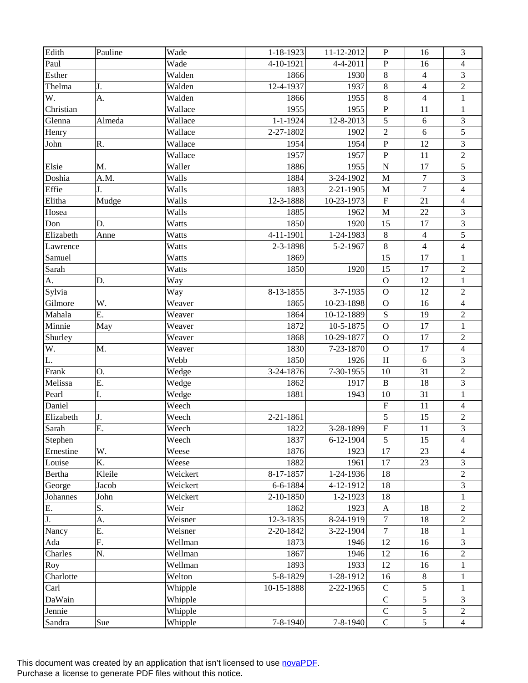| Edith     | Pauline | Wade     | $1 - 18 - 1923$ | 11-12-2012      | $\mathbf P$             | 16                      | 3                        |
|-----------|---------|----------|-----------------|-----------------|-------------------------|-------------------------|--------------------------|
| Paul      |         | Wade     | 4-10-1921       | 4-4-2011        | ${\bf P}$               | 16                      | $\overline{\mathcal{L}}$ |
| Esther    |         | Walden   | 1866            | 1930            | $\,8\,$                 | $\overline{\mathbf{4}}$ | 3                        |
| Thelma    | J.      | Walden   | 12-4-1937       | 1937            | $\,8\,$                 | $\overline{4}$          | $\sqrt{2}$               |
| W.        | A.      | Walden   | 1866            | 1955            | $\,8\,$                 | $\overline{4}$          | $\mathbf{1}$             |
| Christian |         | Wallace  | 1955            | 1955            | ${\bf P}$               | 11                      | $\mathbf{1}$             |
| Glenna    | Almeda  | Wallace  | $1 - 1 - 1924$  | 12-8-2013       | 5                       | 6                       | 3                        |
| Henry     |         | Wallace  | 2-27-1802       | 1902            | $\sqrt{2}$              | 6                       | 5                        |
| John      | R.      | Wallace  | 1954            | 1954            | $\mathbf P$             | 12                      | 3                        |
|           |         | Wallace  | 1957            | 1957            | ${\bf P}$               | 11                      | $\overline{2}$           |
| Elsie     | M.      | Waller   | 1886            | 1955            | ${\bf N}$               | 17                      | $\sqrt{5}$               |
| Doshia    | A.M.    | Walls    | 1884            | 3-24-1902       | M                       | $\overline{7}$          | 3                        |
| Effie     | J.      | Walls    | 1883            | 2-21-1905       | $\mathbf M$             | $\overline{7}$          | $\overline{\mathbf{4}}$  |
| Elitha    | Mudge   | Walls    | 12-3-1888       | 10-23-1973      | $\overline{\mathrm{F}}$ | 21                      | $\overline{\mathbf{4}}$  |
| Hosea     |         | Walls    | 1885            | 1962            | $\mathbf M$             | 22                      | $\mathfrak{Z}$           |
| Don       | D.      | Watts    | 1850            | 1920            | 15                      | 17                      | $\sqrt{3}$               |
| Elizabeth | Anne    | Watts    | 4-11-1901       | 1-24-1983       | $\,8\,$                 | $\overline{4}$          | 5                        |
| Lawrence  |         | Watts    | 2-3-1898        | 5-2-1967        | $\,8\,$                 | $\overline{4}$          | $\overline{\mathbf{4}}$  |
| Samuel    |         | Watts    | 1869            |                 | 15                      | 17                      | $\mathbf{1}$             |
| Sarah     |         | Watts    | 1850            | 1920            | 15                      | 17                      | $\sqrt{2}$               |
| A.        | D.      | Way      |                 |                 | $\mathbf{O}$            | 12                      | $\mathbf 1$              |
| Sylvia    |         | Way      | 8-13-1855       | 3-7-1935        | $\mathbf O$             | 12                      | $\sqrt{2}$               |
| Gilmore   | W.      | Weaver   | 1865            | 10-23-1898      | $\mathbf O$             | 16                      | $\overline{4}$           |
| Mahala    | Ε.      | Weaver   | 1864            | 10-12-1889      | ${\bf S}$               | 19                      | $\sqrt{2}$               |
| Minnie    | May     | Weaver   | 1872            | 10-5-1875       | $\mathbf O$             | 17                      | $\,1\,$                  |
| Shurley   |         | Weaver   | 1868            | 10-29-1877      | $\mathbf{O}$            | 17                      | $\sqrt{2}$               |
| W.        | M.      | Weaver   | 1830            | 7-23-1870       | $\mathbf O$             | 17                      | $\overline{4}$           |
| L.        |         | Webb     | 1850            | 1926            | $\, {\rm H}$            | 6                       | 3                        |
| Frank     | Ο.      | Wedge    | 3-24-1876       | 7-30-1955       | 10                      | 31                      | $\sqrt{2}$               |
| Melissa   | Ε.      | Wedge    | 1862            | 1917            | $\, {\bf B}$            | 18                      | $\overline{3}$           |
| Pearl     | I.      | Wedge    | 1881            | 1943            | 10                      | 31                      | $\mathbf{1}$             |
| Daniel    |         | Weech    |                 |                 | $\mathbf F$             | 11                      | $\overline{4}$           |
| Elizabeth | J.      | Weech    | 2-21-1861       |                 | $\sqrt{5}$              | 15                      | $\sqrt{2}$               |
| Sarah     | Ε.      | Weech    | 1822            | 3-28-1899       | $\overline{F}$          | 11                      | $\overline{3}$           |
| Stephen   |         | Weech    | 1837            | $6-12-1904$     | 5                       | 15                      | $\overline{4}$           |
| Ernestine | W.      | Weese    | 1876            | 1923            | 17                      | 23                      | 4                        |
| Louise    | K.      | Weese    | 1882            | 1961            | 17                      | 23                      | 3                        |
| Bertha    | Kleile  | Weickert | 8-17-1857       | 1-24-1936       | 18                      |                         | $\overline{c}$           |
| George    | Jacob   | Weickert | 6-6-1884        | 4-12-1912       | 18                      |                         | 3                        |
| Johannes  | John    | Weickert | 2-10-1850       | $1 - 2 - 1923$  | 18                      |                         | 1                        |
| E.        | S.      | Weir     | 1862            | 1923            | $\mathbf{A}$            | 18                      | $\overline{2}$           |
| J.        | A.      | Weisner  | 12-3-1835       | 8-24-1919       | $\overline{7}$          | 18                      | $\overline{2}$           |
| Nancy     | E.      | Weisner  | 2-20-1842       | $3 - 22 - 1904$ | $\tau$                  | 18                      | 1                        |
| Ada       | F.      | Wellman  | 1873            | 1946            | 12                      | 16                      | 3                        |
| Charles   | N.      | Wellman  | 1867            | 1946            | 12                      | 16                      | $\overline{2}$           |
| Roy       |         | Wellman  | 1893            | 1933            | 12                      | 16                      | 1                        |
| Charlotte |         | Welton   | 5-8-1829        | 1-28-1912       | 16                      | 8                       | $\mathbf{1}$             |
| Carl      |         | Whipple  | 10-15-1888      | 2-22-1965       | $\mathbf C$             | 5                       | 1                        |
| DaWain    |         | Whipple  |                 |                 | $\mathsf{C}$            | $\overline{5}$          | 3                        |
| Jennie    |         | Whipple  |                 |                 | $\mathbf C$             | 5                       | $\overline{2}$           |
| Sandra    | Sue     | Whipple  | 7-8-1940        | $7 - 8 - 1940$  | $\mathcal{C}$           | 5                       | $\overline{4}$           |
|           |         |          |                 |                 |                         |                         |                          |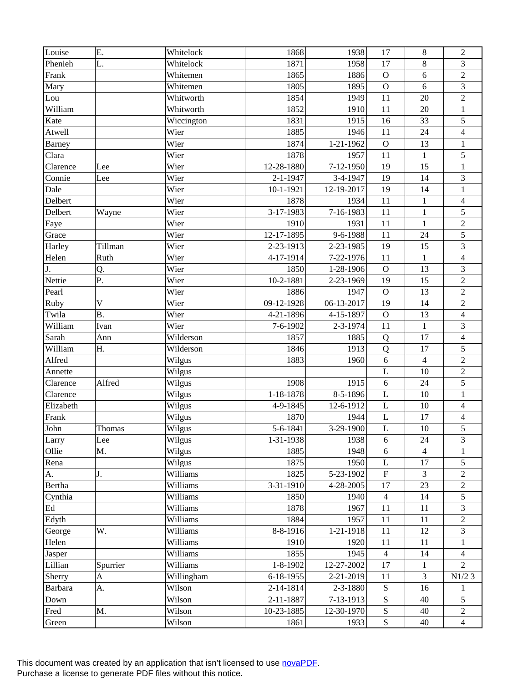| Louise              | Ε.                        | Whitelock  | 1868           | 1938            | 17             | $\,8\,$         | $\overline{2}$          |
|---------------------|---------------------------|------------|----------------|-----------------|----------------|-----------------|-------------------------|
| Phenieh             | L.                        | Whitelock  | 1871           | 1958            | 17             | $\,8\,$         | 3                       |
| Frank               |                           | Whitemen   | 1865           | 1886            | $\mathbf{O}$   | 6               | $\sqrt{2}$              |
| Mary                |                           | Whitemen   | 1805           | 1895            | $\mathbf O$    | 6               | 3                       |
| Lou                 |                           | Whitworth  | 1854           | 1949            | 11             | 20              | $\overline{c}$          |
| William             |                           | Whitworth  | 1852           | 1910            | 11             | 20              | $\mathbf{1}$            |
| Kate                |                           | Wiccington | 1831           | 1915            | 16             | 33              | 5                       |
| Atwell              |                           | Wier       | 1885           | 1946            | 11             | 24              | $\overline{\mathbf{4}}$ |
| <b>Barney</b>       |                           | Wier       | 1874           | 1-21-1962       | $\mathbf O$    | 13              | $\,1$                   |
| Clara               |                           | Wier       | 1878           | 1957            | 11             | $\mathbf{1}$    | 5                       |
| Clarence            | Lee                       | Wier       | 12-28-1880     | 7-12-1950       | 19             | 15              | $\mathbf{1}$            |
| Connie              | Lee                       | Wier       | $2 - 1 - 1947$ | 3-4-1947        | 19             | 14              | 3                       |
| Dale                |                           | Wier       | 10-1-1921      | 12-19-2017      | 19             | 14              | $\mathbf{1}$            |
| Delbert             |                           | Wier       | 1878           | 1934            | 11             | $\mathbf{1}$    | $\overline{4}$          |
| Delbert             | Wayne                     | Wier       | 3-17-1983      | 7-16-1983       | 11             | $\mathbf{1}$    | 5                       |
| Faye                |                           | Wier       | 1910           | 1931            | 11             | $\mathbf{1}$    | $\sqrt{2}$              |
| Grace               |                           | Wier       | 12-17-1895     | 9-6-1988        | 11             | 24              | 5                       |
| Harley              | Tillman                   | Wier       | 2-23-1913      | 2-23-1985       | 19             | 15              | 3                       |
| Helen               | Ruth                      | Wier       | 4-17-1914      | 7-22-1976       | 11             | $\mathbf{1}$    | $\overline{\mathbf{4}}$ |
| J.                  | Q.                        | Wier       | 1850           | 1-28-1906       | $\mathbf{O}$   | 13              | 3                       |
| Nettie              | P.                        | Wier       | 10-2-1881      | 2-23-1969       | 19             | 15              | $\sqrt{2}$              |
| Pearl               |                           | Wier       | 1886           | 1947            | $\mathbf{O}$   | 13              | $\overline{2}$          |
| Ruby                | $\overline{V}$            | Wier       | 09-12-1928     | 06-13-2017      | 19             | 14              | $\overline{2}$          |
| Twila               | <b>B.</b>                 | Wier       | 4-21-1896      | 4-15-1897       | $\mathbf{O}$   | 13              | $\overline{4}$          |
| William             | Ivan                      | Wier       | 7-6-1902       | 2-3-1974        | 11             | $\mathbf 1$     | $\mathfrak{Z}$          |
| Sarah               | Ann                       | Wilderson  | 1857           | 1885            | Q              | 17              | $\overline{4}$          |
| William             | Η.                        | Wilderson  | 1846           | 1913            | Q              | 17              | 5                       |
| Alfred              |                           | Wilgus     | 1883           | 1960            | 6              | $\overline{4}$  | $\overline{2}$          |
|                     |                           |            |                |                 | L              | 10              | $\sqrt{2}$              |
| Annette<br>Clarence | Alfred                    | Wilgus     | 1908           | 1915            | 6              | 24              | 5                       |
|                     |                           | Wilgus     |                |                 |                |                 |                         |
| Clarence            |                           | Wilgus     | 1-18-1878      | 8-5-1896        | L              | 10              | $\mathbf{1}$            |
| Elizabeth           |                           | Wilgus     | 4-9-1845       | 12-6-1912       | L              | 10              | $\overline{\mathbf{4}}$ |
| Frank               |                           | Wilgus     | 1870           | 1944            | L              | 17              | 4                       |
| John                | Thomas                    | Wilgus     | 5-6-1841       | 3-29-1900       | $\mathbf L$    | 10              | 5                       |
| Larry               | Lee                       | Wilgus     | 1-31-1938      | 1938            | 6              | 24              | $\mathfrak{Z}$          |
| Ollie               | Μ.                        | Wilgus     | 1885           | 1948            | $6\,$          | $\overline{4}$  | 1                       |
| Rena                |                           | Wilgus     | 1875           | 1950            | L              | 17              | 5                       |
| A.                  | J.                        | Williams   | 1825           | 5-23-1902       | $\overline{F}$ | 3               | $\overline{c}$          |
| <b>Bertha</b>       |                           | Williams   | 3-31-1910      | 4-28-2005       | 17             | $\overline{23}$ | $\overline{c}$          |
| Cynthia             |                           | Williams   | 1850           | 1940            | $\overline{4}$ | 14              | 5                       |
| Ed                  |                           | Williams   | 1878           | 1967            | 11             | 11              | 3                       |
| Edyth               |                           | Williams   | 1884           | 1957            | 11             | 11              | $\overline{c}$          |
| George              | W.                        | Williams   | 8-8-1916       | $1 - 21 - 1918$ | 11             | 12              | 3                       |
| Helen               |                           | Williams   | 1910           | 1920            | 11             | 11              | 1                       |
| Jasper              |                           | Williams   | 1855           | 1945            | $\overline{4}$ | 14              | $\overline{4}$          |
| Lillian             | Spurrier                  | Williams   | 1-8-1902       | 12-27-2002      | 17             | 1               | 2                       |
| Sherry              | $\boldsymbol{\mathsf{A}}$ | Willingham | 6-18-1955      | 2-21-2019       | 11             | 3               | $\rm N1/2$ 3            |
| Barbara             | A.                        | Wilson     | 2-14-1814      | $2 - 3 - 1880$  | ${\bf S}$      | 16              | 1                       |
| Down                |                           | Wilson     | 2-11-1887      | 7-13-1913       | ${\bf S}$      | 40              | 5                       |
| Fred                | M.                        | Wilson     | 10-23-1885     | 12-30-1970      | ${\bf S}$      | 40              | $\sqrt{2}$              |
| Green               |                           | Wilson     | 1861           | 1933            | ${\bf S}$      | 40              | $\overline{4}$          |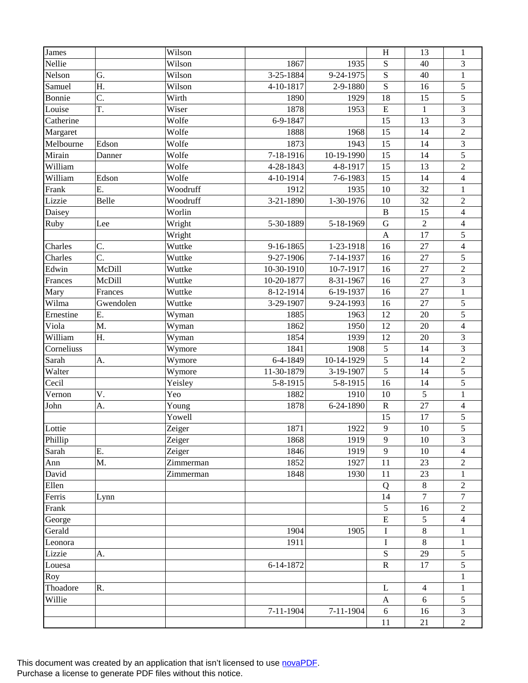| James      |           | Wilson    |                 |                 | $\, {\rm H}$ | 13             | $\mathbf{1}$            |
|------------|-----------|-----------|-----------------|-----------------|--------------|----------------|-------------------------|
| Nellie     |           | Wilson    | 1867            | 1935            | ${\bf S}$    | 40             | 3                       |
| Nelson     | G.        | Wilson    | 3-25-1884       | 9-24-1975       | ${\bf S}$    | 40             | $\mathbf{1}$            |
| Samuel     | Η.        | Wilson    | 4-10-1817       | 2-9-1880        | $\mathbf S$  | 16             | 5                       |
| Bonnie     | C.        | Wirth     | 1890            | 1929            | 18           | 15             | 5                       |
| Louise     | T.        | Wiser     | 1878            | 1953            | $\mathbf E$  | $\mathbf{1}$   | $\mathfrak{Z}$          |
| Catherine  |           | Wolfe     | 6-9-1847        |                 | 15           | 13             | 3                       |
| Margaret   |           | Wolfe     | 1888            | 1968            | 15           | 14             | $\sqrt{2}$              |
| Melbourne  | Edson     | Wolfe     | 1873            | 1943            | 15           | 14             | $\overline{3}$          |
| Mirain     | Danner    | Wolfe     | 7-18-1916       | 10-19-1990      | 15           | 14             | 5                       |
| William    |           | Wolfe     | 4-28-1843       | 4-8-1917        | 15           | 13             | $\sqrt{2}$              |
| William    | Edson     | Wolfe     | 4-10-1914       | 7-6-1983        | 15           | 14             | $\overline{4}$          |
| Frank      | E.        | Woodruff  | 1912            | 1935            | 10           | 32             | $\mathbf{1}$            |
| Lizzie     | Belle     | Woodruff  | 3-21-1890       | 1-30-1976       | 10           | 32             | $\sqrt{2}$              |
| Daisey     |           | Worlin    |                 |                 | $\, {\bf B}$ | 15             | $\overline{4}$          |
| Ruby       | Lee       | Wright    | 5-30-1889       | 5-18-1969       | ${\bf G}$    | $\sqrt{2}$     | $\overline{4}$          |
|            |           | Wright    |                 |                 | $\mathbf{A}$ | 17             | 5                       |
| Charles    | C.        | Wuttke    | 9-16-1865       | 1-23-1918       | 16           | 27             | $\overline{\mathbf{4}}$ |
| Charles    | C.        | Wuttke    | 9-27-1906       | 7-14-1937       | 16           | 27             | 5                       |
| Edwin      | McDill    | Wuttke    | 10-30-1910      | 10-7-1917       | 16           | 27             | $\sqrt{2}$              |
| Frances    | McDill    | Wuttke    | 10-20-1877      | 8-31-1967       | 16           | 27             | 3                       |
| Mary       | Frances   | Wuttke    | 8-12-1914       | 6-19-1937       | 16           | 27             | $\mathbf{1}$            |
| Wilma      | Gwendolen | Wuttke    | 3-29-1907       | 9-24-1993       | 16           | 27             | 5                       |
| Ernestine  | Ε.        | Wyman     | 1885            | 1963            | 12           | 20             | 5                       |
| Viola      | M.        | Wyman     | 1862            | 1950            | 12           | 20             | $\overline{4}$          |
| William    | Η.        | Wyman     | 1854            | 1939            | 12           | 20             | 3                       |
| Corneliuss |           | Wymore    | 1841            | 1908            | 5            | 14             | 3                       |
| Sarah      | A.        | Wymore    | 6-4-1849        | 10-14-1929      | 5            | 14             | $\sqrt{2}$              |
| Walter     |           | Wymore    | 11-30-1879      | 3-19-1907       | 5            | 14             | 5                       |
| Cecil      |           | Yeisley   | 5-8-1915        | 5-8-1915        | 16           | 14             | 5                       |
| Vernon     | V.        | Yeo       | 1882            | 1910            | 10           | 5              | $\mathbf{1}$            |
| John       | A.        | Young     | 1878            | 6-24-1890       | ${\bf R}$    | 27             | $\overline{4}$          |
|            |           | Yowell    |                 |                 | 15           | 17             | 5                       |
| Lottie     |           | Zeiger    | 1871            | 1922            | 9            | 10             | $\overline{5}$          |
| Phillip    |           | Zeiger    | 1868            | 1919            | 9            | 10             | 3                       |
| Sarah      | Ε.        | Zeiger    | 1846            | 1919            | 9            | 10             | 4                       |
| Ann        | M.        | Zimmerman | 1852            | 1927            | 11           | 23             | $\overline{c}$          |
| David      |           | Zimmerman | 1848            | 1930            | 11           | 23             | 1                       |
| Ellen      |           |           |                 |                 | Q            | $\,8\,$        | $\overline{c}$          |
| Ferris     | Lynn      |           |                 |                 | 14           | $\overline{7}$ | 7                       |
| Frank      |           |           |                 |                 | $\sqrt{5}$   | 16             | $\overline{2}$          |
| George     |           |           |                 |                 | ${\bf E}$    | 5              | $\overline{4}$          |
| Gerald     |           |           | 1904            | 1905            | $\rm I$      | $\,8\,$        | $\mathbf{1}$            |
| Leonora    |           |           | 1911            |                 | $\bf I$      | 8              | $\mathbf{1}$            |
| Lizzie     | A.        |           |                 |                 | ${\bf S}$    | 29             | 5                       |
| Louesa     |           |           | 6-14-1872       |                 | $\mathbf R$  | 17             | 5                       |
| Roy        |           |           |                 |                 |              |                | $\mathbf{1}$            |
| Thoadore   | R.        |           |                 |                 | L            | $\overline{4}$ | 1                       |
| Willie     |           |           |                 |                 | $\mathbf{A}$ | 6              | 5                       |
|            |           |           | $7 - 11 - 1904$ | $7 - 11 - 1904$ | $6\,$        | 16             | 3                       |
|            |           |           |                 |                 | 11           | 21             | $\sqrt{2}$              |